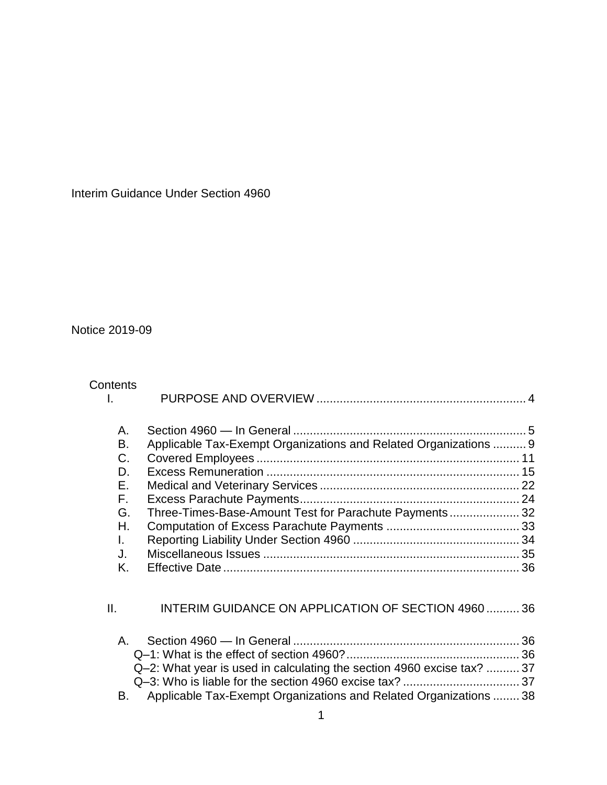Interim Guidance Under Section 4960

Notice 2019-09

| Contents<br>L.                                                 |                                                                                                                                                                                                    |  |
|----------------------------------------------------------------|----------------------------------------------------------------------------------------------------------------------------------------------------------------------------------------------------|--|
| А.<br>В.<br>C.<br>D.<br>F.<br>F.<br>G.<br>Н.<br>L.<br>J.<br>K. | Applicable Tax-Exempt Organizations and Related Organizations  9<br>Three-Times-Base-Amount Test for Parachute Payments 32                                                                         |  |
| II.<br>$\mathsf{A}_{-}$<br>В.                                  | INTERIM GUIDANCE ON APPLICATION OF SECTION 4960  36<br>Q-2: What year is used in calculating the section 4960 excise tax?  37<br>Applicable Tax-Exempt Organizations and Related Organizations  38 |  |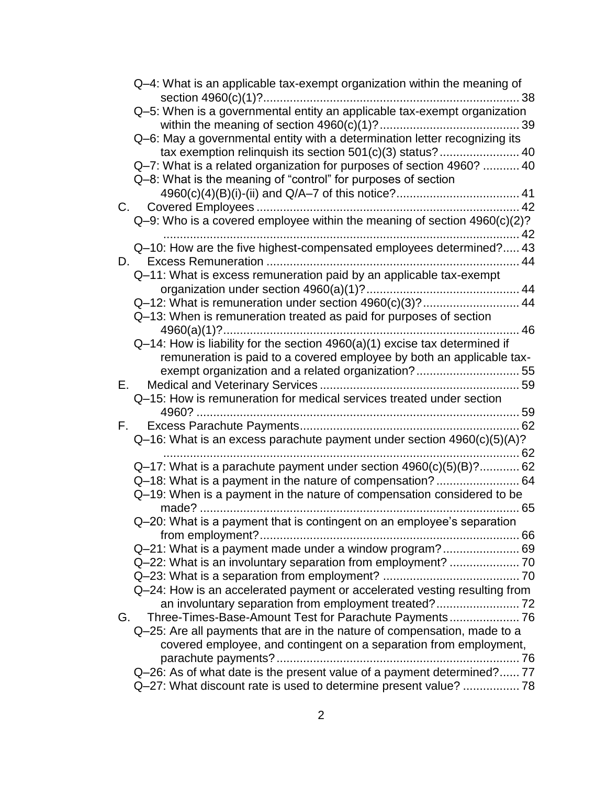|                | Q-4: What is an applicable tax-exempt organization within the meaning of      |    |
|----------------|-------------------------------------------------------------------------------|----|
|                | Q-5: When is a governmental entity an applicable tax-exempt organization      |    |
|                |                                                                               |    |
|                | Q-6: May a governmental entity with a determination letter recognizing its    |    |
|                | tax exemption relinquish its section 501(c)(3) status? 40                     |    |
|                | Q-7: What is a related organization for purposes of section 4960?  40         |    |
|                | Q-8: What is the meaning of "control" for purposes of section                 |    |
|                |                                                                               |    |
|                |                                                                               |    |
|                | $Q-9$ : Who is a covered employee within the meaning of section $4960(c)(2)?$ | 42 |
|                | Q-10: How are the five highest-compensated employees determined? 43           |    |
| D.             |                                                                               |    |
|                | Q-11: What is excess remuneration paid by an applicable tax-exempt            |    |
|                |                                                                               |    |
|                | Q-12: What is remuneration under section 4960(c)(3)? 44                       |    |
|                | Q-13: When is remuneration treated as paid for purposes of section            |    |
|                | 46                                                                            |    |
|                | Q-14: How is liability for the section 4960(a)(1) excise tax determined if    |    |
|                | remuneration is paid to a covered employee by both an applicable tax-         |    |
| $E_{\rm{max}}$ | exempt organization and a related organization? 55                            |    |
|                | Q-15: How is remuneration for medical services treated under section          |    |
|                |                                                                               |    |
|                |                                                                               |    |
|                | Q-16: What is an excess parachute payment under section 4960(c)(5)(A)?        |    |
|                |                                                                               |    |
|                | Q-17: What is a parachute payment under section 4960(c)(5)(B)? 62             |    |
|                |                                                                               |    |
|                | Q-19: When is a payment in the nature of compensation considered to be        |    |
|                |                                                                               |    |
|                | Q-20: What is a payment that is contingent on an employee's separation        |    |
|                | Q-21: What is a payment made under a window program? 69                       |    |
|                | Q-22: What is an involuntary separation from employment?  70                  |    |
|                |                                                                               |    |
|                | Q-24: How is an accelerated payment or accelerated vesting resulting from     |    |
|                |                                                                               |    |
| G.             | Three-Times-Base-Amount Test for Parachute Payments 76                        |    |
|                | Q-25: Are all payments that are in the nature of compensation, made to a      |    |
|                | covered employee, and contingent on a separation from employment,             |    |
|                |                                                                               |    |
|                | Q-26: As of what date is the present value of a payment determined? 77        |    |
|                | Q-27: What discount rate is used to determine present value?  78              |    |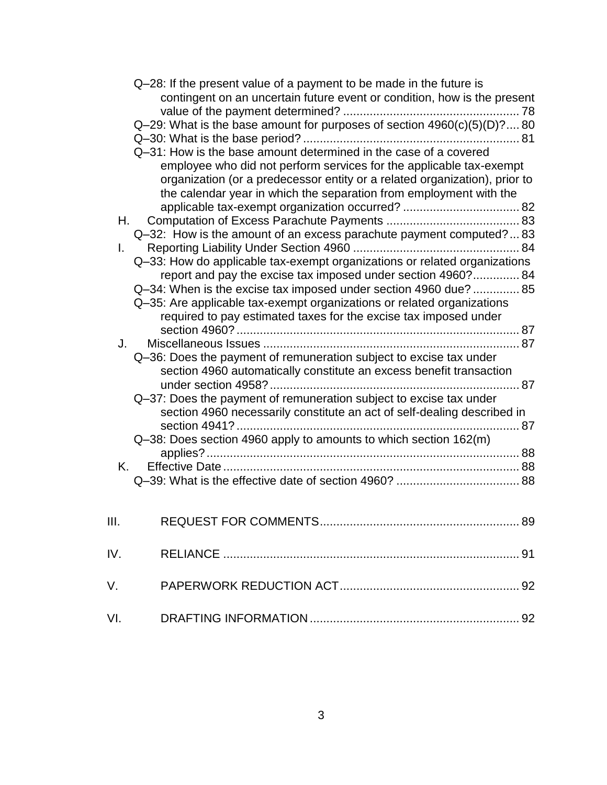|      | Q-28: If the present value of a payment to be made in the future is<br>contingent on an uncertain future event or condition, how is the present<br>Q-29: What is the base amount for purposes of section $4960(c)(5)(D)$ ? 80<br>Q-31: How is the base amount determined in the case of a covered<br>employee who did not perform services for the applicable tax-exempt<br>organization (or a predecessor entity or a related organization), prior to<br>the calendar year in which the separation from employment with the |
|------|------------------------------------------------------------------------------------------------------------------------------------------------------------------------------------------------------------------------------------------------------------------------------------------------------------------------------------------------------------------------------------------------------------------------------------------------------------------------------------------------------------------------------|
|      |                                                                                                                                                                                                                                                                                                                                                                                                                                                                                                                              |
| Н.   |                                                                                                                                                                                                                                                                                                                                                                                                                                                                                                                              |
|      | Q-32: How is the amount of an excess parachute payment computed? 83                                                                                                                                                                                                                                                                                                                                                                                                                                                          |
| L.   |                                                                                                                                                                                                                                                                                                                                                                                                                                                                                                                              |
|      | Q-33: How do applicable tax-exempt organizations or related organizations<br>report and pay the excise tax imposed under section 4960? 84<br>Q-34: When is the excise tax imposed under section 4960 due?  85<br>Q-35: Are applicable tax-exempt organizations or related organizations<br>required to pay estimated taxes for the excise tax imposed under                                                                                                                                                                  |
|      |                                                                                                                                                                                                                                                                                                                                                                                                                                                                                                                              |
| J.   | Q-36: Does the payment of remuneration subject to excise tax under<br>section 4960 automatically constitute an excess benefit transaction                                                                                                                                                                                                                                                                                                                                                                                    |
|      | Q-37: Does the payment of remuneration subject to excise tax under<br>section 4960 necessarily constitute an act of self-dealing described in                                                                                                                                                                                                                                                                                                                                                                                |
|      | Q-38: Does section 4960 apply to amounts to which section 162(m)                                                                                                                                                                                                                                                                                                                                                                                                                                                             |
|      |                                                                                                                                                                                                                                                                                                                                                                                                                                                                                                                              |
| K.   |                                                                                                                                                                                                                                                                                                                                                                                                                                                                                                                              |
| III. | <b>REQUEST FOR COMMENTS</b><br>89                                                                                                                                                                                                                                                                                                                                                                                                                                                                                            |
| IV.  |                                                                                                                                                                                                                                                                                                                                                                                                                                                                                                                              |
| V.   |                                                                                                                                                                                                                                                                                                                                                                                                                                                                                                                              |
| VI.  |                                                                                                                                                                                                                                                                                                                                                                                                                                                                                                                              |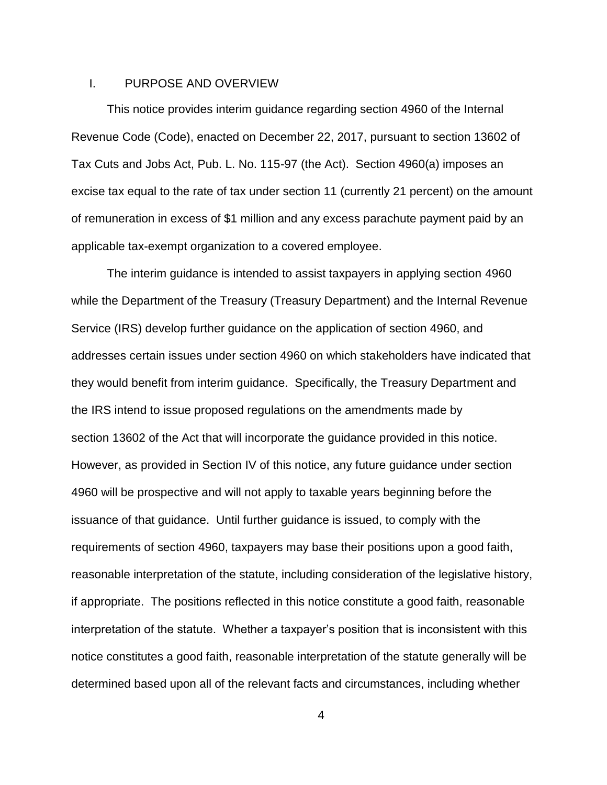# <span id="page-3-0"></span>I. PURPOSE AND OVERVIEW

This notice provides interim guidance regarding section 4960 of the Internal Revenue Code (Code), enacted on December 22, 2017, pursuant to section 13602 of Tax Cuts and Jobs Act, Pub. L. No. 115-97 (the Act). Section 4960(a) imposes an excise tax equal to the rate of tax under section 11 (currently 21 percent) on the amount of remuneration in excess of \$1 million and any excess parachute payment paid by an applicable tax-exempt organization to a covered employee.

The interim guidance is intended to assist taxpayers in applying section 4960 while the Department of the Treasury (Treasury Department) and the Internal Revenue Service (IRS) develop further guidance on the application of section 4960, and addresses certain issues under section 4960 on which stakeholders have indicated that they would benefit from interim guidance. Specifically, the Treasury Department and the IRS intend to issue proposed regulations on the amendments made by section 13602 of the Act that will incorporate the guidance provided in this notice. However, as provided in Section IV of this notice, any future guidance under section 4960 will be prospective and will not apply to taxable years beginning before the issuance of that guidance. Until further guidance is issued, to comply with the requirements of section 4960, taxpayers may base their positions upon a good faith, reasonable interpretation of the statute, including consideration of the legislative history, if appropriate. The positions reflected in this notice constitute a good faith, reasonable interpretation of the statute. Whether a taxpayer's position that is inconsistent with this notice constitutes a good faith, reasonable interpretation of the statute generally will be determined based upon all of the relevant facts and circumstances, including whether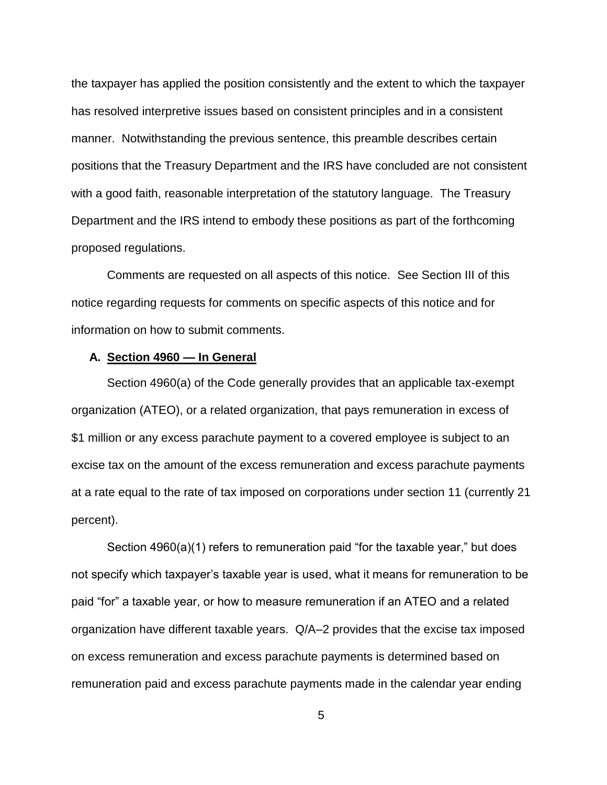the taxpayer has applied the position consistently and the extent to which the taxpayer has resolved interpretive issues based on consistent principles and in a consistent manner. Notwithstanding the previous sentence, this preamble describes certain positions that the Treasury Department and the IRS have concluded are not consistent with a good faith, reasonable interpretation of the statutory language. The Treasury Department and the IRS intend to embody these positions as part of the forthcoming proposed regulations.

Comments are requested on all aspects of this notice. See Section III of this notice regarding requests for comments on specific aspects of this notice and for information on how to submit comments.

### <span id="page-4-0"></span>**A. Section 4960 — In General**

Section 4960(a) of the Code generally provides that an applicable tax-exempt organization (ATEO), or a related organization, that pays remuneration in excess of \$1 million or any excess parachute payment to a covered employee is subject to an excise tax on the amount of the excess remuneration and excess parachute payments at a rate equal to the rate of tax imposed on corporations under section 11 (currently 21 percent).

Section 4960(a)(1) refers to remuneration paid "for the taxable year," but does not specify which taxpayer's taxable year is used, what it means for remuneration to be paid "for" a taxable year, or how to measure remuneration if an ATEO and a related organization have different taxable years. Q/A–2 provides that the excise tax imposed on excess remuneration and excess parachute payments is determined based on remuneration paid and excess parachute payments made in the calendar year ending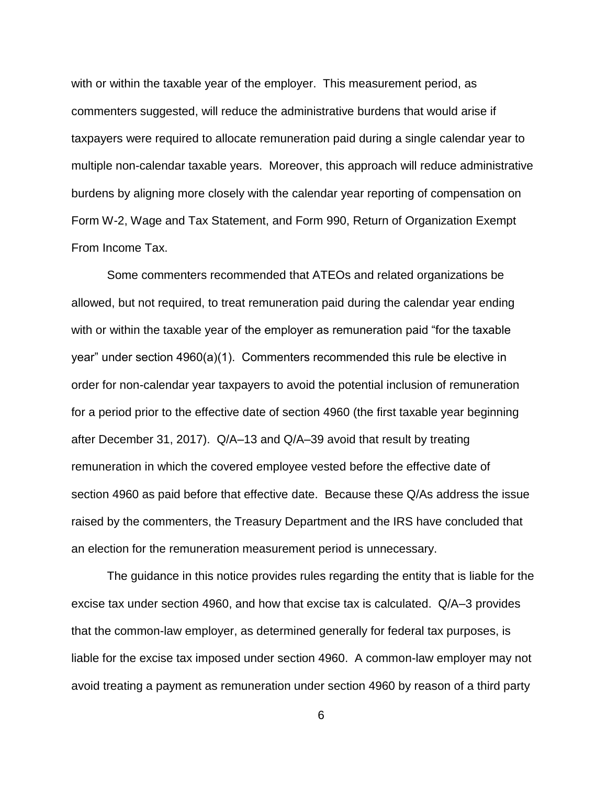with or within the taxable year of the employer. This measurement period, as commenters suggested, will reduce the administrative burdens that would arise if taxpayers were required to allocate remuneration paid during a single calendar year to multiple non-calendar taxable years. Moreover, this approach will reduce administrative burdens by aligning more closely with the calendar year reporting of compensation on Form W-2, Wage and Tax Statement, and Form 990, Return of Organization Exempt From Income Tax.

Some commenters recommended that ATEOs and related organizations be allowed, but not required, to treat remuneration paid during the calendar year ending with or within the taxable year of the employer as remuneration paid "for the taxable year" under section 4960(a)(1). Commenters recommended this rule be elective in order for non-calendar year taxpayers to avoid the potential inclusion of remuneration for a period prior to the effective date of section 4960 (the first taxable year beginning after December 31, 2017). Q/A–13 and Q/A–39 avoid that result by treating remuneration in which the covered employee vested before the effective date of section 4960 as paid before that effective date. Because these Q/As address the issue raised by the commenters, the Treasury Department and the IRS have concluded that an election for the remuneration measurement period is unnecessary.

The guidance in this notice provides rules regarding the entity that is liable for the excise tax under section 4960, and how that excise tax is calculated. Q/A–3 provides that the common-law employer, as determined generally for federal tax purposes, is liable for the excise tax imposed under section 4960. A common-law employer may not avoid treating a payment as remuneration under section 4960 by reason of a third party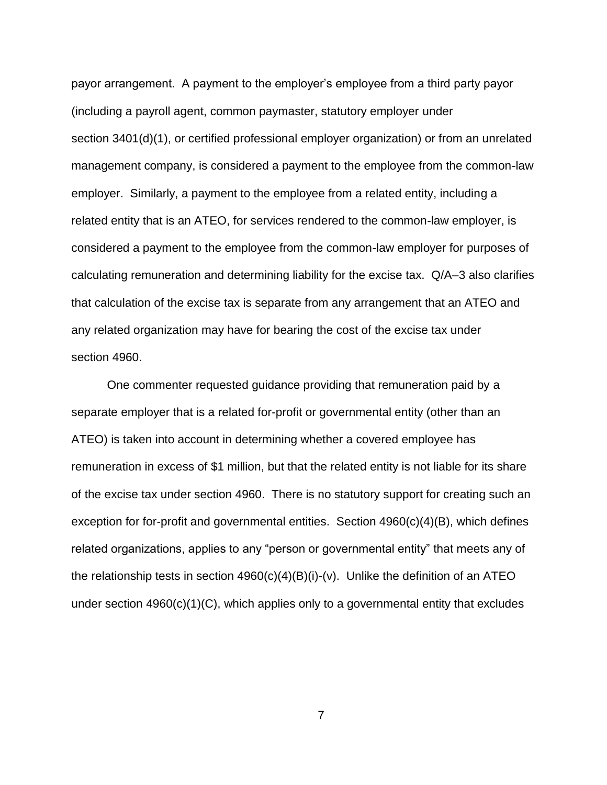payor arrangement. A payment to the employer's employee from a third party payor (including a payroll agent, common paymaster, statutory employer under section 3401(d)(1), or certified professional employer organization) or from an unrelated management company, is considered a payment to the employee from the common-law employer. Similarly, a payment to the employee from a related entity, including a related entity that is an ATEO, for services rendered to the common-law employer, is considered a payment to the employee from the common-law employer for purposes of calculating remuneration and determining liability for the excise tax. Q/A–3 also clarifies that calculation of the excise tax is separate from any arrangement that an ATEO and any related organization may have for bearing the cost of the excise tax under section 4960.

One commenter requested guidance providing that remuneration paid by a separate employer that is a related for-profit or governmental entity (other than an ATEO) is taken into account in determining whether a covered employee has remuneration in excess of \$1 million, but that the related entity is not liable for its share of the excise tax under section 4960. There is no statutory support for creating such an exception for for-profit and governmental entities. Section 4960(c)(4)(B), which defines related organizations, applies to any "person or governmental entity" that meets any of the relationship tests in section  $4960(c)(4)(B)(i)-(v)$ . Unlike the definition of an ATEO under section 4960(c)(1)(C), which applies only to a governmental entity that excludes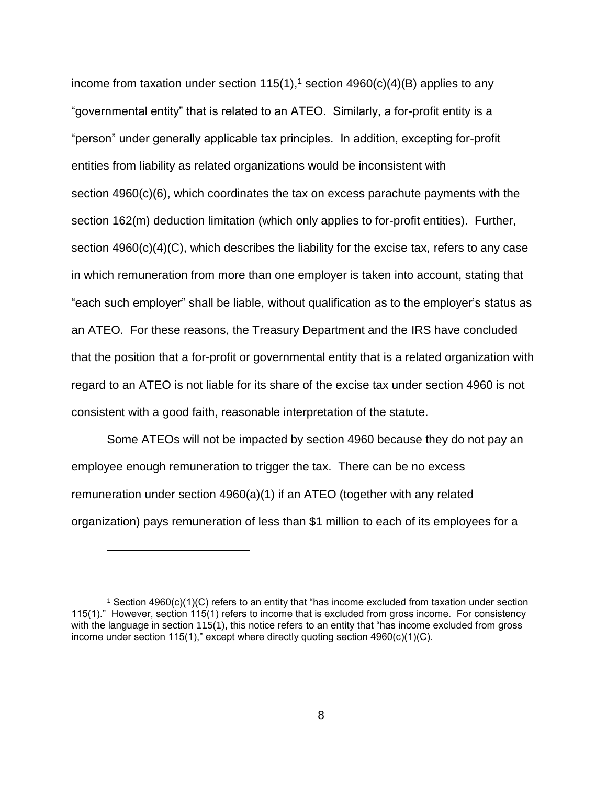income from taxation under section 115(1),<sup>1</sup> section 4960(c)(4)(B) applies to any "governmental entity" that is related to an ATEO. Similarly, a for-profit entity is a "person" under generally applicable tax principles. In addition, excepting for-profit entities from liability as related organizations would be inconsistent with section 4960(c)(6), which coordinates the tax on excess parachute payments with the section 162(m) deduction limitation (which only applies to for-profit entities). Further, section  $4960(c)(4)(C)$ , which describes the liability for the excise tax, refers to any case in which remuneration from more than one employer is taken into account, stating that "each such employer" shall be liable, without qualification as to the employer's status as an ATEO. For these reasons, the Treasury Department and the IRS have concluded that the position that a for-profit or governmental entity that is a related organization with regard to an ATEO is not liable for its share of the excise tax under section 4960 is not consistent with a good faith, reasonable interpretation of the statute.

Some ATEOs will not be impacted by section 4960 because they do not pay an employee enough remuneration to trigger the tax. There can be no excess remuneration under section 4960(a)(1) if an ATEO (together with any related organization) pays remuneration of less than \$1 million to each of its employees for a

 $\overline{a}$ 

<sup>1</sup> Section 4960(c)(1)(C) refers to an entity that "has income excluded from taxation under section 115(1)." However, section 115(1) refers to income that is excluded from gross income. For consistency with the language in section 115(1), this notice refers to an entity that "has income excluded from gross income under section 115(1)," except where directly quoting section 4960(c)(1)(C).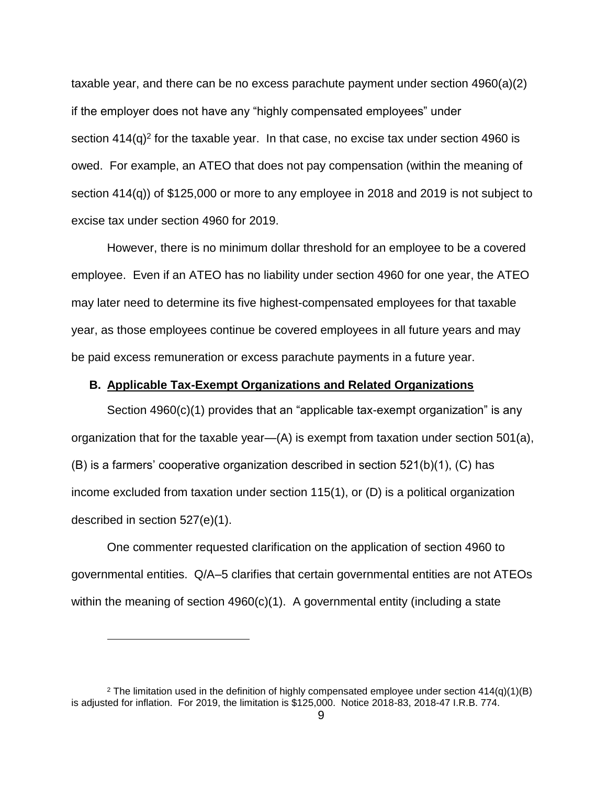taxable year, and there can be no excess parachute payment under section 4960(a)(2) if the employer does not have any "highly compensated employees" under section  $414(q)^2$  for the taxable year. In that case, no excise tax under section 4960 is owed. For example, an ATEO that does not pay compensation (within the meaning of section 414(q)) of \$125,000 or more to any employee in 2018 and 2019 is not subject to excise tax under section 4960 for 2019.

However, there is no minimum dollar threshold for an employee to be a covered employee. Even if an ATEO has no liability under section 4960 for one year, the ATEO may later need to determine its five highest-compensated employees for that taxable year, as those employees continue be covered employees in all future years and may be paid excess remuneration or excess parachute payments in a future year.

## <span id="page-8-0"></span>**B. Applicable Tax-Exempt Organizations and Related Organizations**

Section 4960(c)(1) provides that an "applicable tax-exempt organization" is any organization that for the taxable year—(A) is exempt from taxation under section 501(a), (B) is a farmers' cooperative organization described in section 521(b)(1), (C) has income excluded from taxation under section 115(1), or (D) is a political organization described in section 527(e)(1).

One commenter requested clarification on the application of section 4960 to governmental entities. Q/A–5 clarifies that certain governmental entities are not ATEOs within the meaning of section 4960(c)(1). A governmental entity (including a state

 $\overline{a}$ 

<sup>&</sup>lt;sup>2</sup> The limitation used in the definition of highly compensated employee under section  $414(q)(1)(B)$ is adjusted for inflation. For 2019, the limitation is \$125,000. Notice 2018-83, 2018-47 I.R.B. 774.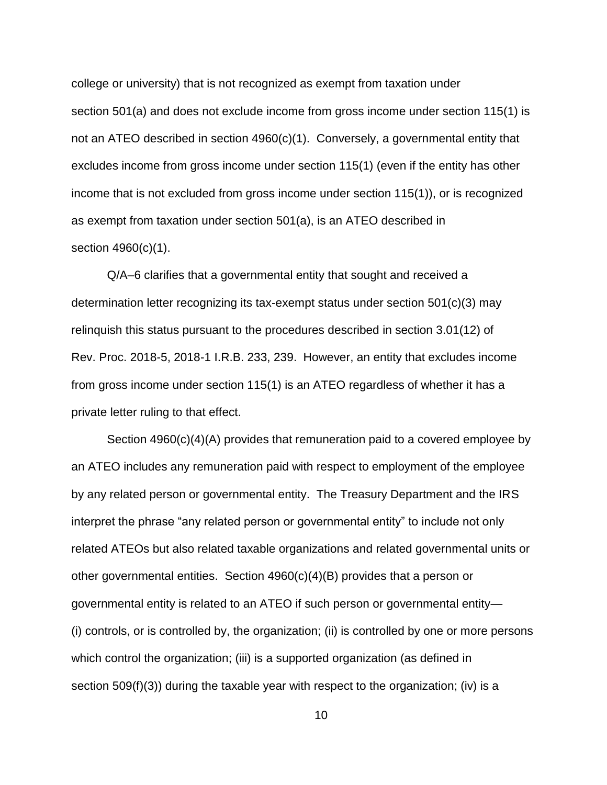college or university) that is not recognized as exempt from taxation under section 501(a) and does not exclude income from gross income under section 115(1) is not an ATEO described in section 4960(c)(1). Conversely, a governmental entity that excludes income from gross income under section 115(1) (even if the entity has other income that is not excluded from gross income under section 115(1)), or is recognized as exempt from taxation under section 501(a), is an ATEO described in section 4960(c)(1).

Q/A–6 clarifies that a governmental entity that sought and received a determination letter recognizing its tax-exempt status under section 501(c)(3) may relinquish this status pursuant to the procedures described in section 3.01(12) of Rev. Proc. 2018-5, 2018-1 I.R.B. 233, 239. However, an entity that excludes income from gross income under section 115(1) is an ATEO regardless of whether it has a private letter ruling to that effect.

Section 4960(c)(4)(A) provides that remuneration paid to a covered employee by an ATEO includes any remuneration paid with respect to employment of the employee by any related person or governmental entity. The Treasury Department and the IRS interpret the phrase "any related person or governmental entity" to include not only related ATEOs but also related taxable organizations and related governmental units or other governmental entities. Section 4960(c)(4)(B) provides that a person or governmental entity is related to an ATEO if such person or governmental entity— (i) controls, or is controlled by, the organization; (ii) is controlled by one or more persons which control the organization; (iii) is a supported organization (as defined in section 509(f)(3)) during the taxable year with respect to the organization; (iv) is a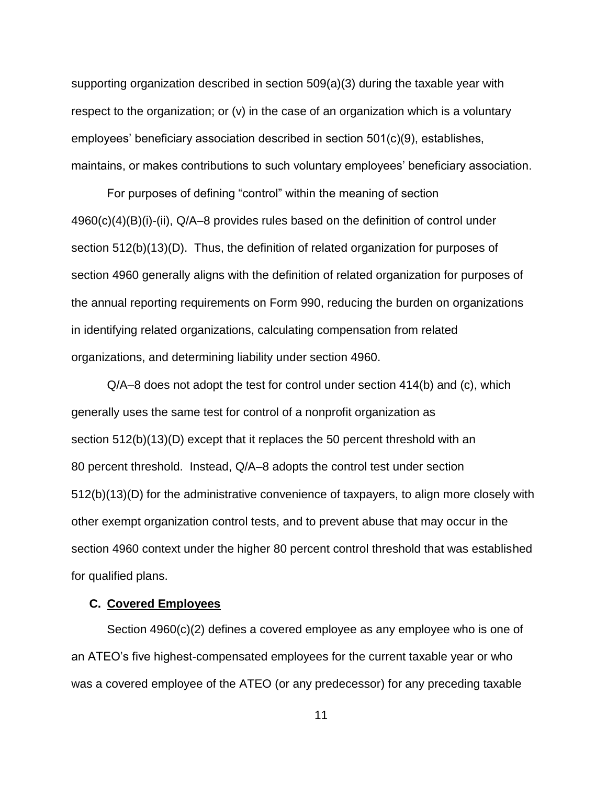supporting organization described in section 509(a)(3) during the taxable year with respect to the organization; or (v) in the case of an organization which is a voluntary employees' beneficiary association described in section 501(c)(9), establishes, maintains, or makes contributions to such voluntary employees' beneficiary association.

For purposes of defining "control" within the meaning of section 4960(c)(4)(B)(i)-(ii), Q/A–8 provides rules based on the definition of control under section 512(b)(13)(D). Thus, the definition of related organization for purposes of section 4960 generally aligns with the definition of related organization for purposes of the annual reporting requirements on Form 990, reducing the burden on organizations in identifying related organizations, calculating compensation from related organizations, and determining liability under section 4960.

Q/A–8 does not adopt the test for control under section 414(b) and (c), which generally uses the same test for control of a nonprofit organization as section 512(b)(13)(D) except that it replaces the 50 percent threshold with an 80 percent threshold. Instead, Q/A–8 adopts the control test under section 512(b)(13)(D) for the administrative convenience of taxpayers, to align more closely with other exempt organization control tests, and to prevent abuse that may occur in the section 4960 context under the higher 80 percent control threshold that was established for qualified plans.

### <span id="page-10-0"></span>**C. Covered Employees**

Section 4960(c)(2) defines a covered employee as any employee who is one of an ATEO's five highest-compensated employees for the current taxable year or who was a covered employee of the ATEO (or any predecessor) for any preceding taxable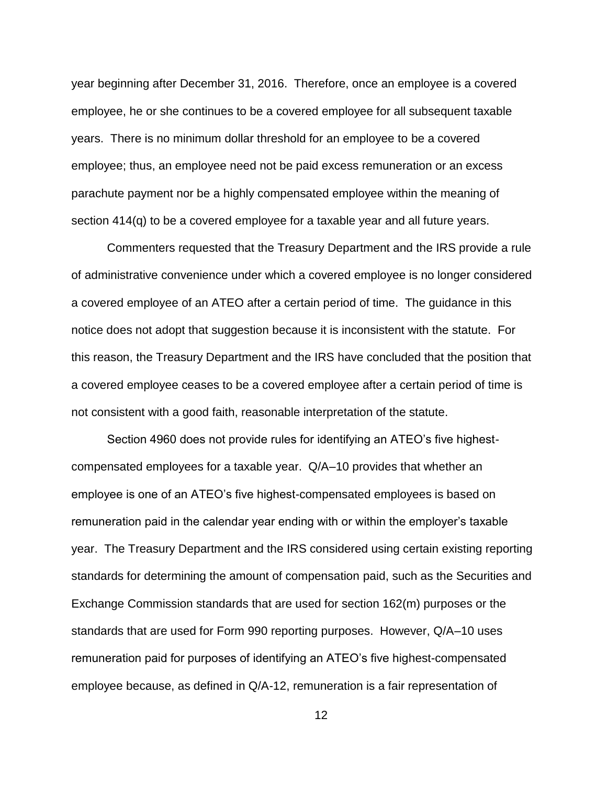year beginning after December 31, 2016. Therefore, once an employee is a covered employee, he or she continues to be a covered employee for all subsequent taxable years. There is no minimum dollar threshold for an employee to be a covered employee; thus, an employee need not be paid excess remuneration or an excess parachute payment nor be a highly compensated employee within the meaning of section 414(q) to be a covered employee for a taxable year and all future years.

Commenters requested that the Treasury Department and the IRS provide a rule of administrative convenience under which a covered employee is no longer considered a covered employee of an ATEO after a certain period of time. The guidance in this notice does not adopt that suggestion because it is inconsistent with the statute. For this reason, the Treasury Department and the IRS have concluded that the position that a covered employee ceases to be a covered employee after a certain period of time is not consistent with a good faith, reasonable interpretation of the statute.

Section 4960 does not provide rules for identifying an ATEO's five highestcompensated employees for a taxable year. Q/A–10 provides that whether an employee is one of an ATEO's five highest-compensated employees is based on remuneration paid in the calendar year ending with or within the employer's taxable year. The Treasury Department and the IRS considered using certain existing reporting standards for determining the amount of compensation paid, such as the Securities and Exchange Commission standards that are used for section 162(m) purposes or the standards that are used for Form 990 reporting purposes. However, Q/A–10 uses remuneration paid for purposes of identifying an ATEO's five highest-compensated employee because, as defined in Q/A-12, remuneration is a fair representation of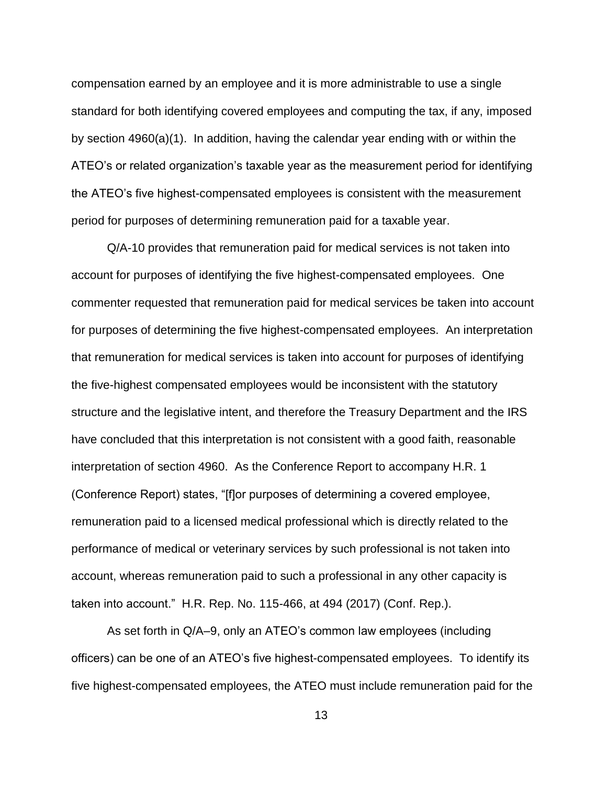compensation earned by an employee and it is more administrable to use a single standard for both identifying covered employees and computing the tax, if any, imposed by section 4960(a)(1). In addition, having the calendar year ending with or within the ATEO's or related organization's taxable year as the measurement period for identifying the ATEO's five highest-compensated employees is consistent with the measurement period for purposes of determining remuneration paid for a taxable year.

Q/A-10 provides that remuneration paid for medical services is not taken into account for purposes of identifying the five highest-compensated employees. One commenter requested that remuneration paid for medical services be taken into account for purposes of determining the five highest-compensated employees. An interpretation that remuneration for medical services is taken into account for purposes of identifying the five-highest compensated employees would be inconsistent with the statutory structure and the legislative intent, and therefore the Treasury Department and the IRS have concluded that this interpretation is not consistent with a good faith, reasonable interpretation of section 4960. As the Conference Report to accompany H.R. 1 (Conference Report) states, "[f]or purposes of determining a covered employee, remuneration paid to a licensed medical professional which is directly related to the performance of medical or veterinary services by such professional is not taken into account, whereas remuneration paid to such a professional in any other capacity is taken into account." H.R. Rep. No. 115-466, at 494 (2017) (Conf. Rep.).

As set forth in Q/A–9, only an ATEO's common law employees (including officers) can be one of an ATEO's five highest-compensated employees. To identify its five highest-compensated employees, the ATEO must include remuneration paid for the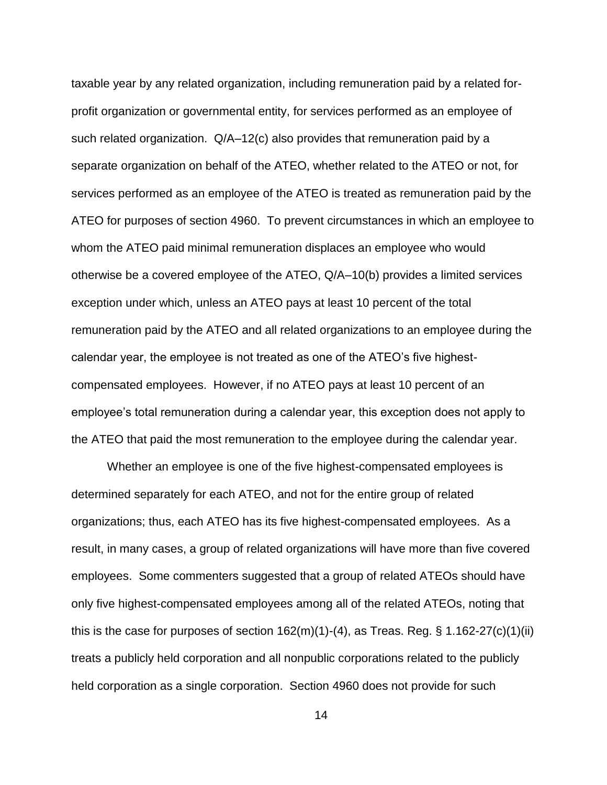taxable year by any related organization, including remuneration paid by a related forprofit organization or governmental entity, for services performed as an employee of such related organization. Q/A–12(c) also provides that remuneration paid by a separate organization on behalf of the ATEO, whether related to the ATEO or not, for services performed as an employee of the ATEO is treated as remuneration paid by the ATEO for purposes of section 4960. To prevent circumstances in which an employee to whom the ATEO paid minimal remuneration displaces an employee who would otherwise be a covered employee of the ATEO, Q/A–10(b) provides a limited services exception under which, unless an ATEO pays at least 10 percent of the total remuneration paid by the ATEO and all related organizations to an employee during the calendar year, the employee is not treated as one of the ATEO's five highestcompensated employees. However, if no ATEO pays at least 10 percent of an employee's total remuneration during a calendar year, this exception does not apply to the ATEO that paid the most remuneration to the employee during the calendar year.

Whether an employee is one of the five highest-compensated employees is determined separately for each ATEO, and not for the entire group of related organizations; thus, each ATEO has its five highest-compensated employees. As a result, in many cases, a group of related organizations will have more than five covered employees. Some commenters suggested that a group of related ATEOs should have only five highest-compensated employees among all of the related ATEOs, noting that this is the case for purposes of section 162(m)(1)-(4), as Treas. Reg. § 1.162-27(c)(1)(ii) treats a publicly held corporation and all nonpublic corporations related to the publicly held corporation as a single corporation. Section 4960 does not provide for such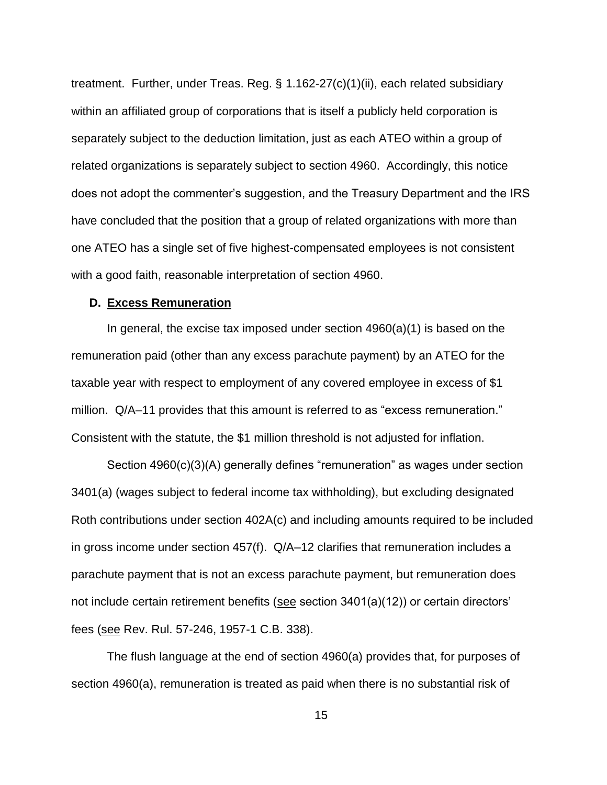treatment. Further, under Treas. Reg. § 1.162-27(c)(1)(ii), each related subsidiary within an affiliated group of corporations that is itself a publicly held corporation is separately subject to the deduction limitation, just as each ATEO within a group of related organizations is separately subject to section 4960. Accordingly, this notice does not adopt the commenter's suggestion, and the Treasury Department and the IRS have concluded that the position that a group of related organizations with more than one ATEO has a single set of five highest-compensated employees is not consistent with a good faith, reasonable interpretation of section 4960.

## <span id="page-14-0"></span>**D. Excess Remuneration**

In general, the excise tax imposed under section  $4960(a)(1)$  is based on the remuneration paid (other than any excess parachute payment) by an ATEO for the taxable year with respect to employment of any covered employee in excess of \$1 million. Q/A–11 provides that this amount is referred to as "excess remuneration." Consistent with the statute, the \$1 million threshold is not adjusted for inflation.

Section 4960(c)(3)(A) generally defines "remuneration" as wages under section 3401(a) (wages subject to federal income tax withholding), but excluding designated Roth contributions under section 402A(c) and including amounts required to be included in gross income under section 457(f). Q/A–12 clarifies that remuneration includes a parachute payment that is not an excess parachute payment, but remuneration does not include certain retirement benefits (see section 3401(a)(12)) or certain directors' fees (see Rev. Rul. 57-246, 1957-1 C.B. 338).

The flush language at the end of section 4960(a) provides that, for purposes of section 4960(a), remuneration is treated as paid when there is no substantial risk of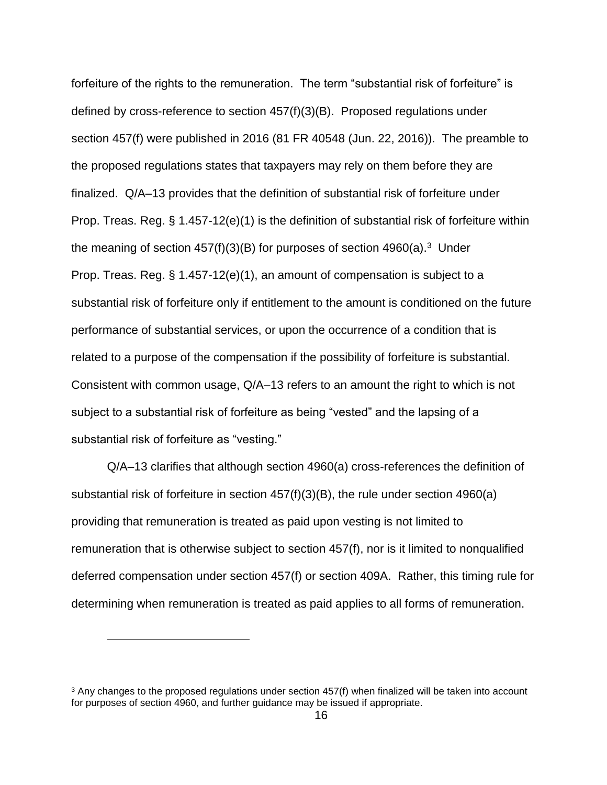forfeiture of the rights to the remuneration. The term "substantial risk of forfeiture" is defined by cross-reference to section 457(f)(3)(B). Proposed regulations under section 457(f) were published in 2016 (81 FR 40548 (Jun. 22, 2016)). The preamble to the proposed regulations states that taxpayers may rely on them before they are finalized. Q/A–13 provides that the definition of substantial risk of forfeiture under Prop. Treas. Reg. § 1.457-12(e)(1) is the definition of substantial risk of forfeiture within the meaning of section  $457(f)(3)(B)$  for purposes of section  $4960(a).$ <sup>3</sup> Under Prop. Treas. Reg. § 1.457-12(e)(1), an amount of compensation is subject to a substantial risk of forfeiture only if entitlement to the amount is conditioned on the future performance of substantial services, or upon the occurrence of a condition that is related to a purpose of the compensation if the possibility of forfeiture is substantial. Consistent with common usage, Q/A–13 refers to an amount the right to which is not subject to a substantial risk of forfeiture as being "vested" and the lapsing of a substantial risk of forfeiture as "vesting."

Q/A–13 clarifies that although section 4960(a) cross-references the definition of substantial risk of forfeiture in section 457(f)(3)(B), the rule under section 4960(a) providing that remuneration is treated as paid upon vesting is not limited to remuneration that is otherwise subject to section 457(f), nor is it limited to nonqualified deferred compensation under section 457(f) or section 409A. Rather, this timing rule for determining when remuneration is treated as paid applies to all forms of remuneration.

 $\overline{a}$ 

<sup>3</sup> Any changes to the proposed regulations under section 457(f) when finalized will be taken into account for purposes of section 4960, and further guidance may be issued if appropriate.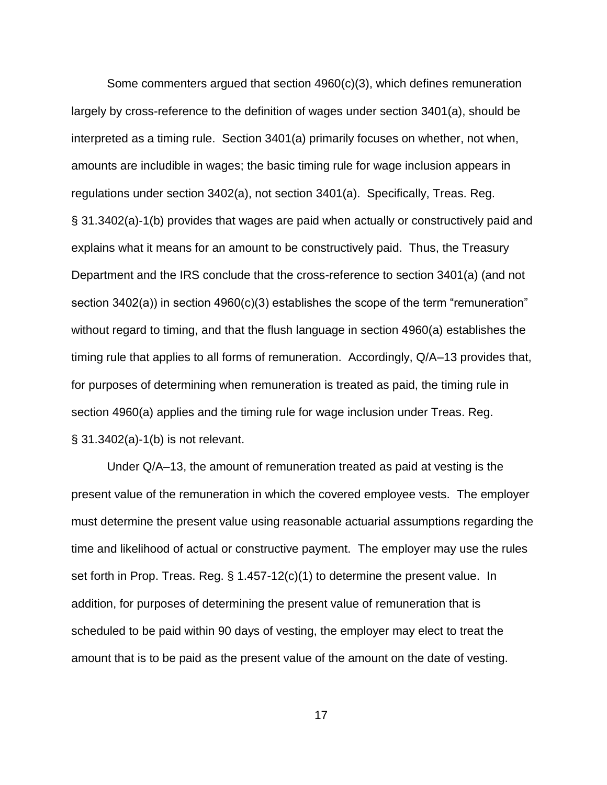Some commenters argued that section 4960(c)(3), which defines remuneration largely by cross-reference to the definition of wages under section 3401(a), should be interpreted as a timing rule. Section 3401(a) primarily focuses on whether, not when, amounts are includible in wages; the basic timing rule for wage inclusion appears in regulations under section 3402(a), not section 3401(a). Specifically, Treas. Reg. § 31.3402(a)-1(b) provides that wages are paid when actually or constructively paid and explains what it means for an amount to be constructively paid. Thus, the Treasury Department and the IRS conclude that the cross-reference to section 3401(a) (and not section 3402(a)) in section 4960(c)(3) establishes the scope of the term "remuneration" without regard to timing, and that the flush language in section 4960(a) establishes the timing rule that applies to all forms of remuneration. Accordingly, Q/A–13 provides that, for purposes of determining when remuneration is treated as paid, the timing rule in section 4960(a) applies and the timing rule for wage inclusion under Treas. Reg. § 31.3402(a)-1(b) is not relevant.

Under Q/A–13, the amount of remuneration treated as paid at vesting is the present value of the remuneration in which the covered employee vests. The employer must determine the present value using reasonable actuarial assumptions regarding the time and likelihood of actual or constructive payment. The employer may use the rules set forth in Prop. Treas. Reg. § 1.457-12(c)(1) to determine the present value. In addition, for purposes of determining the present value of remuneration that is scheduled to be paid within 90 days of vesting, the employer may elect to treat the amount that is to be paid as the present value of the amount on the date of vesting.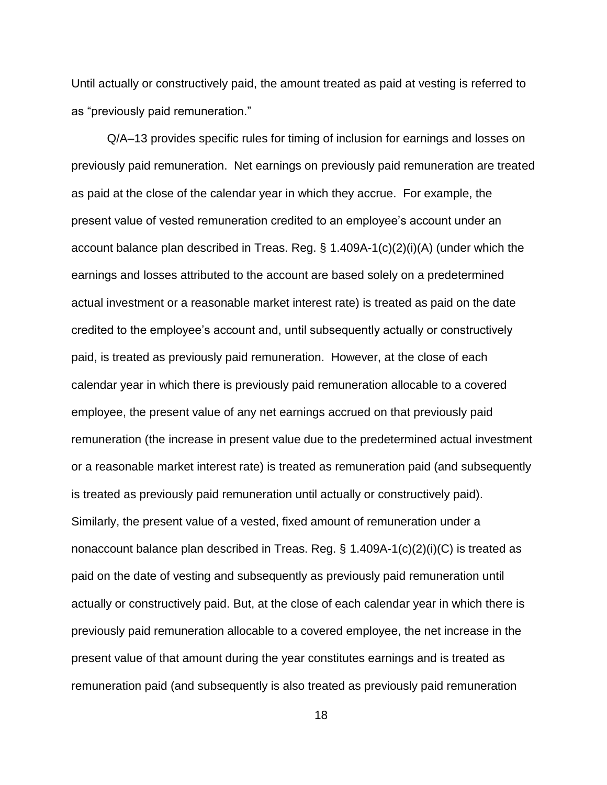Until actually or constructively paid, the amount treated as paid at vesting is referred to as "previously paid remuneration."

Q/A–13 provides specific rules for timing of inclusion for earnings and losses on previously paid remuneration. Net earnings on previously paid remuneration are treated as paid at the close of the calendar year in which they accrue. For example, the present value of vested remuneration credited to an employee's account under an account balance plan described in Treas. Reg. § 1.409A-1(c)(2)(i)(A) (under which the earnings and losses attributed to the account are based solely on a predetermined actual investment or a reasonable market interest rate) is treated as paid on the date credited to the employee's account and, until subsequently actually or constructively paid, is treated as previously paid remuneration. However, at the close of each calendar year in which there is previously paid remuneration allocable to a covered employee, the present value of any net earnings accrued on that previously paid remuneration (the increase in present value due to the predetermined actual investment or a reasonable market interest rate) is treated as remuneration paid (and subsequently is treated as previously paid remuneration until actually or constructively paid). Similarly, the present value of a vested, fixed amount of remuneration under a nonaccount balance plan described in Treas. Reg. § 1.409A-1(c)(2)(i)(C) is treated as paid on the date of vesting and subsequently as previously paid remuneration until actually or constructively paid. But, at the close of each calendar year in which there is previously paid remuneration allocable to a covered employee, the net increase in the present value of that amount during the year constitutes earnings and is treated as remuneration paid (and subsequently is also treated as previously paid remuneration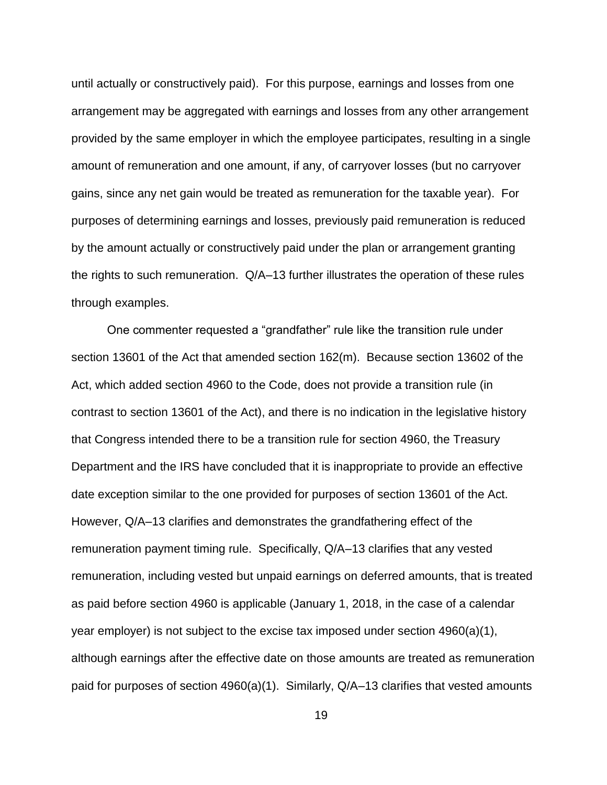until actually or constructively paid). For this purpose, earnings and losses from one arrangement may be aggregated with earnings and losses from any other arrangement provided by the same employer in which the employee participates, resulting in a single amount of remuneration and one amount, if any, of carryover losses (but no carryover gains, since any net gain would be treated as remuneration for the taxable year). For purposes of determining earnings and losses, previously paid remuneration is reduced by the amount actually or constructively paid under the plan or arrangement granting the rights to such remuneration. Q/A–13 further illustrates the operation of these rules through examples.

One commenter requested a "grandfather" rule like the transition rule under section 13601 of the Act that amended section 162(m). Because section 13602 of the Act, which added section 4960 to the Code, does not provide a transition rule (in contrast to section 13601 of the Act), and there is no indication in the legislative history that Congress intended there to be a transition rule for section 4960, the Treasury Department and the IRS have concluded that it is inappropriate to provide an effective date exception similar to the one provided for purposes of section 13601 of the Act. However, Q/A–13 clarifies and demonstrates the grandfathering effect of the remuneration payment timing rule. Specifically, Q/A–13 clarifies that any vested remuneration, including vested but unpaid earnings on deferred amounts, that is treated as paid before section 4960 is applicable (January 1, 2018, in the case of a calendar year employer) is not subject to the excise tax imposed under section 4960(a)(1), although earnings after the effective date on those amounts are treated as remuneration paid for purposes of section 4960(a)(1). Similarly, Q/A–13 clarifies that vested amounts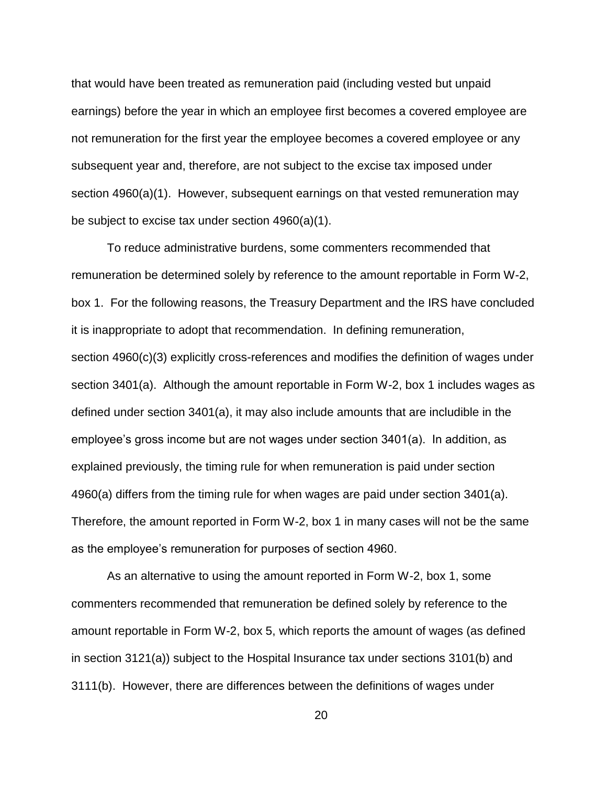that would have been treated as remuneration paid (including vested but unpaid earnings) before the year in which an employee first becomes a covered employee are not remuneration for the first year the employee becomes a covered employee or any subsequent year and, therefore, are not subject to the excise tax imposed under section 4960(a)(1). However, subsequent earnings on that vested remuneration may be subject to excise tax under section 4960(a)(1).

To reduce administrative burdens, some commenters recommended that remuneration be determined solely by reference to the amount reportable in Form W-2, box 1. For the following reasons, the Treasury Department and the IRS have concluded it is inappropriate to adopt that recommendation. In defining remuneration, section 4960(c)(3) explicitly cross-references and modifies the definition of wages under section 3401(a). Although the amount reportable in Form W-2, box 1 includes wages as defined under section 3401(a), it may also include amounts that are includible in the employee's gross income but are not wages under section 3401(a). In addition, as explained previously, the timing rule for when remuneration is paid under section 4960(a) differs from the timing rule for when wages are paid under section 3401(a). Therefore, the amount reported in Form W-2, box 1 in many cases will not be the same as the employee's remuneration for purposes of section 4960.

As an alternative to using the amount reported in Form W-2, box 1, some commenters recommended that remuneration be defined solely by reference to the amount reportable in Form W-2, box 5, which reports the amount of wages (as defined in section 3121(a)) subject to the Hospital Insurance tax under sections 3101(b) and 3111(b). However, there are differences between the definitions of wages under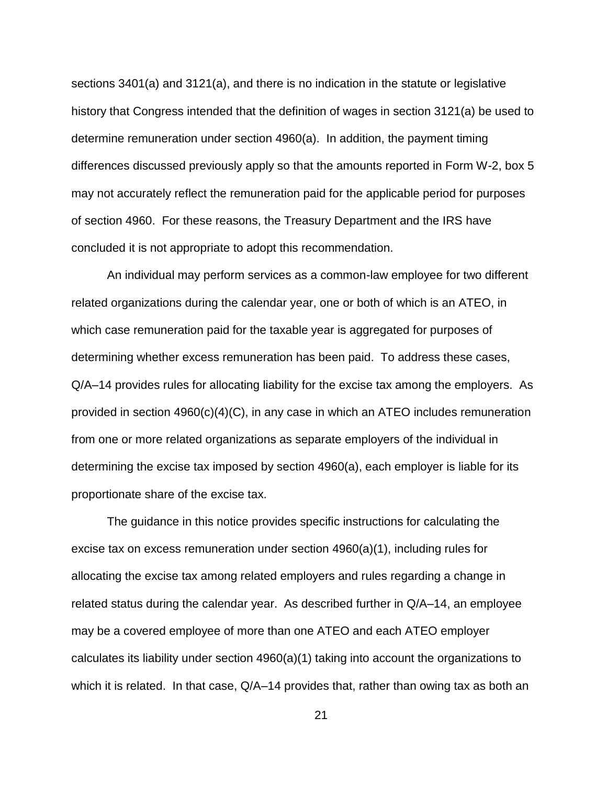sections 3401(a) and 3121(a), and there is no indication in the statute or legislative history that Congress intended that the definition of wages in section 3121(a) be used to determine remuneration under section 4960(a). In addition, the payment timing differences discussed previously apply so that the amounts reported in Form W-2, box 5 may not accurately reflect the remuneration paid for the applicable period for purposes of section 4960. For these reasons, the Treasury Department and the IRS have concluded it is not appropriate to adopt this recommendation.

An individual may perform services as a common-law employee for two different related organizations during the calendar year, one or both of which is an ATEO, in which case remuneration paid for the taxable year is aggregated for purposes of determining whether excess remuneration has been paid. To address these cases, Q/A–14 provides rules for allocating liability for the excise tax among the employers. As provided in section 4960(c)(4)(C), in any case in which an ATEO includes remuneration from one or more related organizations as separate employers of the individual in determining the excise tax imposed by section 4960(a), each employer is liable for its proportionate share of the excise tax.

The guidance in this notice provides specific instructions for calculating the excise tax on excess remuneration under section  $4960(a)(1)$ , including rules for allocating the excise tax among related employers and rules regarding a change in related status during the calendar year. As described further in Q/A–14, an employee may be a covered employee of more than one ATEO and each ATEO employer calculates its liability under section 4960(a)(1) taking into account the organizations to which it is related. In that case, Q/A–14 provides that, rather than owing tax as both an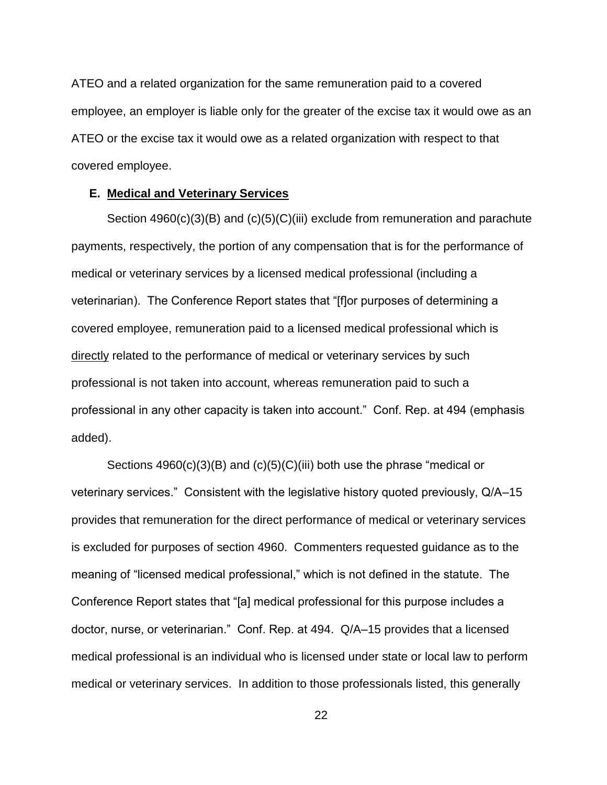ATEO and a related organization for the same remuneration paid to a covered employee, an employer is liable only for the greater of the excise tax it would owe as an ATEO or the excise tax it would owe as a related organization with respect to that covered employee.

## <span id="page-21-0"></span>**E. Medical and Veterinary Services**

Section 4960(c)(3)(B) and (c)(5)(C)(iii) exclude from remuneration and parachute payments, respectively, the portion of any compensation that is for the performance of medical or veterinary services by a licensed medical professional (including a veterinarian). The Conference Report states that "[f]or purposes of determining a covered employee, remuneration paid to a licensed medical professional which is directly related to the performance of medical or veterinary services by such professional is not taken into account, whereas remuneration paid to such a professional in any other capacity is taken into account." Conf. Rep. at 494 (emphasis added).

Sections 4960(c)(3)(B) and (c)(5)(C)(iii) both use the phrase "medical or veterinary services." Consistent with the legislative history quoted previously, Q/A–15 provides that remuneration for the direct performance of medical or veterinary services is excluded for purposes of section 4960. Commenters requested guidance as to the meaning of "licensed medical professional," which is not defined in the statute. The Conference Report states that "[a] medical professional for this purpose includes a doctor, nurse, or veterinarian." Conf. Rep. at 494. Q/A–15 provides that a licensed medical professional is an individual who is licensed under state or local law to perform medical or veterinary services. In addition to those professionals listed, this generally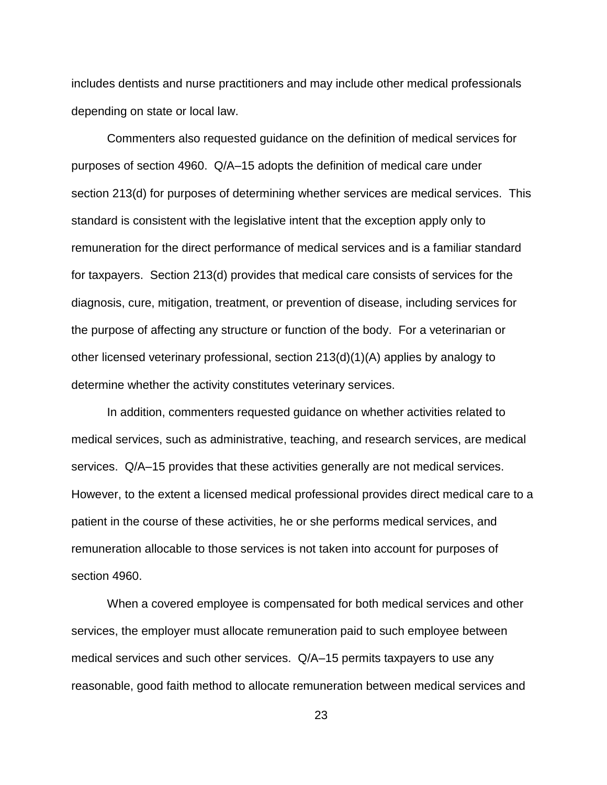includes dentists and nurse practitioners and may include other medical professionals depending on state or local law.

Commenters also requested guidance on the definition of medical services for purposes of section 4960. Q/A–15 adopts the definition of medical care under section 213(d) for purposes of determining whether services are medical services. This standard is consistent with the legislative intent that the exception apply only to remuneration for the direct performance of medical services and is a familiar standard for taxpayers. Section 213(d) provides that medical care consists of services for the diagnosis, cure, mitigation, treatment, or prevention of disease, including services for the purpose of affecting any structure or function of the body. For a veterinarian or other licensed veterinary professional, section 213(d)(1)(A) applies by analogy to determine whether the activity constitutes veterinary services.

In addition, commenters requested guidance on whether activities related to medical services, such as administrative, teaching, and research services, are medical services. Q/A–15 provides that these activities generally are not medical services. However, to the extent a licensed medical professional provides direct medical care to a patient in the course of these activities, he or she performs medical services, and remuneration allocable to those services is not taken into account for purposes of section 4960.

When a covered employee is compensated for both medical services and other services, the employer must allocate remuneration paid to such employee between medical services and such other services. Q/A–15 permits taxpayers to use any reasonable, good faith method to allocate remuneration between medical services and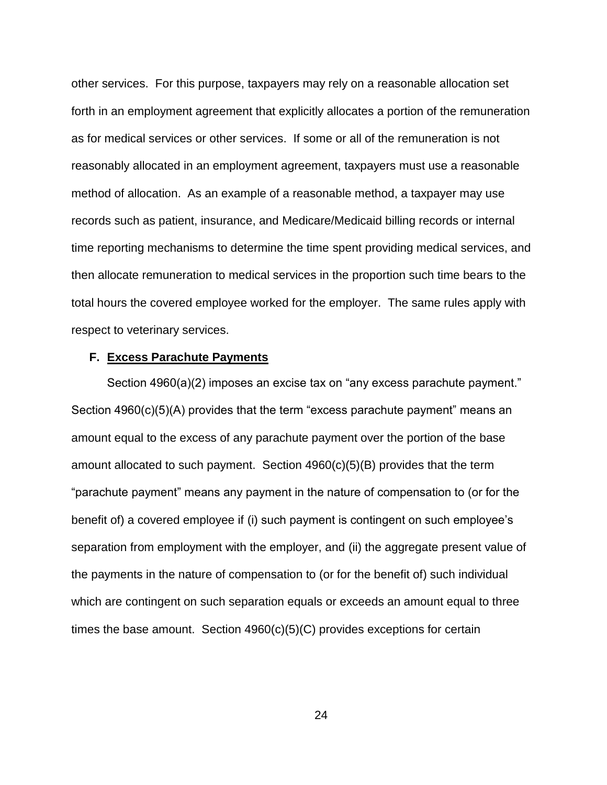other services. For this purpose, taxpayers may rely on a reasonable allocation set forth in an employment agreement that explicitly allocates a portion of the remuneration as for medical services or other services. If some or all of the remuneration is not reasonably allocated in an employment agreement, taxpayers must use a reasonable method of allocation. As an example of a reasonable method, a taxpayer may use records such as patient, insurance, and Medicare/Medicaid billing records or internal time reporting mechanisms to determine the time spent providing medical services, and then allocate remuneration to medical services in the proportion such time bears to the total hours the covered employee worked for the employer. The same rules apply with respect to veterinary services.

#### <span id="page-23-0"></span>**F. Excess Parachute Payments**

Section 4960(a)(2) imposes an excise tax on "any excess parachute payment." Section 4960(c)(5)(A) provides that the term "excess parachute payment" means an amount equal to the excess of any parachute payment over the portion of the base amount allocated to such payment. Section 4960(c)(5)(B) provides that the term "parachute payment" means any payment in the nature of compensation to (or for the benefit of) a covered employee if (i) such payment is contingent on such employee's separation from employment with the employer, and (ii) the aggregate present value of the payments in the nature of compensation to (or for the benefit of) such individual which are contingent on such separation equals or exceeds an amount equal to three times the base amount. Section 4960(c)(5)(C) provides exceptions for certain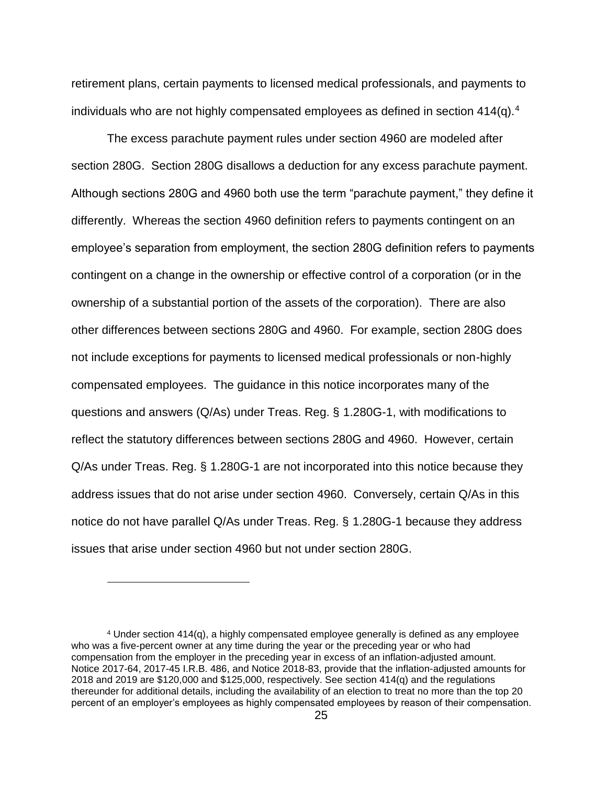retirement plans, certain payments to licensed medical professionals, and payments to individuals who are not highly compensated employees as defined in section 414(q).<sup>4</sup>

The excess parachute payment rules under section 4960 are modeled after section 280G. Section 280G disallows a deduction for any excess parachute payment. Although sections 280G and 4960 both use the term "parachute payment," they define it differently. Whereas the section 4960 definition refers to payments contingent on an employee's separation from employment, the section 280G definition refers to payments contingent on a change in the ownership or effective control of a corporation (or in the ownership of a substantial portion of the assets of the corporation). There are also other differences between sections 280G and 4960. For example, section 280G does not include exceptions for payments to licensed medical professionals or non-highly compensated employees. The guidance in this notice incorporates many of the questions and answers (Q/As) under Treas. Reg. § 1.280G-1, with modifications to reflect the statutory differences between sections 280G and 4960. However, certain Q/As under Treas. Reg. § 1.280G-1 are not incorporated into this notice because they address issues that do not arise under section 4960. Conversely, certain Q/As in this notice do not have parallel Q/As under Treas. Reg. § 1.280G-1 because they address issues that arise under section 4960 but not under section 280G.

 $\overline{a}$ 

<sup>4</sup> Under section 414(q), a highly compensated employee generally is defined as any employee who was a five-percent owner at any time during the year or the preceding year or who had compensation from the employer in the preceding year in excess of an inflation-adjusted amount. Notice 2017-64, 2017-45 I.R.B. 486, and Notice 2018-83, provide that the inflation-adjusted amounts for 2018 and 2019 are \$120,000 and \$125,000, respectively. See section 414(q) and the regulations thereunder for additional details, including the availability of an election to treat no more than the top 20 percent of an employer's employees as highly compensated employees by reason of their compensation.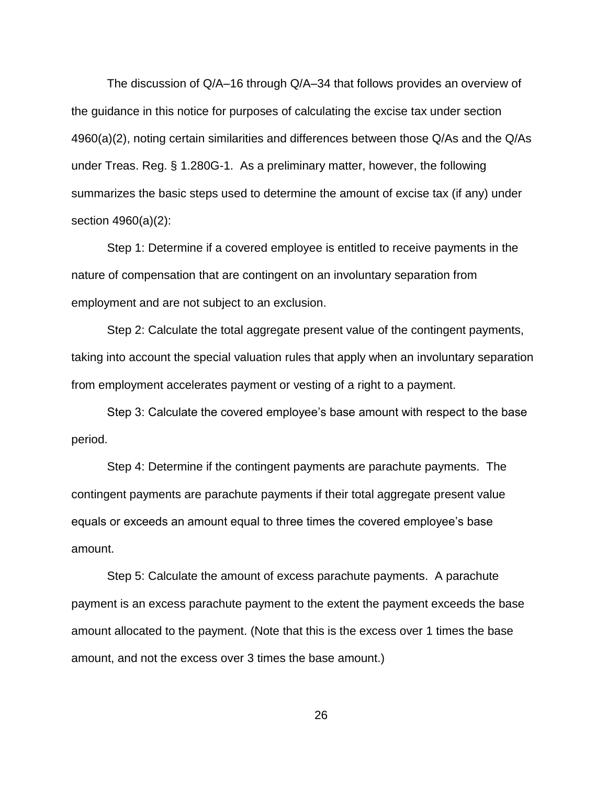The discussion of Q/A–16 through Q/A–34 that follows provides an overview of the guidance in this notice for purposes of calculating the excise tax under section 4960(a)(2), noting certain similarities and differences between those Q/As and the Q/As under Treas. Reg. § 1.280G-1. As a preliminary matter, however, the following summarizes the basic steps used to determine the amount of excise tax (if any) under section 4960(a)(2):

Step 1: Determine if a covered employee is entitled to receive payments in the nature of compensation that are contingent on an involuntary separation from employment and are not subject to an exclusion.

Step 2: Calculate the total aggregate present value of the contingent payments, taking into account the special valuation rules that apply when an involuntary separation from employment accelerates payment or vesting of a right to a payment.

Step 3: Calculate the covered employee's base amount with respect to the base period.

Step 4: Determine if the contingent payments are parachute payments. The contingent payments are parachute payments if their total aggregate present value equals or exceeds an amount equal to three times the covered employee's base amount.

Step 5: Calculate the amount of excess parachute payments. A parachute payment is an excess parachute payment to the extent the payment exceeds the base amount allocated to the payment. (Note that this is the excess over 1 times the base amount, and not the excess over 3 times the base amount.)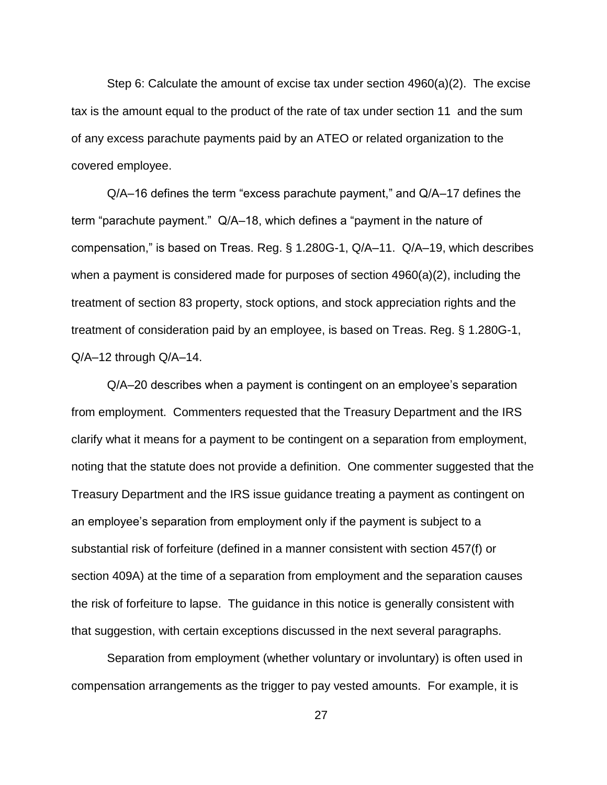Step 6: Calculate the amount of excise tax under section 4960(a)(2). The excise tax is the amount equal to the product of the rate of tax under section 11 and the sum of any excess parachute payments paid by an ATEO or related organization to the covered employee.

Q/A–16 defines the term "excess parachute payment," and Q/A–17 defines the term "parachute payment." Q/A–18, which defines a "payment in the nature of compensation," is based on Treas. Reg. § 1.280G-1, Q/A–11. Q/A–19, which describes when a payment is considered made for purposes of section 4960(a)(2), including the treatment of section 83 property, stock options, and stock appreciation rights and the treatment of consideration paid by an employee, is based on Treas. Reg. § 1.280G-1, Q/A–12 through Q/A–14.

Q/A–20 describes when a payment is contingent on an employee's separation from employment. Commenters requested that the Treasury Department and the IRS clarify what it means for a payment to be contingent on a separation from employment, noting that the statute does not provide a definition. One commenter suggested that the Treasury Department and the IRS issue guidance treating a payment as contingent on an employee's separation from employment only if the payment is subject to a substantial risk of forfeiture (defined in a manner consistent with section 457(f) or section 409A) at the time of a separation from employment and the separation causes the risk of forfeiture to lapse. The guidance in this notice is generally consistent with that suggestion, with certain exceptions discussed in the next several paragraphs.

Separation from employment (whether voluntary or involuntary) is often used in compensation arrangements as the trigger to pay vested amounts. For example, it is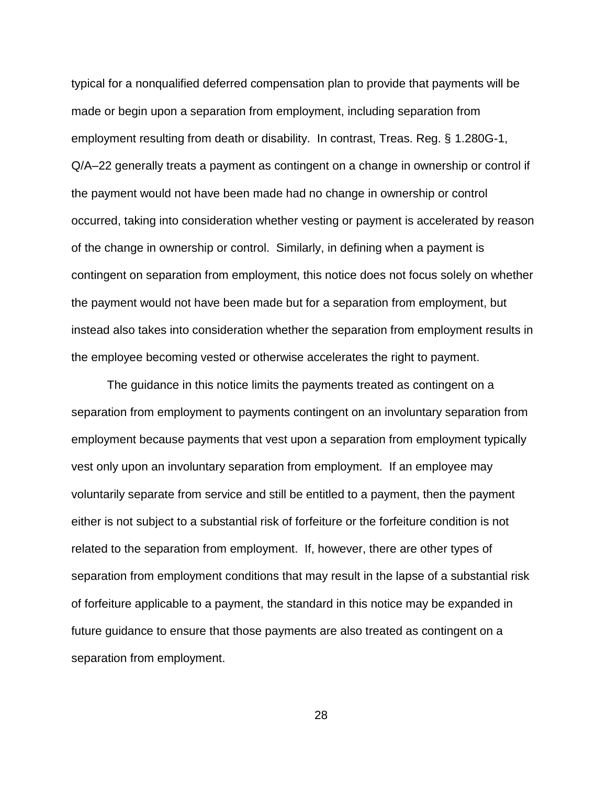typical for a nonqualified deferred compensation plan to provide that payments will be made or begin upon a separation from employment, including separation from employment resulting from death or disability. In contrast, Treas. Reg. § 1.280G-1, Q/A–22 generally treats a payment as contingent on a change in ownership or control if the payment would not have been made had no change in ownership or control occurred, taking into consideration whether vesting or payment is accelerated by reason of the change in ownership or control. Similarly, in defining when a payment is contingent on separation from employment, this notice does not focus solely on whether the payment would not have been made but for a separation from employment, but instead also takes into consideration whether the separation from employment results in the employee becoming vested or otherwise accelerates the right to payment.

The guidance in this notice limits the payments treated as contingent on a separation from employment to payments contingent on an involuntary separation from employment because payments that vest upon a separation from employment typically vest only upon an involuntary separation from employment. If an employee may voluntarily separate from service and still be entitled to a payment, then the payment either is not subject to a substantial risk of forfeiture or the forfeiture condition is not related to the separation from employment. If, however, there are other types of separation from employment conditions that may result in the lapse of a substantial risk of forfeiture applicable to a payment, the standard in this notice may be expanded in future guidance to ensure that those payments are also treated as contingent on a separation from employment.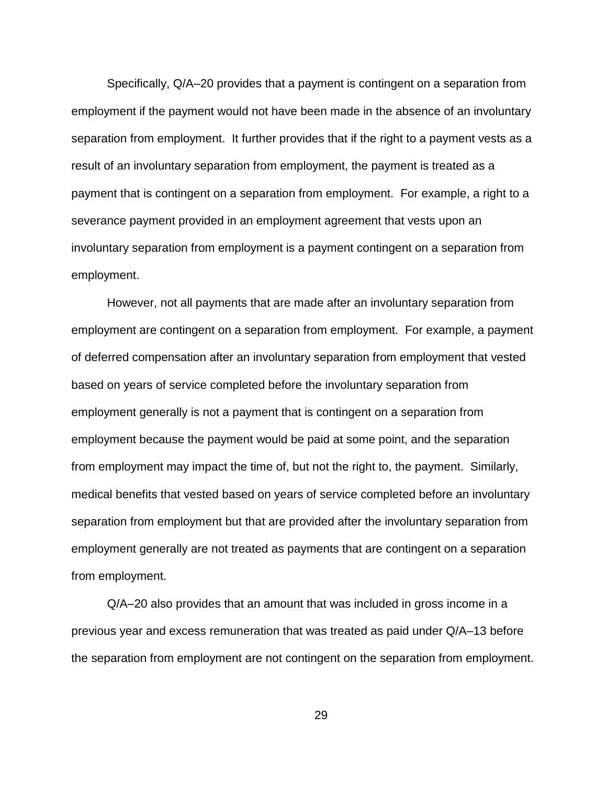Specifically, Q/A–20 provides that a payment is contingent on a separation from employment if the payment would not have been made in the absence of an involuntary separation from employment. It further provides that if the right to a payment vests as a result of an involuntary separation from employment, the payment is treated as a payment that is contingent on a separation from employment. For example, a right to a severance payment provided in an employment agreement that vests upon an involuntary separation from employment is a payment contingent on a separation from employment.

However, not all payments that are made after an involuntary separation from employment are contingent on a separation from employment. For example, a payment of deferred compensation after an involuntary separation from employment that vested based on years of service completed before the involuntary separation from employment generally is not a payment that is contingent on a separation from employment because the payment would be paid at some point, and the separation from employment may impact the time of, but not the right to, the payment. Similarly, medical benefits that vested based on years of service completed before an involuntary separation from employment but that are provided after the involuntary separation from employment generally are not treated as payments that are contingent on a separation from employment.

Q/A–20 also provides that an amount that was included in gross income in a previous year and excess remuneration that was treated as paid under Q/A–13 before the separation from employment are not contingent on the separation from employment.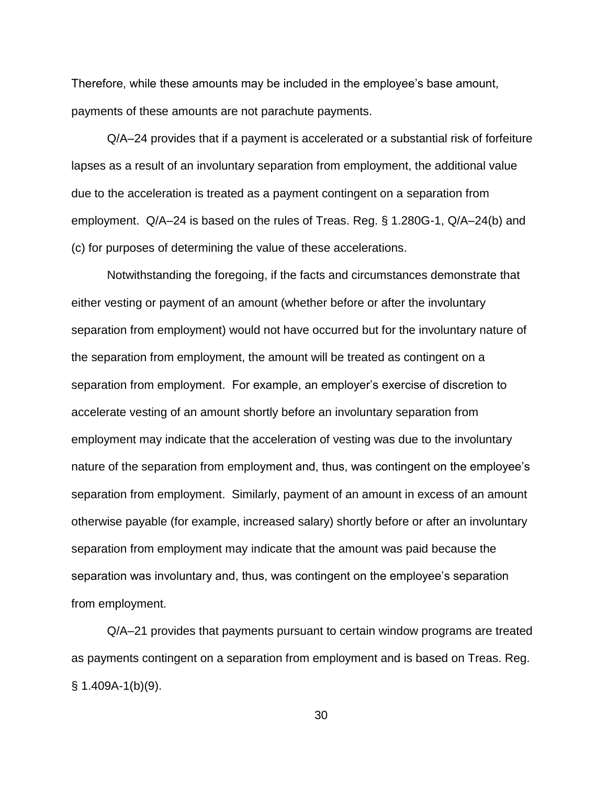Therefore, while these amounts may be included in the employee's base amount, payments of these amounts are not parachute payments.

Q/A–24 provides that if a payment is accelerated or a substantial risk of forfeiture lapses as a result of an involuntary separation from employment, the additional value due to the acceleration is treated as a payment contingent on a separation from employment. Q/A–24 is based on the rules of Treas. Reg. § 1.280G-1, Q/A–24(b) and (c) for purposes of determining the value of these accelerations.

Notwithstanding the foregoing, if the facts and circumstances demonstrate that either vesting or payment of an amount (whether before or after the involuntary separation from employment) would not have occurred but for the involuntary nature of the separation from employment, the amount will be treated as contingent on a separation from employment. For example, an employer's exercise of discretion to accelerate vesting of an amount shortly before an involuntary separation from employment may indicate that the acceleration of vesting was due to the involuntary nature of the separation from employment and, thus, was contingent on the employee's separation from employment. Similarly, payment of an amount in excess of an amount otherwise payable (for example, increased salary) shortly before or after an involuntary separation from employment may indicate that the amount was paid because the separation was involuntary and, thus, was contingent on the employee's separation from employment.

Q/A–21 provides that payments pursuant to certain window programs are treated as payments contingent on a separation from employment and is based on Treas. Reg.  $§ 1.409A-1(b)(9).$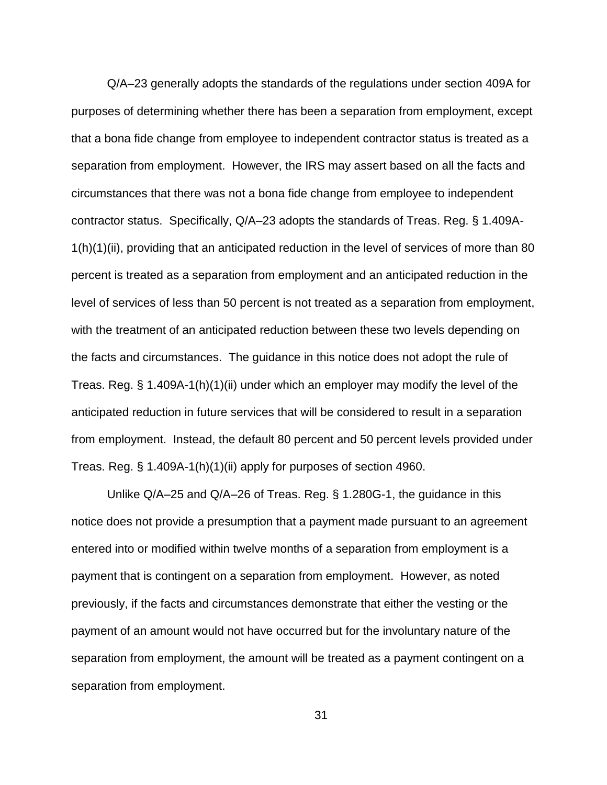Q/A–23 generally adopts the standards of the regulations under section 409A for purposes of determining whether there has been a separation from employment, except that a bona fide change from employee to independent contractor status is treated as a separation from employment. However, the IRS may assert based on all the facts and circumstances that there was not a bona fide change from employee to independent contractor status. Specifically, Q/A–23 adopts the standards of Treas. Reg. § 1.409A-1(h)(1)(ii), providing that an anticipated reduction in the level of services of more than 80 percent is treated as a separation from employment and an anticipated reduction in the level of services of less than 50 percent is not treated as a separation from employment, with the treatment of an anticipated reduction between these two levels depending on the facts and circumstances. The guidance in this notice does not adopt the rule of Treas. Reg. § 1.409A-1(h)(1)(ii) under which an employer may modify the level of the anticipated reduction in future services that will be considered to result in a separation from employment. Instead, the default 80 percent and 50 percent levels provided under Treas. Reg. § 1.409A-1(h)(1)(ii) apply for purposes of section 4960.

Unlike Q/A–25 and Q/A–26 of Treas. Reg. § 1.280G-1, the guidance in this notice does not provide a presumption that a payment made pursuant to an agreement entered into or modified within twelve months of a separation from employment is a payment that is contingent on a separation from employment. However, as noted previously, if the facts and circumstances demonstrate that either the vesting or the payment of an amount would not have occurred but for the involuntary nature of the separation from employment, the amount will be treated as a payment contingent on a separation from employment.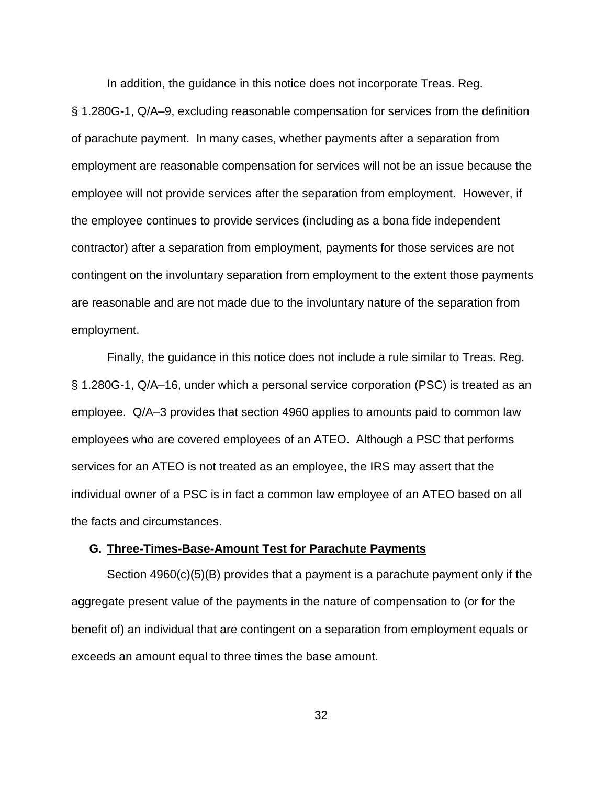In addition, the guidance in this notice does not incorporate Treas. Reg.

§ 1.280G-1, Q/A–9, excluding reasonable compensation for services from the definition of parachute payment. In many cases, whether payments after a separation from employment are reasonable compensation for services will not be an issue because the employee will not provide services after the separation from employment. However, if the employee continues to provide services (including as a bona fide independent contractor) after a separation from employment, payments for those services are not contingent on the involuntary separation from employment to the extent those payments are reasonable and are not made due to the involuntary nature of the separation from employment.

Finally, the guidance in this notice does not include a rule similar to Treas. Reg. § 1.280G-1, Q/A–16, under which a personal service corporation (PSC) is treated as an employee. Q/A–3 provides that section 4960 applies to amounts paid to common law employees who are covered employees of an ATEO. Although a PSC that performs services for an ATEO is not treated as an employee, the IRS may assert that the individual owner of a PSC is in fact a common law employee of an ATEO based on all the facts and circumstances.

## <span id="page-31-0"></span>**G. Three-Times-Base-Amount Test for Parachute Payments**

Section 4960(c)(5)(B) provides that a payment is a parachute payment only if the aggregate present value of the payments in the nature of compensation to (or for the benefit of) an individual that are contingent on a separation from employment equals or exceeds an amount equal to three times the base amount.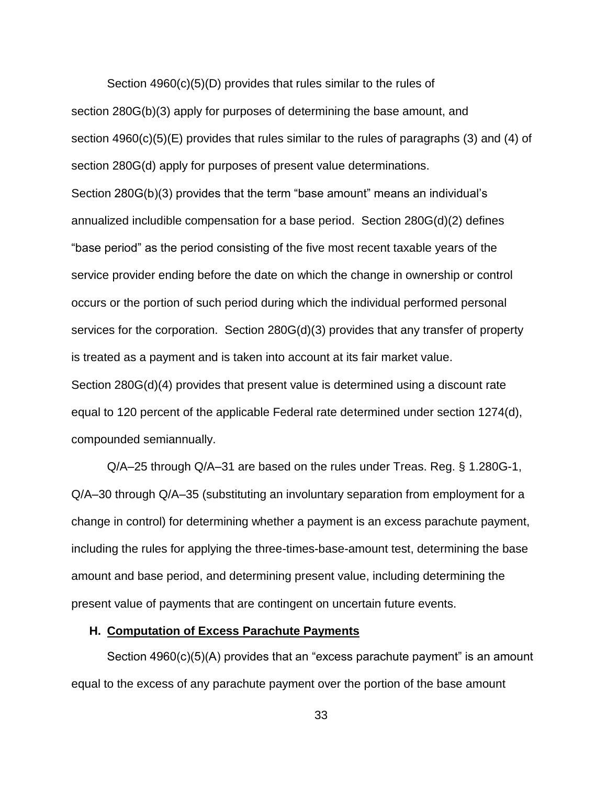Section 4960(c)(5)(D) provides that rules similar to the rules of section 280G(b)(3) apply for purposes of determining the base amount, and section 4960(c)(5)(E) provides that rules similar to the rules of paragraphs (3) and (4) of section 280G(d) apply for purposes of present value determinations. Section 280G(b)(3) provides that the term "base amount" means an individual's annualized includible compensation for a base period. Section 280G(d)(2) defines "base period" as the period consisting of the five most recent taxable years of the service provider ending before the date on which the change in ownership or control occurs or the portion of such period during which the individual performed personal services for the corporation. Section 280G(d)(3) provides that any transfer of property is treated as a payment and is taken into account at its fair market value. Section 280G(d)(4) provides that present value is determined using a discount rate equal to 120 percent of the applicable Federal rate determined under section 1274(d), compounded semiannually.

Q/A–25 through Q/A–31 are based on the rules under Treas. Reg. § 1.280G-1, Q/A–30 through Q/A–35 (substituting an involuntary separation from employment for a change in control) for determining whether a payment is an excess parachute payment, including the rules for applying the three-times-base-amount test, determining the base amount and base period, and determining present value, including determining the present value of payments that are contingent on uncertain future events.

#### <span id="page-32-0"></span>**H. Computation of Excess Parachute Payments**

Section 4960(c)(5)(A) provides that an "excess parachute payment" is an amount equal to the excess of any parachute payment over the portion of the base amount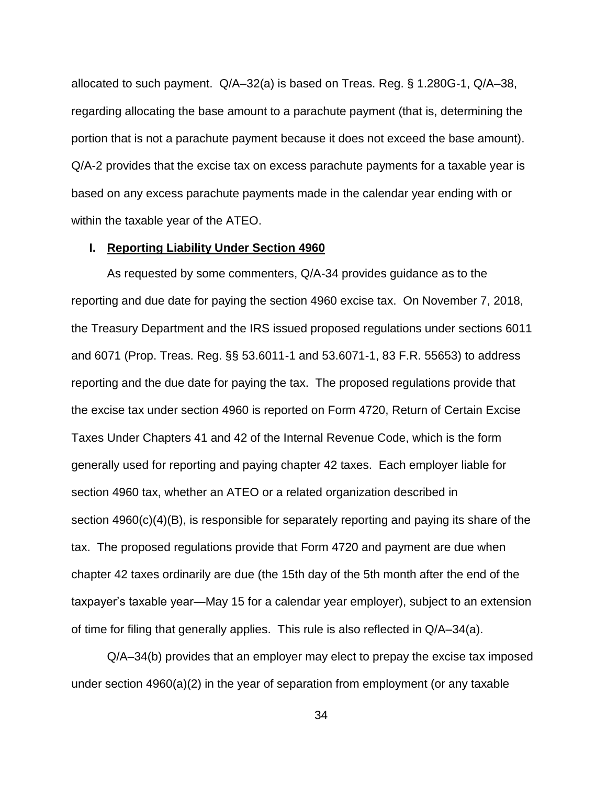allocated to such payment. Q/A–32(a) is based on Treas. Reg. § 1.280G-1, Q/A–38, regarding allocating the base amount to a parachute payment (that is, determining the portion that is not a parachute payment because it does not exceed the base amount). Q/A-2 provides that the excise tax on excess parachute payments for a taxable year is based on any excess parachute payments made in the calendar year ending with or within the taxable year of the ATEO.

## <span id="page-33-0"></span>**I. Reporting Liability Under Section 4960**

As requested by some commenters, Q/A-34 provides guidance as to the reporting and due date for paying the section 4960 excise tax. On November 7, 2018, the Treasury Department and the IRS issued proposed regulations under sections 6011 and 6071 (Prop. Treas. Reg. §§ 53.6011-1 and 53.6071-1, 83 F.R. 55653) to address reporting and the due date for paying the tax. The proposed regulations provide that the excise tax under section 4960 is reported on Form 4720, Return of Certain Excise Taxes Under Chapters 41 and 42 of the Internal Revenue Code, which is the form generally used for reporting and paying chapter 42 taxes. Each employer liable for section 4960 tax, whether an ATEO or a related organization described in section 4960(c)(4)(B), is responsible for separately reporting and paying its share of the tax. The proposed regulations provide that Form 4720 and payment are due when chapter 42 taxes ordinarily are due (the 15th day of the 5th month after the end of the taxpayer's taxable year—May 15 for a calendar year employer), subject to an extension of time for filing that generally applies. This rule is also reflected in Q/A–34(a).

Q/A–34(b) provides that an employer may elect to prepay the excise tax imposed under section 4960(a)(2) in the year of separation from employment (or any taxable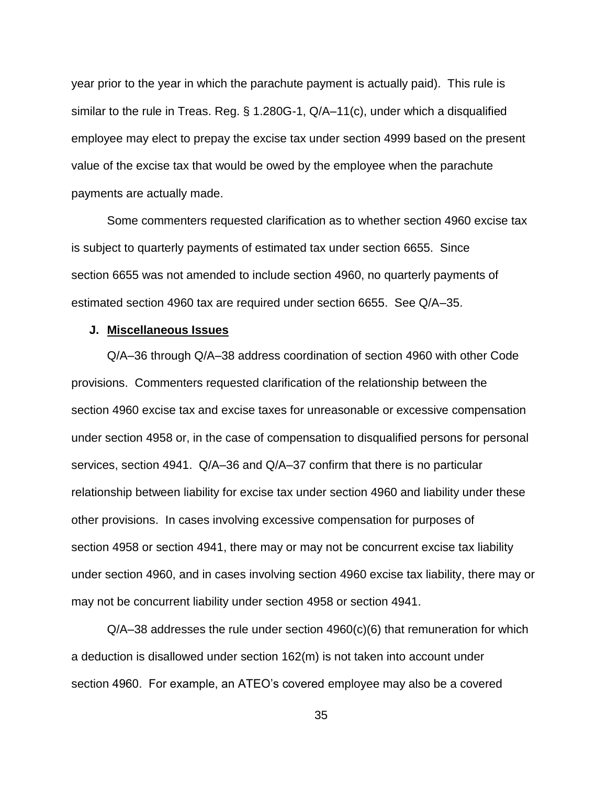year prior to the year in which the parachute payment is actually paid). This rule is similar to the rule in Treas. Reg. § 1.280G-1, Q/A–11(c), under which a disqualified employee may elect to prepay the excise tax under section 4999 based on the present value of the excise tax that would be owed by the employee when the parachute payments are actually made.

Some commenters requested clarification as to whether section 4960 excise tax is subject to quarterly payments of estimated tax under section 6655. Since section 6655 was not amended to include section 4960, no quarterly payments of estimated section 4960 tax are required under section 6655. See Q/A–35.

#### <span id="page-34-0"></span>**J. Miscellaneous Issues**

Q/A–36 through Q/A–38 address coordination of section 4960 with other Code provisions. Commenters requested clarification of the relationship between the section 4960 excise tax and excise taxes for unreasonable or excessive compensation under section 4958 or, in the case of compensation to disqualified persons for personal services, section 4941. Q/A–36 and Q/A–37 confirm that there is no particular relationship between liability for excise tax under section 4960 and liability under these other provisions. In cases involving excessive compensation for purposes of section 4958 or section 4941, there may or may not be concurrent excise tax liability under section 4960, and in cases involving section 4960 excise tax liability, there may or may not be concurrent liability under section 4958 or section 4941.

 $Q/A$ –38 addresses the rule under section 4960(c)(6) that remuneration for which a deduction is disallowed under section 162(m) is not taken into account under section 4960. For example, an ATEO's covered employee may also be a covered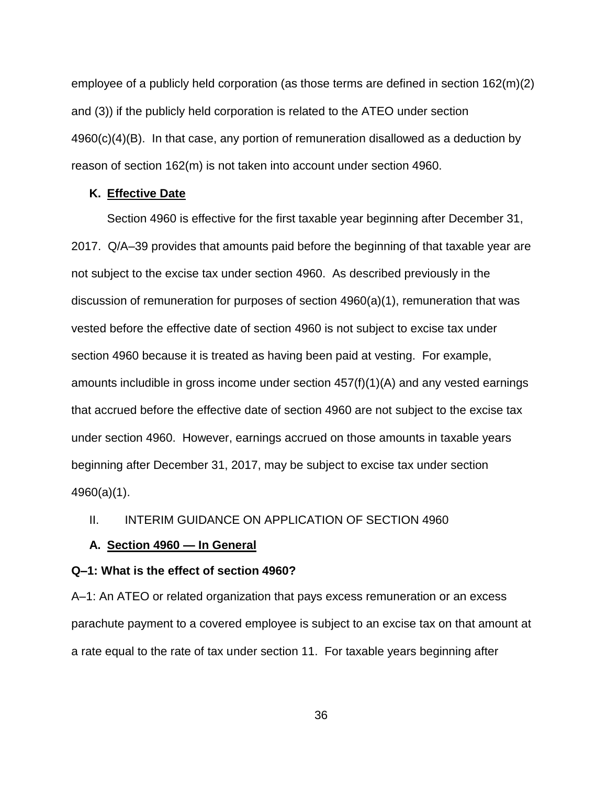employee of a publicly held corporation (as those terms are defined in section 162(m)(2) and (3)) if the publicly held corporation is related to the ATEO under section  $4960(c)(4)(B)$ . In that case, any portion of remuneration disallowed as a deduction by reason of section 162(m) is not taken into account under section 4960.

#### <span id="page-35-0"></span>**K. Effective Date**

Section 4960 is effective for the first taxable year beginning after December 31, 2017. Q/A–39 provides that amounts paid before the beginning of that taxable year are not subject to the excise tax under section 4960. As described previously in the discussion of remuneration for purposes of section 4960(a)(1), remuneration that was vested before the effective date of section 4960 is not subject to excise tax under section 4960 because it is treated as having been paid at vesting. For example, amounts includible in gross income under section 457(f)(1)(A) and any vested earnings that accrued before the effective date of section 4960 are not subject to the excise tax under section 4960. However, earnings accrued on those amounts in taxable years beginning after December 31, 2017, may be subject to excise tax under section 4960(a)(1).

## <span id="page-35-1"></span>II. INTERIM GUIDANCE ON APPLICATION OF SECTION 4960

#### <span id="page-35-2"></span>**A. Section 4960 — In General**

#### <span id="page-35-3"></span>**Q–1: What is the effect of section 4960?**

A–1: An ATEO or related organization that pays excess remuneration or an excess parachute payment to a covered employee is subject to an excise tax on that amount at a rate equal to the rate of tax under section 11. For taxable years beginning after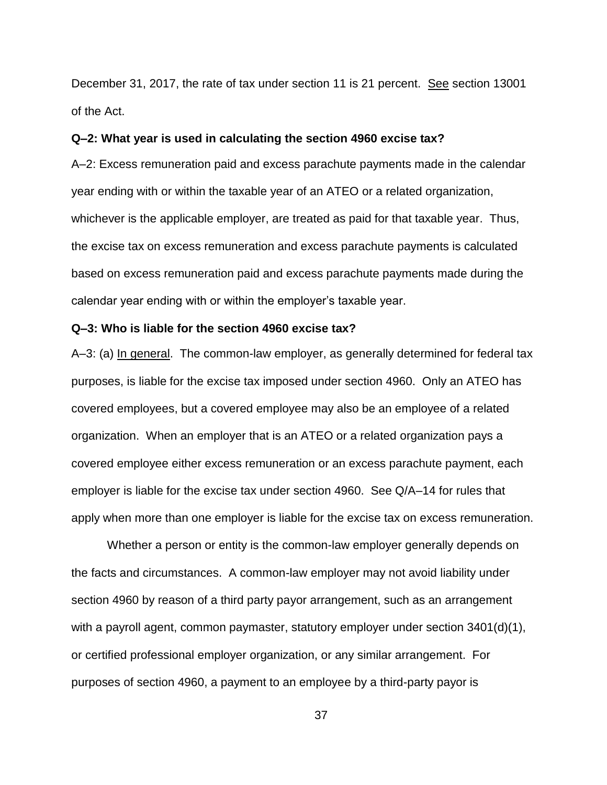December 31, 2017, the rate of tax under section 11 is 21 percent. See section 13001 of the Act.

### **Q–2: What year is used in calculating the section 4960 excise tax?**

A–2: Excess remuneration paid and excess parachute payments made in the calendar year ending with or within the taxable year of an ATEO or a related organization, whichever is the applicable employer, are treated as paid for that taxable year. Thus, the excise tax on excess remuneration and excess parachute payments is calculated based on excess remuneration paid and excess parachute payments made during the calendar year ending with or within the employer's taxable year.

### **Q–3: Who is liable for the section 4960 excise tax?**

A–3: (a) In general. The common-law employer, as generally determined for federal tax purposes, is liable for the excise tax imposed under section 4960. Only an ATEO has covered employees, but a covered employee may also be an employee of a related organization. When an employer that is an ATEO or a related organization pays a covered employee either excess remuneration or an excess parachute payment, each employer is liable for the excise tax under section 4960. See Q/A–14 for rules that apply when more than one employer is liable for the excise tax on excess remuneration.

Whether a person or entity is the common-law employer generally depends on the facts and circumstances. A common-law employer may not avoid liability under section 4960 by reason of a third party payor arrangement, such as an arrangement with a payroll agent, common paymaster, statutory employer under section 3401(d)(1), or certified professional employer organization, or any similar arrangement. For purposes of section 4960, a payment to an employee by a third-party payor is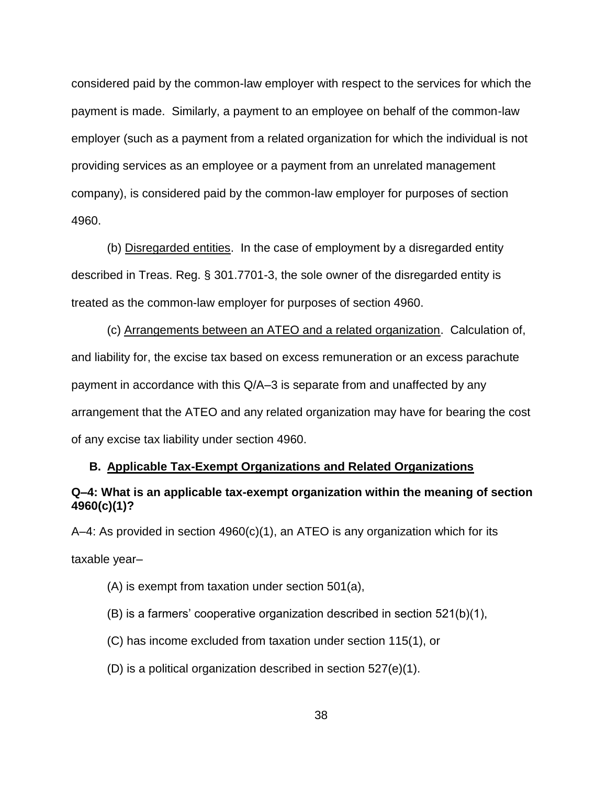considered paid by the common-law employer with respect to the services for which the payment is made. Similarly, a payment to an employee on behalf of the common-law employer (such as a payment from a related organization for which the individual is not providing services as an employee or a payment from an unrelated management company), is considered paid by the common-law employer for purposes of section 4960.

(b) Disregarded entities. In the case of employment by a disregarded entity described in Treas. Reg. § 301.7701-3, the sole owner of the disregarded entity is treated as the common-law employer for purposes of section 4960.

(c) Arrangements between an ATEO and a related organization. Calculation of, and liability for, the excise tax based on excess remuneration or an excess parachute payment in accordance with this Q/A–3 is separate from and unaffected by any arrangement that the ATEO and any related organization may have for bearing the cost of any excise tax liability under section 4960.

### **B. Applicable Tax-Exempt Organizations and Related Organizations**

## **Q–4: What is an applicable tax-exempt organization within the meaning of section 4960(c)(1)?**

A–4: As provided in section 4960(c)(1), an ATEO is any organization which for its taxable year–

- (A) is exempt from taxation under section 501(a),
- (B) is a farmers' cooperative organization described in section 521(b)(1),
- (C) has income excluded from taxation under section 115(1), or
- (D) is a political organization described in section 527(e)(1).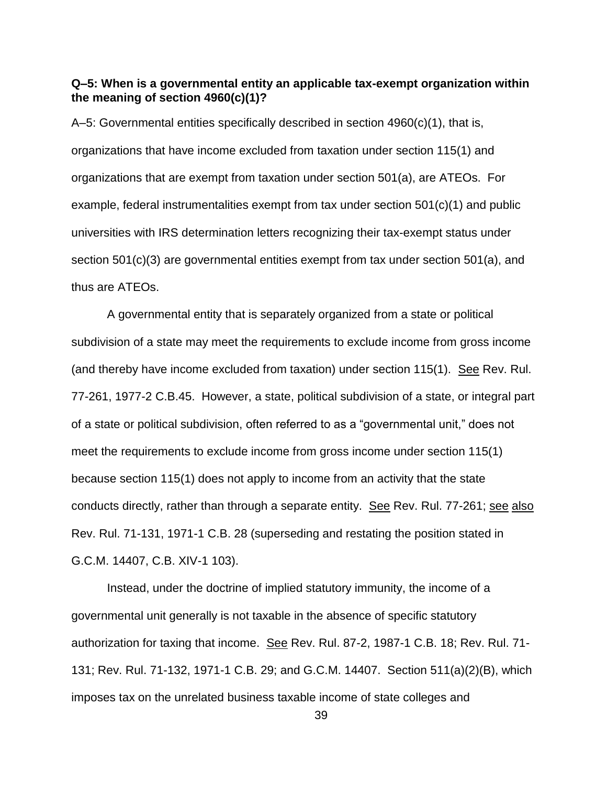## **Q–5: When is a governmental entity an applicable tax-exempt organization within the meaning of section 4960(c)(1)?**

A–5: Governmental entities specifically described in section 4960(c)(1), that is, organizations that have income excluded from taxation under section 115(1) and organizations that are exempt from taxation under section 501(a), are ATEOs. For example, federal instrumentalities exempt from tax under section 501(c)(1) and public universities with IRS determination letters recognizing their tax-exempt status under section 501(c)(3) are governmental entities exempt from tax under section 501(a), and thus are ATEOs.

A governmental entity that is separately organized from a state or political subdivision of a state may meet the requirements to exclude income from gross income (and thereby have income excluded from taxation) under section 115(1). See Rev. Rul. 77-261, 1977-2 C.B.45. However, a state, political subdivision of a state, or integral part of a state or political subdivision, often referred to as a "governmental unit," does not meet the requirements to exclude income from gross income under section 115(1) because section 115(1) does not apply to income from an activity that the state conducts directly, rather than through a separate entity. See Rev. Rul. 77-261; see also Rev. Rul. 71-131, 1971-1 C.B. 28 (superseding and restating the position stated in G.C.M. 14407, C.B. XIV-1 103).

Instead, under the doctrine of implied statutory immunity, the income of a governmental unit generally is not taxable in the absence of specific statutory authorization for taxing that income. See Rev. Rul. 87-2, 1987-1 C.B. 18; Rev. Rul. 71- 131; Rev. Rul. 71-132, 1971-1 C.B. 29; and G.C.M. 14407. Section 511(a)(2)(B), which imposes tax on the unrelated business taxable income of state colleges and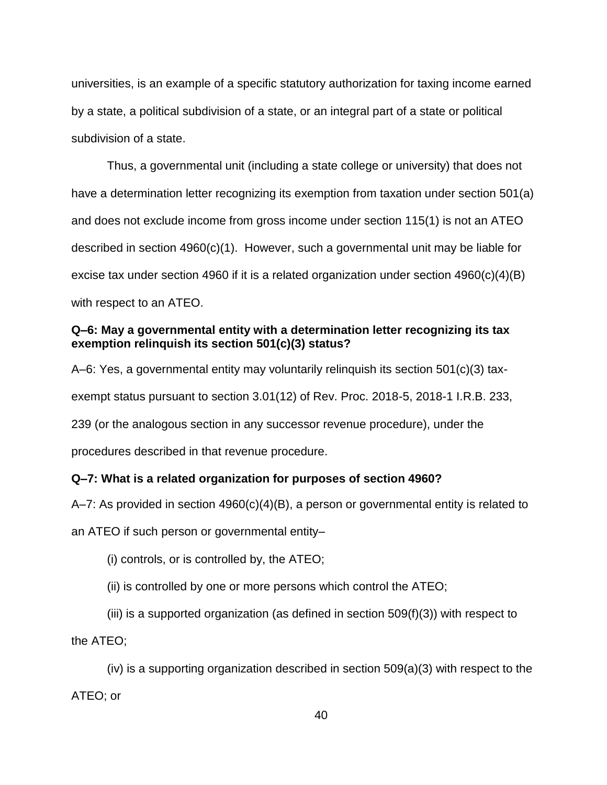universities, is an example of a specific statutory authorization for taxing income earned by a state, a political subdivision of a state, or an integral part of a state or political subdivision of a state.

Thus, a governmental unit (including a state college or university) that does not have a determination letter recognizing its exemption from taxation under section 501(a) and does not exclude income from gross income under section 115(1) is not an ATEO described in section  $4960(c)(1)$ . However, such a governmental unit may be liable for excise tax under section 4960 if it is a related organization under section 4960(c)(4)(B) with respect to an ATEO.

## **Q–6: May a governmental entity with a determination letter recognizing its tax exemption relinquish its section 501(c)(3) status?**

A–6: Yes, a governmental entity may voluntarily relinquish its section 501(c)(3) taxexempt status pursuant to section 3.01(12) of Rev. Proc. 2018-5, 2018-1 I.R.B. 233, 239 (or the analogous section in any successor revenue procedure), under the procedures described in that revenue procedure.

## **Q–7: What is a related organization for purposes of section 4960?**

A–7: As provided in section  $4960(c)(4)(B)$ , a person or governmental entity is related to an ATEO if such person or governmental entity–

(i) controls, or is controlled by, the ATEO;

(ii) is controlled by one or more persons which control the ATEO;

(iii) is a supported organization (as defined in section 509(f)(3)) with respect to

the ATEO;

(iv) is a supporting organization described in section 509(a)(3) with respect to the ATEO; or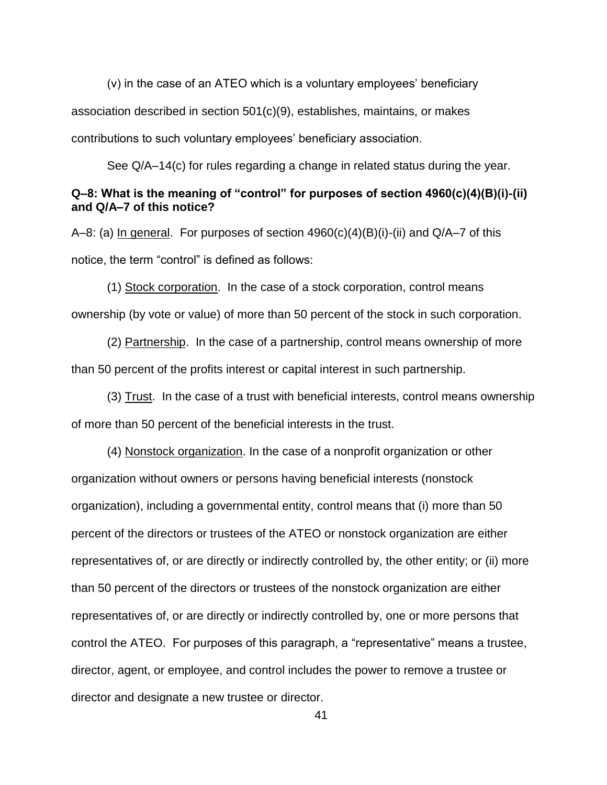(v) in the case of an ATEO which is a voluntary employees' beneficiary association described in section 501(c)(9), establishes, maintains, or makes contributions to such voluntary employees' beneficiary association.

See Q/A–14(c) for rules regarding a change in related status during the year.

## **Q–8: What is the meaning of "control" for purposes of section 4960(c)(4)(B)(i)-(ii) and Q/A–7 of this notice?**

A–8: (a) In general. For purposes of section 4960(c)(4)(B)(i)-(ii) and Q/A–7 of this notice, the term "control" is defined as follows:

(1) Stock corporation. In the case of a stock corporation, control means ownership (by vote or value) of more than 50 percent of the stock in such corporation.

(2) Partnership. In the case of a partnership, control means ownership of more than 50 percent of the profits interest or capital interest in such partnership.

(3) Trust. In the case of a trust with beneficial interests, control means ownership of more than 50 percent of the beneficial interests in the trust.

(4) Nonstock organization. In the case of a nonprofit organization or other organization without owners or persons having beneficial interests (nonstock organization), including a governmental entity, control means that (i) more than 50 percent of the directors or trustees of the ATEO or nonstock organization are either representatives of, or are directly or indirectly controlled by, the other entity; or (ii) more than 50 percent of the directors or trustees of the nonstock organization are either representatives of, or are directly or indirectly controlled by, one or more persons that control the ATEO. For purposes of this paragraph, a "representative" means a trustee, director, agent, or employee, and control includes the power to remove a trustee or director and designate a new trustee or director.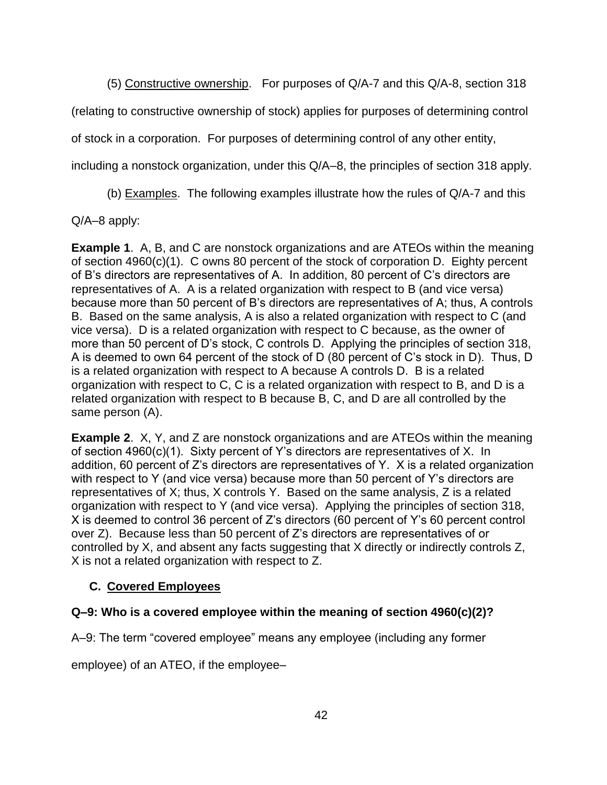(5) Constructive ownership. For purposes of Q/A-7 and this Q/A-8, section 318

(relating to constructive ownership of stock) applies for purposes of determining control

of stock in a corporation. For purposes of determining control of any other entity,

including a nonstock organization, under this Q/A–8, the principles of section 318 apply.

(b) Examples. The following examples illustrate how the rules of Q/A-7 and this

Q/A–8 apply:

**Example 1**. A, B, and C are nonstock organizations and are ATEOs within the meaning of section 4960(c)(1). C owns 80 percent of the stock of corporation D. Eighty percent of B's directors are representatives of A. In addition, 80 percent of C's directors are representatives of A. A is a related organization with respect to B (and vice versa) because more than 50 percent of B's directors are representatives of A; thus, A controls B. Based on the same analysis, A is also a related organization with respect to C (and vice versa). D is a related organization with respect to C because, as the owner of more than 50 percent of D's stock, C controls D. Applying the principles of section 318, A is deemed to own 64 percent of the stock of D (80 percent of C's stock in D). Thus, D is a related organization with respect to A because A controls D. B is a related organization with respect to C, C is a related organization with respect to B, and D is a related organization with respect to B because B, C, and D are all controlled by the same person (A).

**Example 2**. X, Y, and Z are nonstock organizations and are ATEOs within the meaning of section 4960(c)(1). Sixty percent of Y's directors are representatives of X. In addition, 60 percent of Z's directors are representatives of Y. X is a related organization with respect to Y (and vice versa) because more than 50 percent of Y's directors are representatives of X; thus, X controls Y. Based on the same analysis, Z is a related organization with respect to Y (and vice versa). Applying the principles of section 318, X is deemed to control 36 percent of Z's directors (60 percent of Y's 60 percent control over Z). Because less than 50 percent of Z's directors are representatives of or controlled by X, and absent any facts suggesting that X directly or indirectly controls Z, X is not a related organization with respect to Z.

# **C. Covered Employees**

# **Q–9: Who is a covered employee within the meaning of section 4960(c)(2)?**

A–9: The term "covered employee" means any employee (including any former

employee) of an ATEO, if the employee–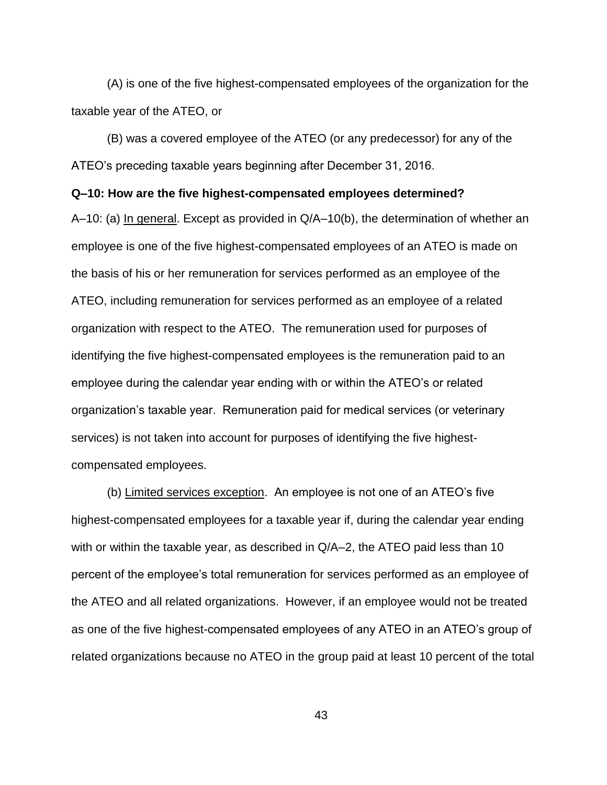(A) is one of the five highest-compensated employees of the organization for the taxable year of the ATEO, or

(B) was a covered employee of the ATEO (or any predecessor) for any of the ATEO's preceding taxable years beginning after December 31, 2016.

### **Q–10: How are the five highest-compensated employees determined?**

A–10: (a) In general. Except as provided in Q/A–10(b), the determination of whether an employee is one of the five highest-compensated employees of an ATEO is made on the basis of his or her remuneration for services performed as an employee of the ATEO, including remuneration for services performed as an employee of a related organization with respect to the ATEO. The remuneration used for purposes of identifying the five highest-compensated employees is the remuneration paid to an employee during the calendar year ending with or within the ATEO's or related organization's taxable year. Remuneration paid for medical services (or veterinary services) is not taken into account for purposes of identifying the five highestcompensated employees.

(b) Limited services exception. An employee is not one of an ATEO's five highest-compensated employees for a taxable year if, during the calendar year ending with or within the taxable year, as described in Q/A–2, the ATEO paid less than 10 percent of the employee's total remuneration for services performed as an employee of the ATEO and all related organizations. However, if an employee would not be treated as one of the five highest-compensated employees of any ATEO in an ATEO's group of related organizations because no ATEO in the group paid at least 10 percent of the total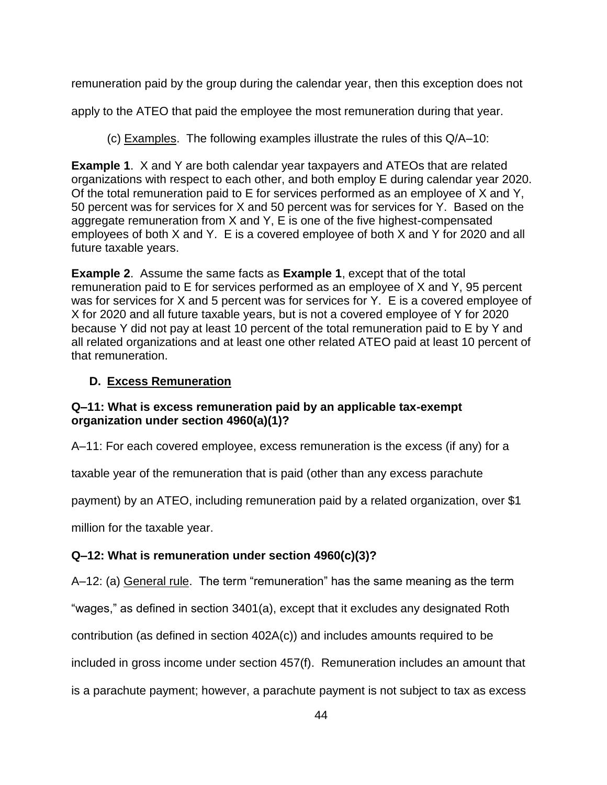remuneration paid by the group during the calendar year, then this exception does not

apply to the ATEO that paid the employee the most remuneration during that year.

(c) Examples. The following examples illustrate the rules of this Q/A–10:

**Example 1**. X and Y are both calendar year taxpayers and ATEOs that are related organizations with respect to each other, and both employ E during calendar year 2020. Of the total remuneration paid to E for services performed as an employee of X and Y, 50 percent was for services for X and 50 percent was for services for Y. Based on the aggregate remuneration from X and Y, E is one of the five highest-compensated employees of both X and Y. E is a covered employee of both X and Y for 2020 and all future taxable years.

**Example 2**. Assume the same facts as **Example 1**, except that of the total remuneration paid to E for services performed as an employee of X and Y, 95 percent was for services for X and 5 percent was for services for Y. E is a covered employee of X for 2020 and all future taxable years, but is not a covered employee of Y for 2020 because Y did not pay at least 10 percent of the total remuneration paid to E by Y and all related organizations and at least one other related ATEO paid at least 10 percent of that remuneration.

# **D. Excess Remuneration**

## **Q–11: What is excess remuneration paid by an applicable tax-exempt organization under section 4960(a)(1)?**

A–11: For each covered employee, excess remuneration is the excess (if any) for a

taxable year of the remuneration that is paid (other than any excess parachute

payment) by an ATEO, including remuneration paid by a related organization, over \$1

million for the taxable year.

# **Q–12: What is remuneration under section 4960(c)(3)?**

A–12: (a) General rule. The term "remuneration" has the same meaning as the term

"wages," as defined in section 3401(a), except that it excludes any designated Roth

contribution (as defined in section 402A(c)) and includes amounts required to be

included in gross income under section 457(f). Remuneration includes an amount that

is a parachute payment; however, a parachute payment is not subject to tax as excess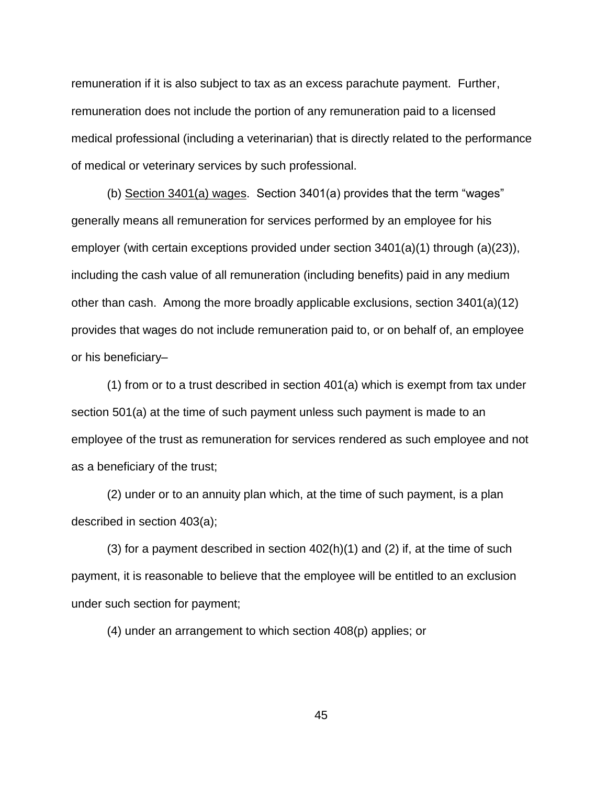remuneration if it is also subject to tax as an excess parachute payment. Further, remuneration does not include the portion of any remuneration paid to a licensed medical professional (including a veterinarian) that is directly related to the performance of medical or veterinary services by such professional.

(b) Section 3401(a) wages. Section 3401(a) provides that the term "wages" generally means all remuneration for services performed by an employee for his employer (with certain exceptions provided under section 3401(a)(1) through (a)(23)), including the cash value of all remuneration (including benefits) paid in any medium other than cash. Among the more broadly applicable exclusions, section 3401(a)(12) provides that wages do not include remuneration paid to, or on behalf of, an employee or his beneficiary–

(1) from or to a trust described in section 401(a) which is exempt from tax under section 501(a) at the time of such payment unless such payment is made to an employee of the trust as remuneration for services rendered as such employee and not as a beneficiary of the trust;

(2) under or to an annuity plan which, at the time of such payment, is a plan described in section 403(a);

(3) for a payment described in section  $402(h)(1)$  and (2) if, at the time of such payment, it is reasonable to believe that the employee will be entitled to an exclusion under such section for payment;

(4) under an arrangement to which section 408(p) applies; or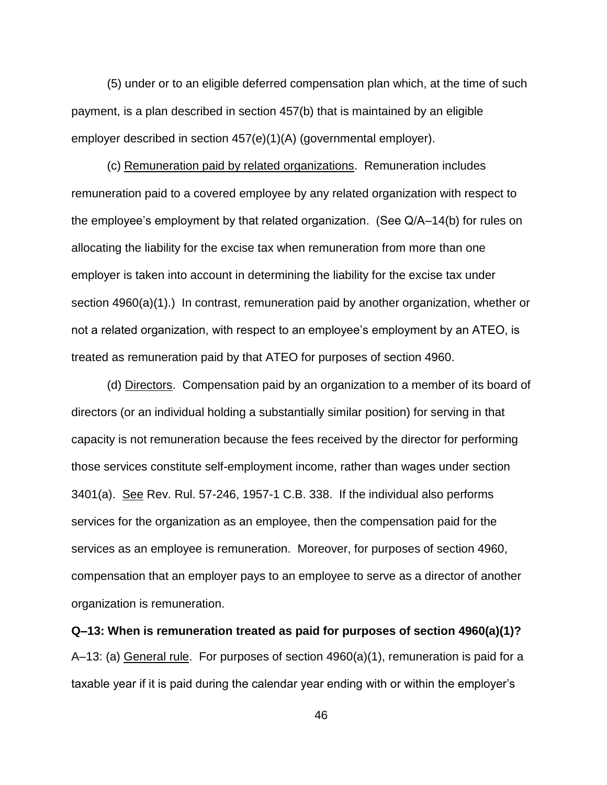(5) under or to an eligible deferred compensation plan which, at the time of such payment, is a plan described in section 457(b) that is maintained by an eligible employer described in section 457(e)(1)(A) (governmental employer).

(c) Remuneration paid by related organizations. Remuneration includes remuneration paid to a covered employee by any related organization with respect to the employee's employment by that related organization. (See Q/A–14(b) for rules on allocating the liability for the excise tax when remuneration from more than one employer is taken into account in determining the liability for the excise tax under section 4960(a)(1).) In contrast, remuneration paid by another organization, whether or not a related organization, with respect to an employee's employment by an ATEO, is treated as remuneration paid by that ATEO for purposes of section 4960.

(d) Directors. Compensation paid by an organization to a member of its board of directors (or an individual holding a substantially similar position) for serving in that capacity is not remuneration because the fees received by the director for performing those services constitute self-employment income, rather than wages under section 3401(a). See Rev. Rul. 57-246, 1957-1 C.B. 338. If the individual also performs services for the organization as an employee, then the compensation paid for the services as an employee is remuneration. Moreover, for purposes of section 4960, compensation that an employer pays to an employee to serve as a director of another organization is remuneration.

**Q–13: When is remuneration treated as paid for purposes of section 4960(a)(1)?** A–13: (a) General rule. For purposes of section 4960(a)(1), remuneration is paid for a taxable year if it is paid during the calendar year ending with or within the employer's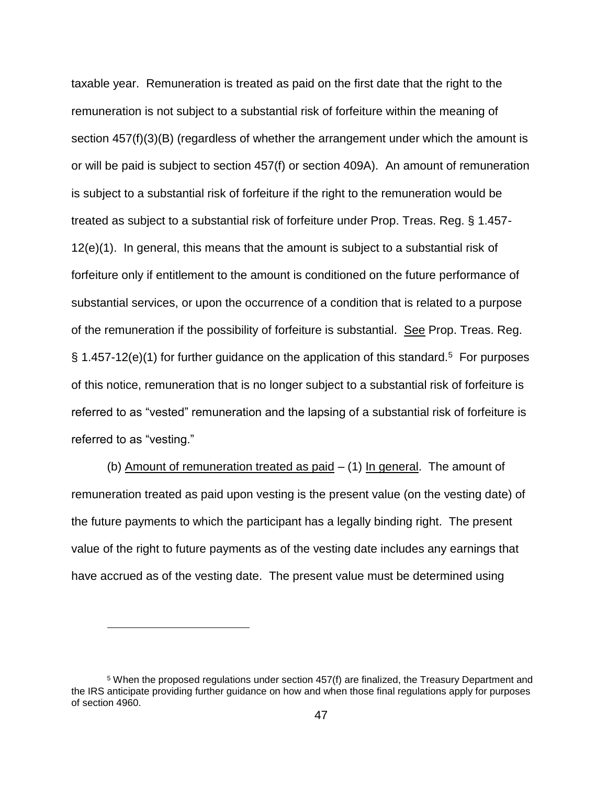taxable year. Remuneration is treated as paid on the first date that the right to the remuneration is not subject to a substantial risk of forfeiture within the meaning of section 457(f)(3)(B) (regardless of whether the arrangement under which the amount is or will be paid is subject to section 457(f) or section 409A). An amount of remuneration is subject to a substantial risk of forfeiture if the right to the remuneration would be treated as subject to a substantial risk of forfeiture under Prop. Treas. Reg. § 1.457- 12(e)(1). In general, this means that the amount is subject to a substantial risk of forfeiture only if entitlement to the amount is conditioned on the future performance of substantial services, or upon the occurrence of a condition that is related to a purpose of the remuneration if the possibility of forfeiture is substantial. See Prop. Treas. Reg.  $\S$  1.457-12(e)(1) for further guidance on the application of this standard.<sup>5</sup> For purposes of this notice, remuneration that is no longer subject to a substantial risk of forfeiture is referred to as "vested" remuneration and the lapsing of a substantial risk of forfeiture is referred to as "vesting."

(b) Amount of remuneration treated as paid – (1) In general. The amount of remuneration treated as paid upon vesting is the present value (on the vesting date) of the future payments to which the participant has a legally binding right. The present value of the right to future payments as of the vesting date includes any earnings that have accrued as of the vesting date. The present value must be determined using

 $\overline{a}$ 

<sup>5</sup> When the proposed regulations under section 457(f) are finalized, the Treasury Department and the IRS anticipate providing further guidance on how and when those final regulations apply for purposes of section 4960.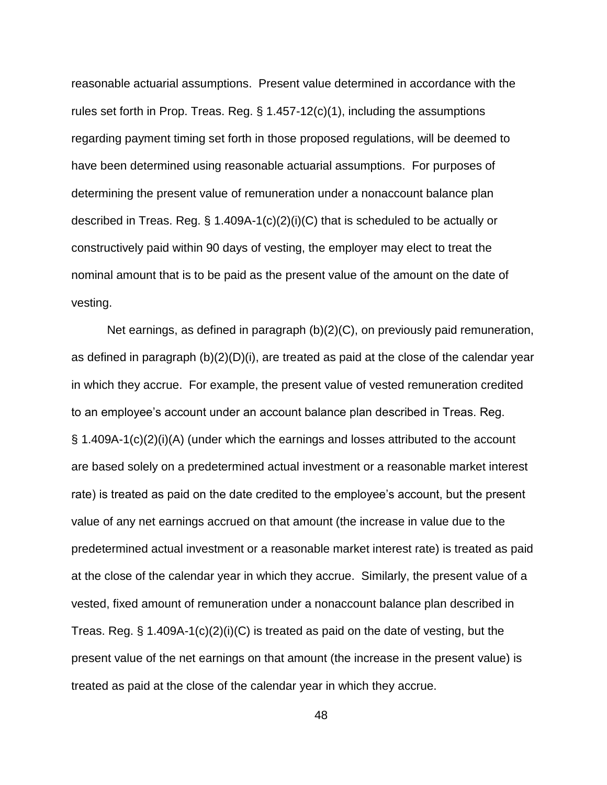reasonable actuarial assumptions. Present value determined in accordance with the rules set forth in Prop. Treas. Reg. § 1.457-12(c)(1), including the assumptions regarding payment timing set forth in those proposed regulations, will be deemed to have been determined using reasonable actuarial assumptions. For purposes of determining the present value of remuneration under a nonaccount balance plan described in Treas. Reg. § 1.409A-1(c)(2)(i)(C) that is scheduled to be actually or constructively paid within 90 days of vesting, the employer may elect to treat the nominal amount that is to be paid as the present value of the amount on the date of vesting.

Net earnings, as defined in paragraph (b)(2)(C), on previously paid remuneration, as defined in paragraph (b)(2)(D)(i), are treated as paid at the close of the calendar year in which they accrue. For example, the present value of vested remuneration credited to an employee's account under an account balance plan described in Treas. Reg. § 1.409A-1(c)(2)(i)(A) (under which the earnings and losses attributed to the account are based solely on a predetermined actual investment or a reasonable market interest rate) is treated as paid on the date credited to the employee's account, but the present value of any net earnings accrued on that amount (the increase in value due to the predetermined actual investment or a reasonable market interest rate) is treated as paid at the close of the calendar year in which they accrue. Similarly, the present value of a vested, fixed amount of remuneration under a nonaccount balance plan described in Treas. Reg.  $\S$  1.409A-1(c)(2)(i)(C) is treated as paid on the date of vesting, but the present value of the net earnings on that amount (the increase in the present value) is treated as paid at the close of the calendar year in which they accrue.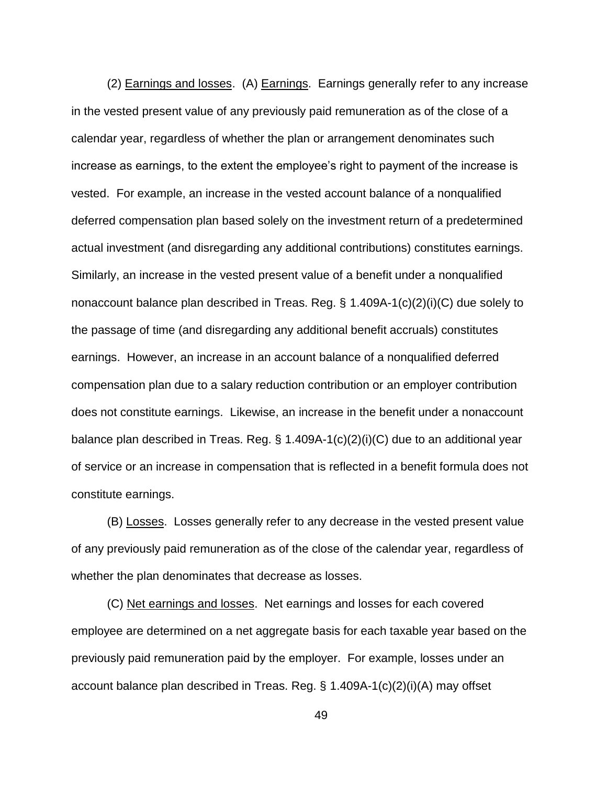(2) Earnings and losses. (A) Earnings. Earnings generally refer to any increase in the vested present value of any previously paid remuneration as of the close of a calendar year, regardless of whether the plan or arrangement denominates such increase as earnings, to the extent the employee's right to payment of the increase is vested. For example, an increase in the vested account balance of a nonqualified deferred compensation plan based solely on the investment return of a predetermined actual investment (and disregarding any additional contributions) constitutes earnings. Similarly, an increase in the vested present value of a benefit under a nonqualified nonaccount balance plan described in Treas. Reg. § 1.409A-1(c)(2)(i)(C) due solely to the passage of time (and disregarding any additional benefit accruals) constitutes earnings. However, an increase in an account balance of a nonqualified deferred compensation plan due to a salary reduction contribution or an employer contribution does not constitute earnings. Likewise, an increase in the benefit under a nonaccount balance plan described in Treas. Reg. § 1.409A-1(c)(2)(i)(C) due to an additional year of service or an increase in compensation that is reflected in a benefit formula does not constitute earnings.

(B) Losses. Losses generally refer to any decrease in the vested present value of any previously paid remuneration as of the close of the calendar year, regardless of whether the plan denominates that decrease as losses.

(C) Net earnings and losses. Net earnings and losses for each covered employee are determined on a net aggregate basis for each taxable year based on the previously paid remuneration paid by the employer. For example, losses under an account balance plan described in Treas. Reg. § 1.409A-1(c)(2)(i)(A) may offset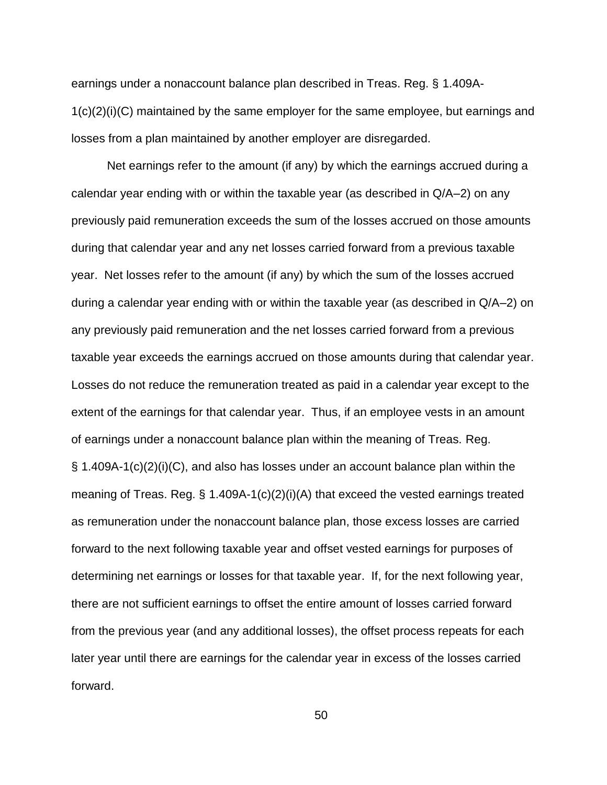earnings under a nonaccount balance plan described in Treas. Reg. § 1.409A-1(c)(2)(i)(C) maintained by the same employer for the same employee, but earnings and losses from a plan maintained by another employer are disregarded.

Net earnings refer to the amount (if any) by which the earnings accrued during a calendar year ending with or within the taxable year (as described in Q/A–2) on any previously paid remuneration exceeds the sum of the losses accrued on those amounts during that calendar year and any net losses carried forward from a previous taxable year. Net losses refer to the amount (if any) by which the sum of the losses accrued during a calendar year ending with or within the taxable year (as described in Q/A–2) on any previously paid remuneration and the net losses carried forward from a previous taxable year exceeds the earnings accrued on those amounts during that calendar year. Losses do not reduce the remuneration treated as paid in a calendar year except to the extent of the earnings for that calendar year. Thus, if an employee vests in an amount of earnings under a nonaccount balance plan within the meaning of Treas. Reg. § 1.409A-1(c)(2)(i)(C), and also has losses under an account balance plan within the meaning of Treas. Reg.  $\S$  1.409A-1(c)(2)(i)(A) that exceed the vested earnings treated as remuneration under the nonaccount balance plan, those excess losses are carried forward to the next following taxable year and offset vested earnings for purposes of determining net earnings or losses for that taxable year. If, for the next following year, there are not sufficient earnings to offset the entire amount of losses carried forward from the previous year (and any additional losses), the offset process repeats for each later year until there are earnings for the calendar year in excess of the losses carried forward.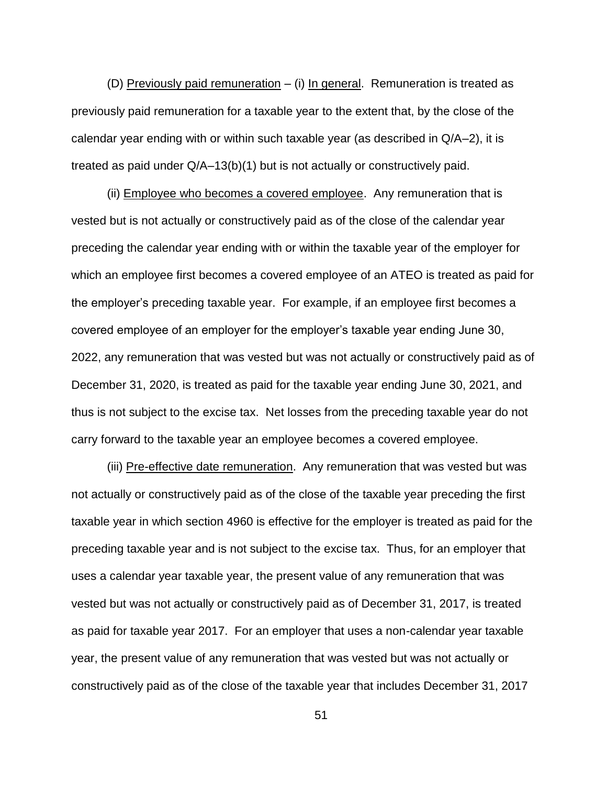(D) Previously paid remuneration – (i) In general. Remuneration is treated as previously paid remuneration for a taxable year to the extent that, by the close of the calendar year ending with or within such taxable year (as described in Q/A–2), it is treated as paid under Q/A–13(b)(1) but is not actually or constructively paid.

(ii) Employee who becomes a covered employee. Any remuneration that is vested but is not actually or constructively paid as of the close of the calendar year preceding the calendar year ending with or within the taxable year of the employer for which an employee first becomes a covered employee of an ATEO is treated as paid for the employer's preceding taxable year. For example, if an employee first becomes a covered employee of an employer for the employer's taxable year ending June 30, 2022, any remuneration that was vested but was not actually or constructively paid as of December 31, 2020, is treated as paid for the taxable year ending June 30, 2021, and thus is not subject to the excise tax. Net losses from the preceding taxable year do not carry forward to the taxable year an employee becomes a covered employee.

(iii) Pre-effective date remuneration. Any remuneration that was vested but was not actually or constructively paid as of the close of the taxable year preceding the first taxable year in which section 4960 is effective for the employer is treated as paid for the preceding taxable year and is not subject to the excise tax. Thus, for an employer that uses a calendar year taxable year, the present value of any remuneration that was vested but was not actually or constructively paid as of December 31, 2017, is treated as paid for taxable year 2017. For an employer that uses a non-calendar year taxable year, the present value of any remuneration that was vested but was not actually or constructively paid as of the close of the taxable year that includes December 31, 2017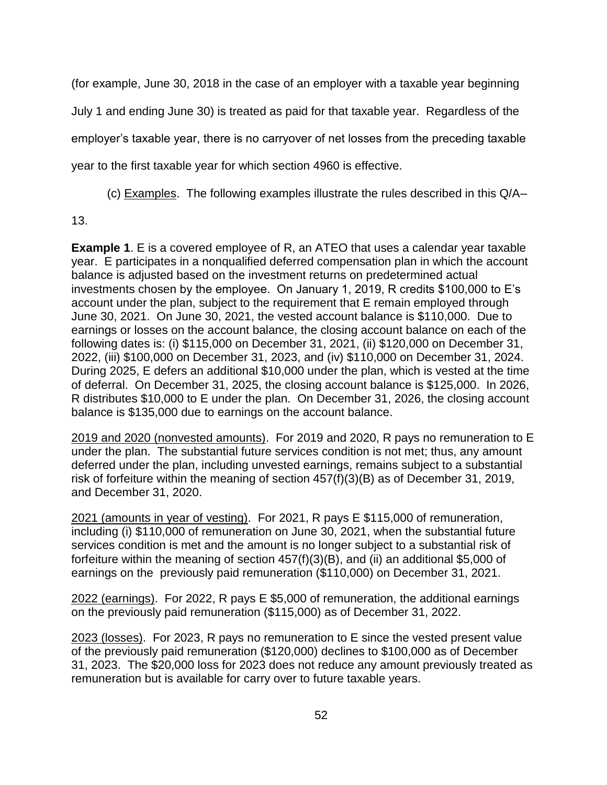(for example, June 30, 2018 in the case of an employer with a taxable year beginning July 1 and ending June 30) is treated as paid for that taxable year. Regardless of the employer's taxable year, there is no carryover of net losses from the preceding taxable year to the first taxable year for which section 4960 is effective.

(c) Examples. The following examples illustrate the rules described in this Q/A–

13.

**Example 1**. E is a covered employee of R, an ATEO that uses a calendar year taxable year. E participates in a nonqualified deferred compensation plan in which the account balance is adjusted based on the investment returns on predetermined actual investments chosen by the employee. On January 1, 2019, R credits \$100,000 to E's account under the plan, subject to the requirement that E remain employed through June 30, 2021. On June 30, 2021, the vested account balance is \$110,000. Due to earnings or losses on the account balance, the closing account balance on each of the following dates is: (i) \$115,000 on December 31, 2021, (ii) \$120,000 on December 31, 2022, (iii) \$100,000 on December 31, 2023, and (iv) \$110,000 on December 31, 2024. During 2025, E defers an additional \$10,000 under the plan, which is vested at the time of deferral. On December 31, 2025, the closing account balance is \$125,000. In 2026, R distributes \$10,000 to E under the plan. On December 31, 2026, the closing account balance is \$135,000 due to earnings on the account balance.

2019 and 2020 (nonvested amounts). For 2019 and 2020, R pays no remuneration to E under the plan. The substantial future services condition is not met; thus, any amount deferred under the plan, including unvested earnings, remains subject to a substantial risk of forfeiture within the meaning of section 457(f)(3)(B) as of December 31, 2019, and December 31, 2020.

2021 (amounts in year of vesting). For 2021, R pays E \$115,000 of remuneration, including (i) \$110,000 of remuneration on June 30, 2021, when the substantial future services condition is met and the amount is no longer subject to a substantial risk of forfeiture within the meaning of section 457(f)(3)(B), and (ii) an additional \$5,000 of earnings on the previously paid remuneration (\$110,000) on December 31, 2021.

2022 (earnings). For 2022, R pays E \$5,000 of remuneration, the additional earnings on the previously paid remuneration (\$115,000) as of December 31, 2022.

2023 (losses). For 2023, R pays no remuneration to E since the vested present value of the previously paid remuneration (\$120,000) declines to \$100,000 as of December 31, 2023. The \$20,000 loss for 2023 does not reduce any amount previously treated as remuneration but is available for carry over to future taxable years.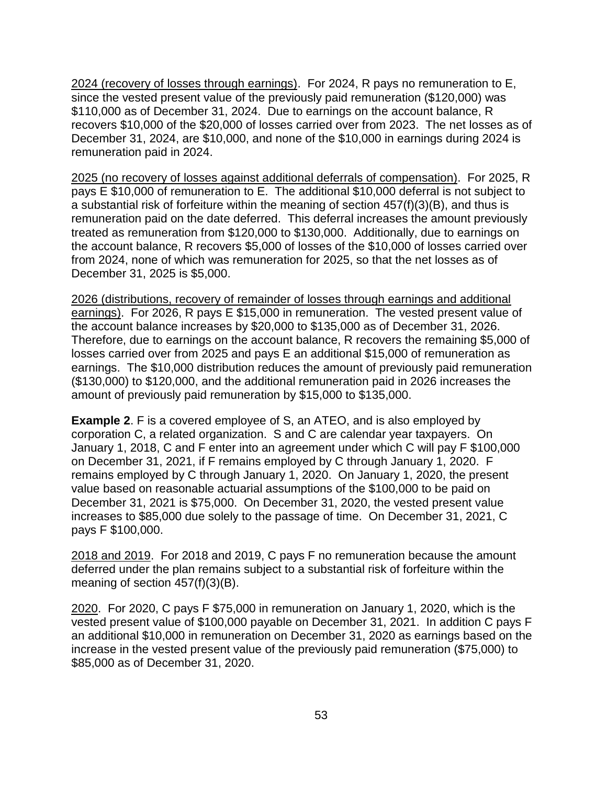2024 (recovery of losses through earnings). For 2024, R pays no remuneration to E, since the vested present value of the previously paid remuneration (\$120,000) was \$110,000 as of December 31, 2024. Due to earnings on the account balance, R recovers \$10,000 of the \$20,000 of losses carried over from 2023. The net losses as of December 31, 2024, are \$10,000, and none of the \$10,000 in earnings during 2024 is remuneration paid in 2024.

2025 (no recovery of losses against additional deferrals of compensation). For 2025, R pays E \$10,000 of remuneration to E. The additional \$10,000 deferral is not subject to a substantial risk of forfeiture within the meaning of section 457(f)(3)(B), and thus is remuneration paid on the date deferred. This deferral increases the amount previously treated as remuneration from \$120,000 to \$130,000. Additionally, due to earnings on the account balance, R recovers \$5,000 of losses of the \$10,000 of losses carried over from 2024, none of which was remuneration for 2025, so that the net losses as of December 31, 2025 is \$5,000.

2026 (distributions, recovery of remainder of losses through earnings and additional earnings). For 2026, R pays E \$15,000 in remuneration. The vested present value of the account balance increases by \$20,000 to \$135,000 as of December 31, 2026. Therefore, due to earnings on the account balance, R recovers the remaining \$5,000 of losses carried over from 2025 and pays E an additional \$15,000 of remuneration as earnings. The \$10,000 distribution reduces the amount of previously paid remuneration (\$130,000) to \$120,000, and the additional remuneration paid in 2026 increases the amount of previously paid remuneration by \$15,000 to \$135,000.

**Example 2**. F is a covered employee of S, an ATEO, and is also employed by corporation C, a related organization. S and C are calendar year taxpayers. On January 1, 2018, C and F enter into an agreement under which C will pay F \$100,000 on December 31, 2021, if F remains employed by C through January 1, 2020. F remains employed by C through January 1, 2020. On January 1, 2020, the present value based on reasonable actuarial assumptions of the \$100,000 to be paid on December 31, 2021 is \$75,000. On December 31, 2020, the vested present value increases to \$85,000 due solely to the passage of time. On December 31, 2021, C pays F \$100,000.

2018 and 2019. For 2018 and 2019, C pays F no remuneration because the amount deferred under the plan remains subject to a substantial risk of forfeiture within the meaning of section 457(f)(3)(B).

2020. For 2020, C pays F \$75,000 in remuneration on January 1, 2020, which is the vested present value of \$100,000 payable on December 31, 2021. In addition C pays F an additional \$10,000 in remuneration on December 31, 2020 as earnings based on the increase in the vested present value of the previously paid remuneration (\$75,000) to \$85,000 as of December 31, 2020.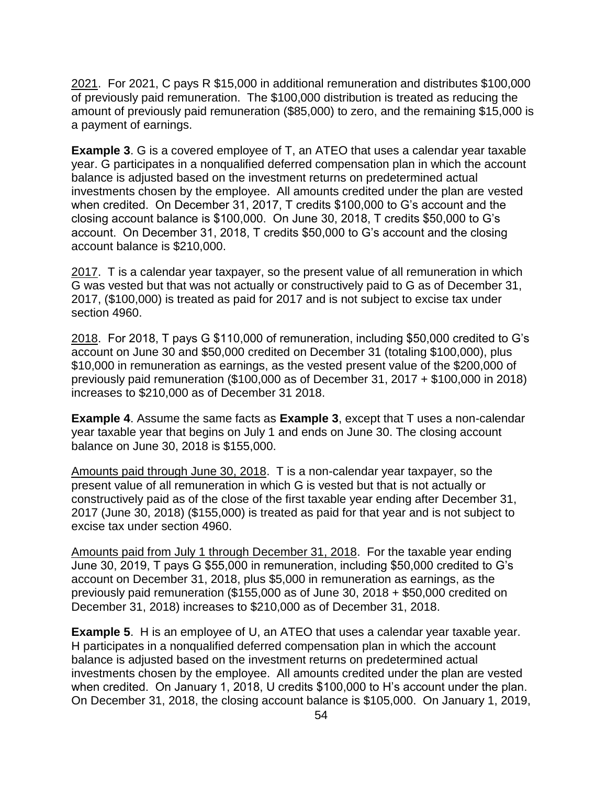2021. For 2021, C pays R \$15,000 in additional remuneration and distributes \$100,000 of previously paid remuneration. The \$100,000 distribution is treated as reducing the amount of previously paid remuneration (\$85,000) to zero, and the remaining \$15,000 is a payment of earnings.

**Example 3**. G is a covered employee of T, an ATEO that uses a calendar year taxable year. G participates in a nonqualified deferred compensation plan in which the account balance is adjusted based on the investment returns on predetermined actual investments chosen by the employee. All amounts credited under the plan are vested when credited. On December 31, 2017, T credits \$100,000 to G's account and the closing account balance is \$100,000. On June 30, 2018, T credits \$50,000 to G's account. On December 31, 2018, T credits \$50,000 to G's account and the closing account balance is \$210,000.

2017. T is a calendar year taxpayer, so the present value of all remuneration in which G was vested but that was not actually or constructively paid to G as of December 31, 2017, (\$100,000) is treated as paid for 2017 and is not subject to excise tax under section 4960.

2018. For 2018, T pays G \$110,000 of remuneration, including \$50,000 credited to G's account on June 30 and \$50,000 credited on December 31 (totaling \$100,000), plus \$10,000 in remuneration as earnings, as the vested present value of the \$200,000 of previously paid remuneration (\$100,000 as of December 31, 2017 + \$100,000 in 2018) increases to \$210,000 as of December 31 2018.

**Example 4**. Assume the same facts as **Example 3**, except that T uses a non-calendar year taxable year that begins on July 1 and ends on June 30. The closing account balance on June 30, 2018 is \$155,000.

Amounts paid through June 30, 2018. T is a non-calendar year taxpayer, so the present value of all remuneration in which G is vested but that is not actually or constructively paid as of the close of the first taxable year ending after December 31, 2017 (June 30, 2018) (\$155,000) is treated as paid for that year and is not subject to excise tax under section 4960.

Amounts paid from July 1 through December 31, 2018. For the taxable year ending June 30, 2019, T pays G \$55,000 in remuneration, including \$50,000 credited to G's account on December 31, 2018, plus \$5,000 in remuneration as earnings, as the previously paid remuneration (\$155,000 as of June 30, 2018 + \$50,000 credited on December 31, 2018) increases to \$210,000 as of December 31, 2018.

**Example 5.** H is an employee of U, an ATEO that uses a calendar year taxable year. H participates in a nonqualified deferred compensation plan in which the account balance is adjusted based on the investment returns on predetermined actual investments chosen by the employee. All amounts credited under the plan are vested when credited. On January 1, 2018, U credits \$100,000 to H's account under the plan. On December 31, 2018, the closing account balance is \$105,000. On January 1, 2019,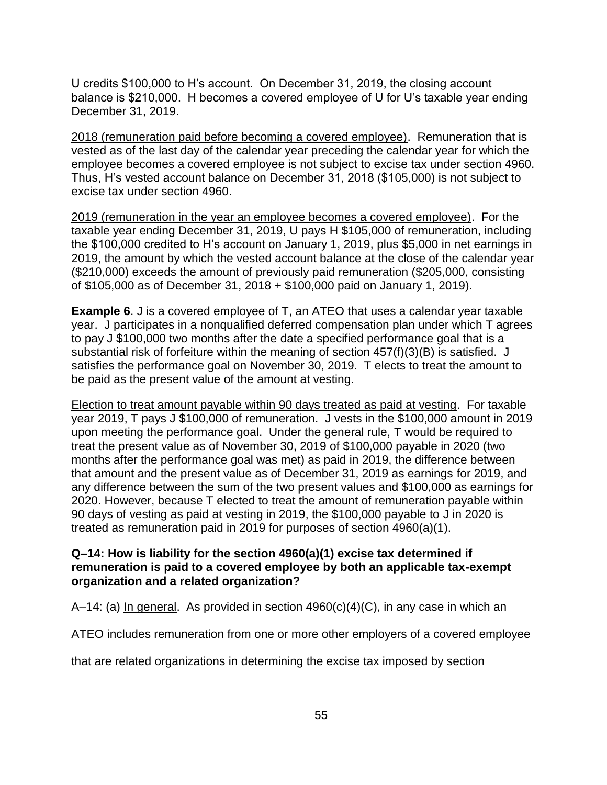U credits \$100,000 to H's account. On December 31, 2019, the closing account balance is \$210,000. H becomes a covered employee of U for U's taxable year ending December 31, 2019.

2018 (remuneration paid before becoming a covered employee). Remuneration that is vested as of the last day of the calendar year preceding the calendar year for which the employee becomes a covered employee is not subject to excise tax under section 4960. Thus, H's vested account balance on December 31, 2018 (\$105,000) is not subject to excise tax under section 4960.

2019 (remuneration in the year an employee becomes a covered employee). For the taxable year ending December 31, 2019, U pays H \$105,000 of remuneration, including the \$100,000 credited to H's account on January 1, 2019, plus \$5,000 in net earnings in 2019, the amount by which the vested account balance at the close of the calendar year (\$210,000) exceeds the amount of previously paid remuneration (\$205,000, consisting of \$105,000 as of December 31, 2018 + \$100,000 paid on January 1, 2019).

**Example 6.** J is a covered employee of T, an ATEO that uses a calendar year taxable year. J participates in a nonqualified deferred compensation plan under which T agrees to pay J \$100,000 two months after the date a specified performance goal that is a substantial risk of forfeiture within the meaning of section 457(f)(3)(B) is satisfied. J satisfies the performance goal on November 30, 2019. T elects to treat the amount to be paid as the present value of the amount at vesting.

Election to treat amount payable within 90 days treated as paid at vesting. For taxable year 2019, T pays J \$100,000 of remuneration. J vests in the \$100,000 amount in 2019 upon meeting the performance goal. Under the general rule, T would be required to treat the present value as of November 30, 2019 of \$100,000 payable in 2020 (two months after the performance goal was met) as paid in 2019, the difference between that amount and the present value as of December 31, 2019 as earnings for 2019, and any difference between the sum of the two present values and \$100,000 as earnings for 2020. However, because T elected to treat the amount of remuneration payable within 90 days of vesting as paid at vesting in 2019, the \$100,000 payable to J in 2020 is treated as remuneration paid in 2019 for purposes of section 4960(a)(1).

## **Q–14: How is liability for the section 4960(a)(1) excise tax determined if remuneration is paid to a covered employee by both an applicable tax-exempt organization and a related organization?**

A–14: (a) In general. As provided in section 4960(c)(4)(C), in any case in which an

ATEO includes remuneration from one or more other employers of a covered employee

that are related organizations in determining the excise tax imposed by section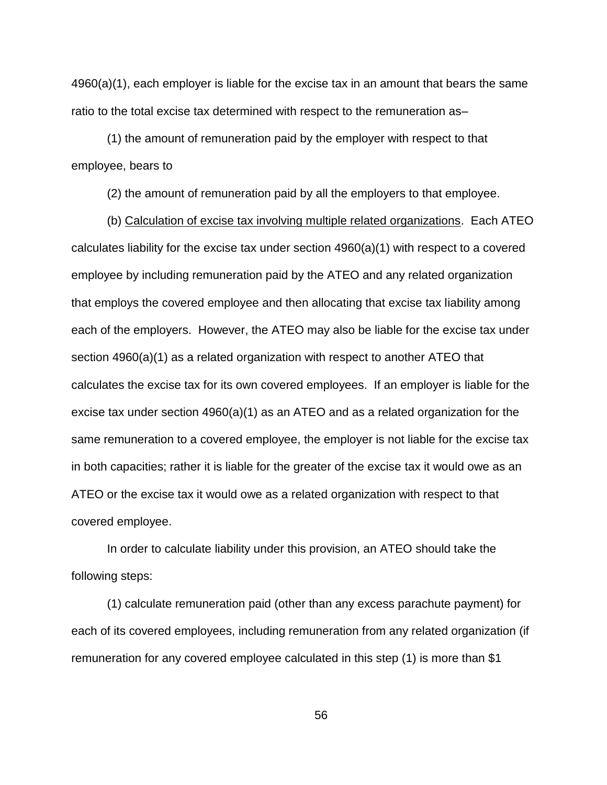4960(a)(1), each employer is liable for the excise tax in an amount that bears the same ratio to the total excise tax determined with respect to the remuneration as–

(1) the amount of remuneration paid by the employer with respect to that employee, bears to

(2) the amount of remuneration paid by all the employers to that employee.

(b) Calculation of excise tax involving multiple related organizations. Each ATEO calculates liability for the excise tax under section 4960(a)(1) with respect to a covered employee by including remuneration paid by the ATEO and any related organization that employs the covered employee and then allocating that excise tax liability among each of the employers. However, the ATEO may also be liable for the excise tax under section 4960(a)(1) as a related organization with respect to another ATEO that calculates the excise tax for its own covered employees. If an employer is liable for the excise tax under section 4960(a)(1) as an ATEO and as a related organization for the same remuneration to a covered employee, the employer is not liable for the excise tax in both capacities; rather it is liable for the greater of the excise tax it would owe as an ATEO or the excise tax it would owe as a related organization with respect to that covered employee.

In order to calculate liability under this provision, an ATEO should take the following steps:

(1) calculate remuneration paid (other than any excess parachute payment) for each of its covered employees, including remuneration from any related organization (if remuneration for any covered employee calculated in this step (1) is more than \$1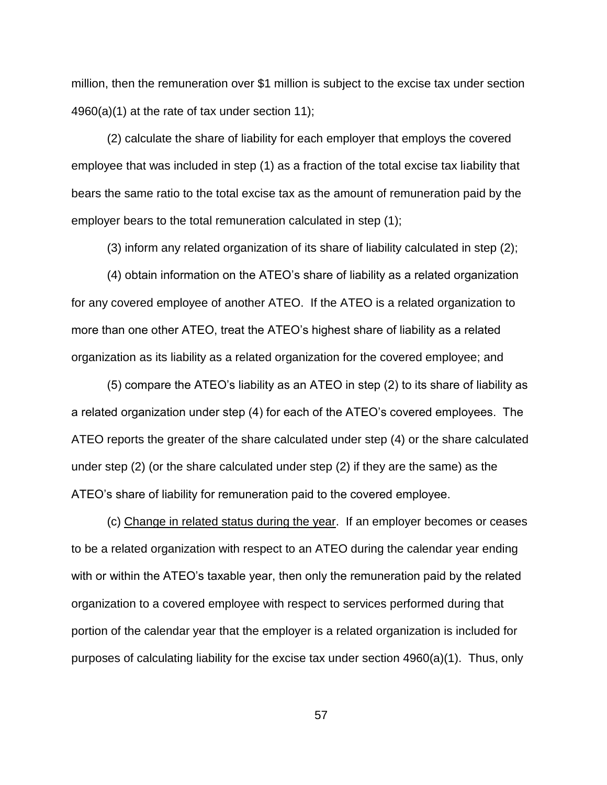million, then the remuneration over \$1 million is subject to the excise tax under section 4960(a)(1) at the rate of tax under section 11);

(2) calculate the share of liability for each employer that employs the covered employee that was included in step (1) as a fraction of the total excise tax liability that bears the same ratio to the total excise tax as the amount of remuneration paid by the employer bears to the total remuneration calculated in step (1);

(3) inform any related organization of its share of liability calculated in step (2);

(4) obtain information on the ATEO's share of liability as a related organization for any covered employee of another ATEO. If the ATEO is a related organization to more than one other ATEO, treat the ATEO's highest share of liability as a related organization as its liability as a related organization for the covered employee; and

(5) compare the ATEO's liability as an ATEO in step (2) to its share of liability as a related organization under step (4) for each of the ATEO's covered employees. The ATEO reports the greater of the share calculated under step (4) or the share calculated under step (2) (or the share calculated under step (2) if they are the same) as the ATEO's share of liability for remuneration paid to the covered employee.

(c) Change in related status during the year. If an employer becomes or ceases to be a related organization with respect to an ATEO during the calendar year ending with or within the ATEO's taxable year, then only the remuneration paid by the related organization to a covered employee with respect to services performed during that portion of the calendar year that the employer is a related organization is included for purposes of calculating liability for the excise tax under section 4960(a)(1). Thus, only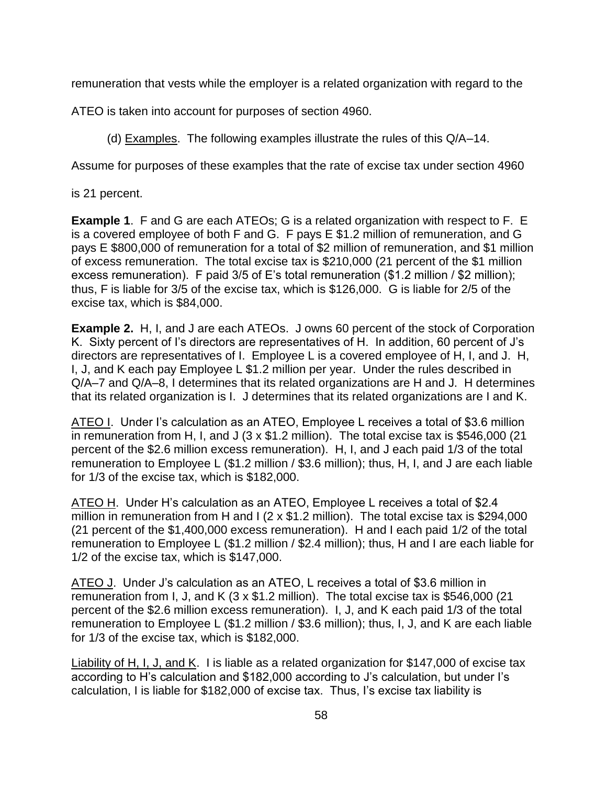remuneration that vests while the employer is a related organization with regard to the

ATEO is taken into account for purposes of section 4960.

(d) Examples. The following examples illustrate the rules of this Q/A–14.

Assume for purposes of these examples that the rate of excise tax under section 4960

is 21 percent.

**Example 1**. F and G are each ATEOs; G is a related organization with respect to F. E is a covered employee of both F and G. F pays E \$1.2 million of remuneration, and G pays E \$800,000 of remuneration for a total of \$2 million of remuneration, and \$1 million of excess remuneration. The total excise tax is \$210,000 (21 percent of the \$1 million excess remuneration). F paid 3/5 of E's total remuneration (\$1.2 million / \$2 million); thus, F is liable for 3/5 of the excise tax, which is \$126,000. G is liable for 2/5 of the excise tax, which is \$84,000.

**Example 2.** H, I, and J are each ATEOs. J owns 60 percent of the stock of Corporation K. Sixty percent of I's directors are representatives of H. In addition, 60 percent of J's directors are representatives of I. Employee L is a covered employee of H, I, and J. H, I, J, and K each pay Employee L \$1.2 million per year. Under the rules described in Q/A–7 and Q/A–8, I determines that its related organizations are H and J. H determines that its related organization is I. J determines that its related organizations are I and K.

ATEO I. Under I's calculation as an ATEO, Employee L receives a total of \$3.6 million in remuneration from H, I, and J (3 x \$1.2 million). The total excise tax is \$546,000 (21 percent of the \$2.6 million excess remuneration). H, I, and J each paid 1/3 of the total remuneration to Employee L (\$1.2 million / \$3.6 million); thus, H, I, and J are each liable for 1/3 of the excise tax, which is \$182,000.

ATEO H. Under H's calculation as an ATEO, Employee L receives a total of \$2.4 million in remuneration from H and I (2 x \$1.2 million). The total excise tax is \$294,000 (21 percent of the \$1,400,000 excess remuneration). H and I each paid 1/2 of the total remuneration to Employee L (\$1.2 million / \$2.4 million); thus, H and I are each liable for 1/2 of the excise tax, which is \$147,000.

ATEO J. Under J's calculation as an ATEO, L receives a total of \$3.6 million in remuneration from I, J, and K  $(3 \times $1.2 \text{ million})$ . The total excise tax is \$546,000 (21) percent of the \$2.6 million excess remuneration). I, J, and K each paid 1/3 of the total remuneration to Employee L (\$1.2 million / \$3.6 million); thus, I, J, and K are each liable for 1/3 of the excise tax, which is \$182,000.

Liability of H, I, J, and K. I is liable as a related organization for \$147,000 of excise tax according to H's calculation and \$182,000 according to J's calculation, but under I's calculation, I is liable for \$182,000 of excise tax. Thus, I's excise tax liability is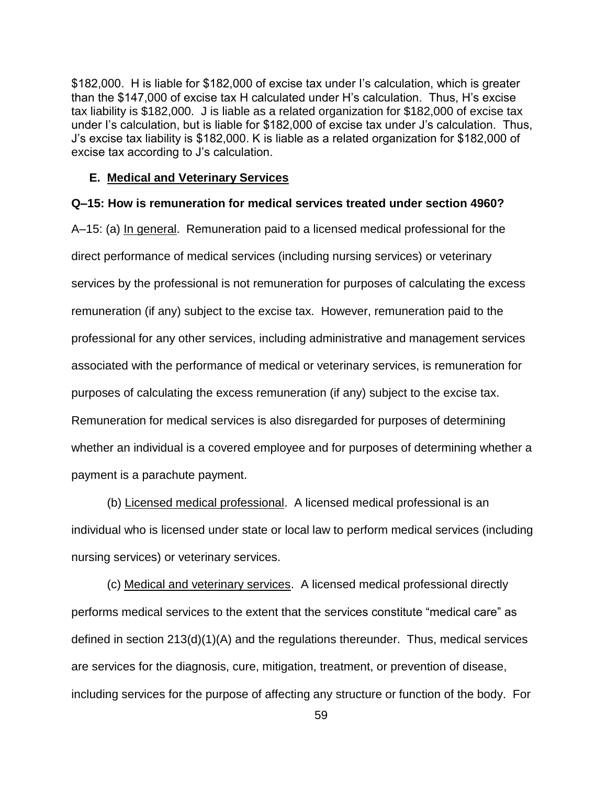\$182,000. H is liable for \$182,000 of excise tax under I's calculation, which is greater than the \$147,000 of excise tax H calculated under H's calculation. Thus, H's excise tax liability is \$182,000. J is liable as a related organization for \$182,000 of excise tax under I's calculation, but is liable for \$182,000 of excise tax under J's calculation. Thus, J's excise tax liability is \$182,000. K is liable as a related organization for \$182,000 of excise tax according to J's calculation.

#### **E. Medical and Veterinary Services**

#### **Q–15: How is remuneration for medical services treated under section 4960?**

A–15: (a) In general. Remuneration paid to a licensed medical professional for the direct performance of medical services (including nursing services) or veterinary services by the professional is not remuneration for purposes of calculating the excess remuneration (if any) subject to the excise tax. However, remuneration paid to the professional for any other services, including administrative and management services associated with the performance of medical or veterinary services, is remuneration for purposes of calculating the excess remuneration (if any) subject to the excise tax. Remuneration for medical services is also disregarded for purposes of determining whether an individual is a covered employee and for purposes of determining whether a payment is a parachute payment.

(b) Licensed medical professional. A licensed medical professional is an individual who is licensed under state or local law to perform medical services (including nursing services) or veterinary services.

(c) Medical and veterinary services. A licensed medical professional directly performs medical services to the extent that the services constitute "medical care" as defined in section 213(d)(1)(A) and the regulations thereunder. Thus, medical services are services for the diagnosis, cure, mitigation, treatment, or prevention of disease, including services for the purpose of affecting any structure or function of the body. For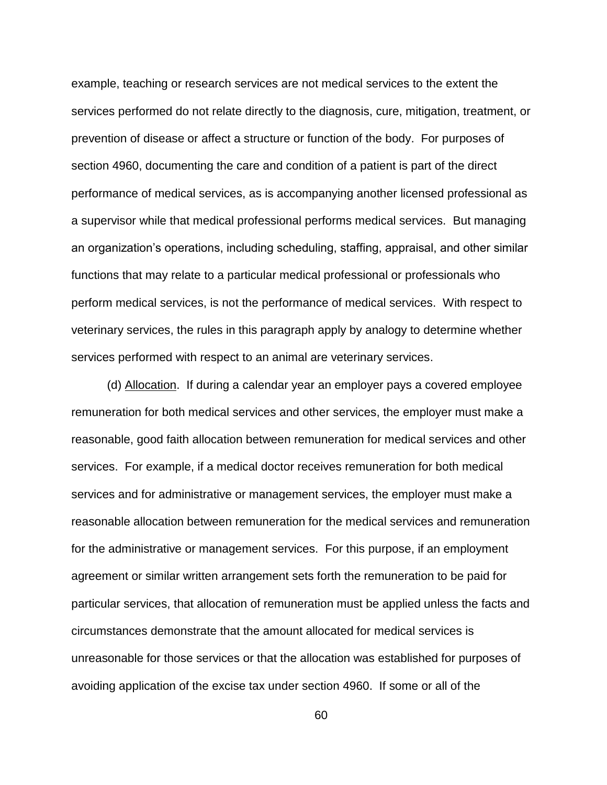example, teaching or research services are not medical services to the extent the services performed do not relate directly to the diagnosis, cure, mitigation, treatment, or prevention of disease or affect a structure or function of the body. For purposes of section 4960, documenting the care and condition of a patient is part of the direct performance of medical services, as is accompanying another licensed professional as a supervisor while that medical professional performs medical services. But managing an organization's operations, including scheduling, staffing, appraisal, and other similar functions that may relate to a particular medical professional or professionals who perform medical services, is not the performance of medical services. With respect to veterinary services, the rules in this paragraph apply by analogy to determine whether services performed with respect to an animal are veterinary services.

(d) Allocation. If during a calendar year an employer pays a covered employee remuneration for both medical services and other services, the employer must make a reasonable, good faith allocation between remuneration for medical services and other services. For example, if a medical doctor receives remuneration for both medical services and for administrative or management services, the employer must make a reasonable allocation between remuneration for the medical services and remuneration for the administrative or management services. For this purpose, if an employment agreement or similar written arrangement sets forth the remuneration to be paid for particular services, that allocation of remuneration must be applied unless the facts and circumstances demonstrate that the amount allocated for medical services is unreasonable for those services or that the allocation was established for purposes of avoiding application of the excise tax under section 4960. If some or all of the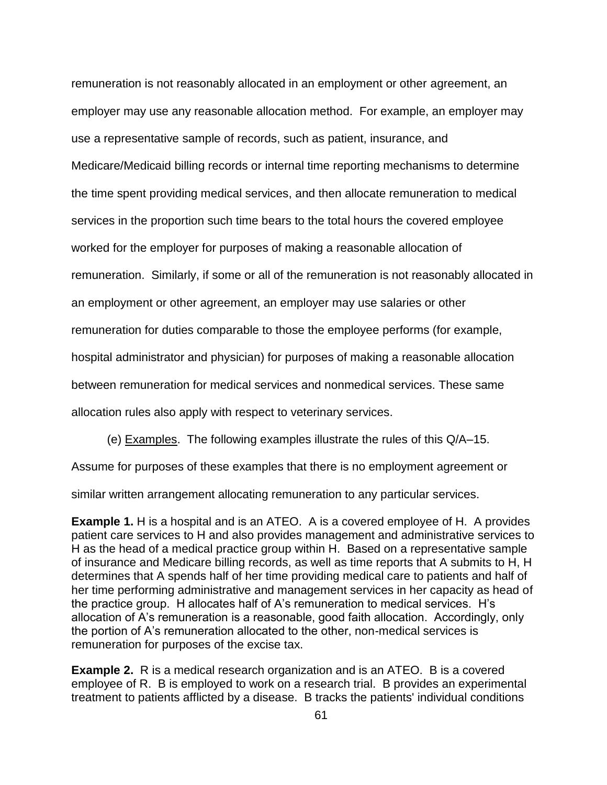remuneration is not reasonably allocated in an employment or other agreement, an employer may use any reasonable allocation method. For example, an employer may use a representative sample of records, such as patient, insurance, and Medicare/Medicaid billing records or internal time reporting mechanisms to determine the time spent providing medical services, and then allocate remuneration to medical services in the proportion such time bears to the total hours the covered employee worked for the employer for purposes of making a reasonable allocation of remuneration. Similarly, if some or all of the remuneration is not reasonably allocated in an employment or other agreement, an employer may use salaries or other remuneration for duties comparable to those the employee performs (for example, hospital administrator and physician) for purposes of making a reasonable allocation between remuneration for medical services and nonmedical services. These same allocation rules also apply with respect to veterinary services.

(e) Examples. The following examples illustrate the rules of this Q/A–15.

Assume for purposes of these examples that there is no employment agreement or

similar written arrangement allocating remuneration to any particular services.

**Example 1.** H is a hospital and is an ATEO. A is a covered employee of H. A provides patient care services to H and also provides management and administrative services to H as the head of a medical practice group within H. Based on a representative sample of insurance and Medicare billing records, as well as time reports that A submits to H, H determines that A spends half of her time providing medical care to patients and half of her time performing administrative and management services in her capacity as head of the practice group. H allocates half of A's remuneration to medical services. H's allocation of A's remuneration is a reasonable, good faith allocation. Accordingly, only the portion of A's remuneration allocated to the other, non-medical services is remuneration for purposes of the excise tax.

**Example 2.** R is a medical research organization and is an ATEO. B is a covered employee of R. B is employed to work on a research trial. B provides an experimental treatment to patients afflicted by a disease. B tracks the patients' individual conditions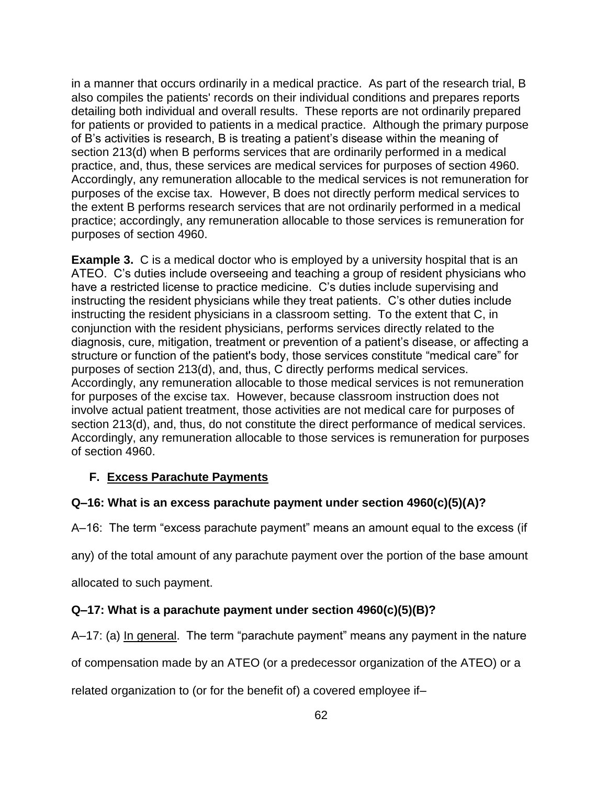in a manner that occurs ordinarily in a medical practice. As part of the research trial, B also compiles the patients' records on their individual conditions and prepares reports detailing both individual and overall results. These reports are not ordinarily prepared for patients or provided to patients in a medical practice. Although the primary purpose of B's activities is research, B is treating a patient's disease within the meaning of section 213(d) when B performs services that are ordinarily performed in a medical practice, and, thus, these services are medical services for purposes of section 4960. Accordingly, any remuneration allocable to the medical services is not remuneration for purposes of the excise tax. However, B does not directly perform medical services to the extent B performs research services that are not ordinarily performed in a medical practice; accordingly, any remuneration allocable to those services is remuneration for purposes of section 4960.

**Example 3.** C is a medical doctor who is employed by a university hospital that is an ATEO. C's duties include overseeing and teaching a group of resident physicians who have a restricted license to practice medicine. C's duties include supervising and instructing the resident physicians while they treat patients. C's other duties include instructing the resident physicians in a classroom setting. To the extent that C, in conjunction with the resident physicians, performs services directly related to the diagnosis, cure, mitigation, treatment or prevention of a patient's disease, or affecting a structure or function of the patient's body, those services constitute "medical care" for purposes of section 213(d), and, thus, C directly performs medical services. Accordingly, any remuneration allocable to those medical services is not remuneration for purposes of the excise tax. However, because classroom instruction does not involve actual patient treatment, those activities are not medical care for purposes of section 213(d), and, thus, do not constitute the direct performance of medical services. Accordingly, any remuneration allocable to those services is remuneration for purposes of section 4960.

# **F. Excess Parachute Payments**

## **Q–16: What is an excess parachute payment under section 4960(c)(5)(A)?**

A–16: The term "excess parachute payment" means an amount equal to the excess (if

any) of the total amount of any parachute payment over the portion of the base amount

allocated to such payment.

## **Q–17: What is a parachute payment under section 4960(c)(5)(B)?**

A–17: (a) In general. The term "parachute payment" means any payment in the nature

of compensation made by an ATEO (or a predecessor organization of the ATEO) or a

related organization to (or for the benefit of) a covered employee if–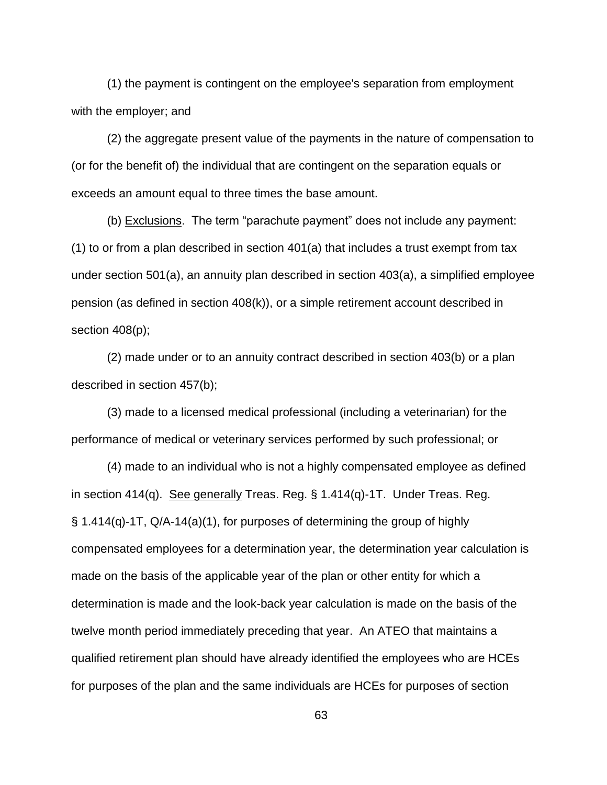(1) the payment is contingent on the employee's separation from employment with the employer; and

(2) the aggregate present value of the payments in the nature of compensation to (or for the benefit of) the individual that are contingent on the separation equals or exceeds an amount equal to three times the base amount.

(b) Exclusions. The term "parachute payment" does not include any payment: (1) to or from a plan described in section 401(a) that includes a trust exempt from tax under section 501(a), an annuity plan described in section 403(a), a simplified employee pension (as defined in section 408(k)), or a simple retirement account described in section 408(p);

(2) made under or to an annuity contract described in section 403(b) or a plan described in section 457(b);

(3) made to a licensed medical professional (including a veterinarian) for the performance of medical or veterinary services performed by such professional; or

(4) made to an individual who is not a highly compensated employee as defined in section 414(q). See generally Treas. Reg. § 1.414(q)-1T. Under Treas. Reg. § 1.414(q)-1T, Q/A-14(a)(1), for purposes of determining the group of highly compensated employees for a determination year, the determination year calculation is made on the basis of the applicable year of the plan or other entity for which a determination is made and the look-back year calculation is made on the basis of the twelve month period immediately preceding that year. An ATEO that maintains a qualified retirement plan should have already identified the employees who are HCEs for purposes of the plan and the same individuals are HCEs for purposes of section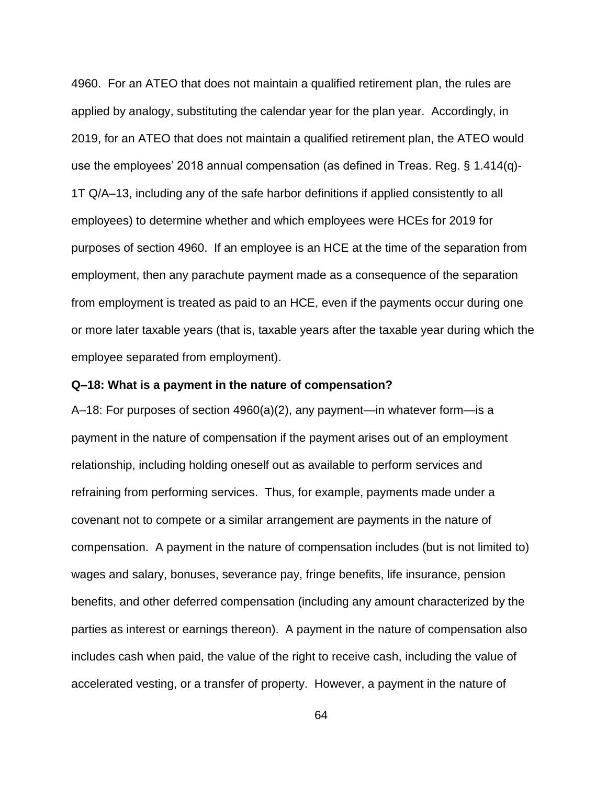4960. For an ATEO that does not maintain a qualified retirement plan, the rules are applied by analogy, substituting the calendar year for the plan year. Accordingly, in 2019, for an ATEO that does not maintain a qualified retirement plan, the ATEO would use the employees' 2018 annual compensation (as defined in Treas. Reg. § 1.414(q)- 1T Q/A–13, including any of the safe harbor definitions if applied consistently to all employees) to determine whether and which employees were HCEs for 2019 for purposes of section 4960. If an employee is an HCE at the time of the separation from employment, then any parachute payment made as a consequence of the separation from employment is treated as paid to an HCE, even if the payments occur during one or more later taxable years (that is, taxable years after the taxable year during which the employee separated from employment).

#### **Q–18: What is a payment in the nature of compensation?**

A–18: For purposes of section 4960(a)(2), any payment—in whatever form—is a payment in the nature of compensation if the payment arises out of an employment relationship, including holding oneself out as available to perform services and refraining from performing services. Thus, for example, payments made under a covenant not to compete or a similar arrangement are payments in the nature of compensation. A payment in the nature of compensation includes (but is not limited to) wages and salary, bonuses, severance pay, fringe benefits, life insurance, pension benefits, and other deferred compensation (including any amount characterized by the parties as interest or earnings thereon). A payment in the nature of compensation also includes cash when paid, the value of the right to receive cash, including the value of accelerated vesting, or a transfer of property. However, a payment in the nature of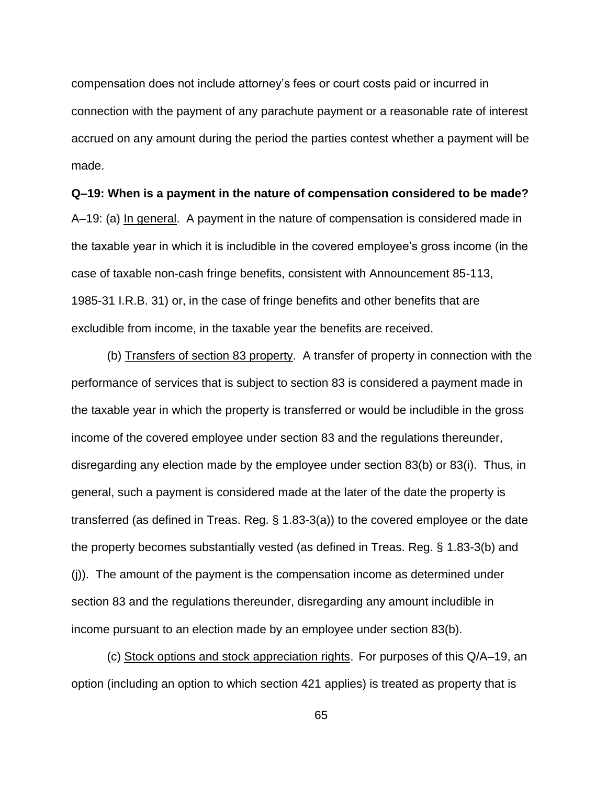compensation does not include attorney's fees or court costs paid or incurred in connection with the payment of any parachute payment or a reasonable rate of interest accrued on any amount during the period the parties contest whether a payment will be made.

# **Q–19: When is a payment in the nature of compensation considered to be made?**

A–19: (a) In general. A payment in the nature of compensation is considered made in the taxable year in which it is includible in the covered employee's gross income (in the case of taxable non-cash fringe benefits, consistent with Announcement 85-113, 1985-31 I.R.B. 31) or, in the case of fringe benefits and other benefits that are excludible from income, in the taxable year the benefits are received.

(b) Transfers of section 83 property. A transfer of property in connection with the performance of services that is subject to section 83 is considered a payment made in the taxable year in which the property is transferred or would be includible in the gross income of the covered employee under section 83 and the regulations thereunder, disregarding any election made by the employee under section 83(b) or 83(i). Thus, in general, such a payment is considered made at the later of the date the property is transferred (as defined in Treas. Reg. § 1.83-3(a)) to the covered employee or the date the property becomes substantially vested (as defined in Treas. Reg. § 1.83-3(b) and (j)). The amount of the payment is the compensation income as determined under section 83 and the regulations thereunder, disregarding any amount includible in income pursuant to an election made by an employee under section 83(b).

(c) Stock options and stock appreciation rights. For purposes of this Q/A–19, an option (including an option to which section 421 applies) is treated as property that is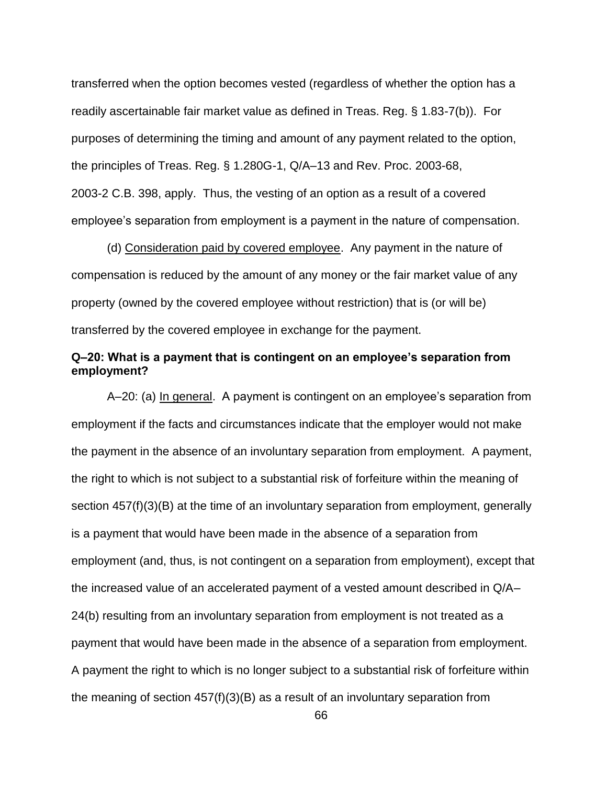transferred when the option becomes vested (regardless of whether the option has a readily ascertainable fair market value as defined in Treas. Reg. § 1.83-7(b)). For purposes of determining the timing and amount of any payment related to the option, the principles of Treas. Reg. § 1.280G-1, Q/A–13 and Rev. Proc. 2003-68, 2003-2 C.B. 398, apply. Thus, the vesting of an option as a result of a covered employee's separation from employment is a payment in the nature of compensation.

(d) Consideration paid by covered employee. Any payment in the nature of compensation is reduced by the amount of any money or the fair market value of any property (owned by the covered employee without restriction) that is (or will be) transferred by the covered employee in exchange for the payment.

## **Q–20: What is a payment that is contingent on an employee's separation from employment?**

A–20: (a) In general. A payment is contingent on an employee's separation from employment if the facts and circumstances indicate that the employer would not make the payment in the absence of an involuntary separation from employment. A payment, the right to which is not subject to a substantial risk of forfeiture within the meaning of section 457(f)(3)(B) at the time of an involuntary separation from employment, generally is a payment that would have been made in the absence of a separation from employment (and, thus, is not contingent on a separation from employment), except that the increased value of an accelerated payment of a vested amount described in Q/A– 24(b) resulting from an involuntary separation from employment is not treated as a payment that would have been made in the absence of a separation from employment. A payment the right to which is no longer subject to a substantial risk of forfeiture within the meaning of section 457(f)(3)(B) as a result of an involuntary separation from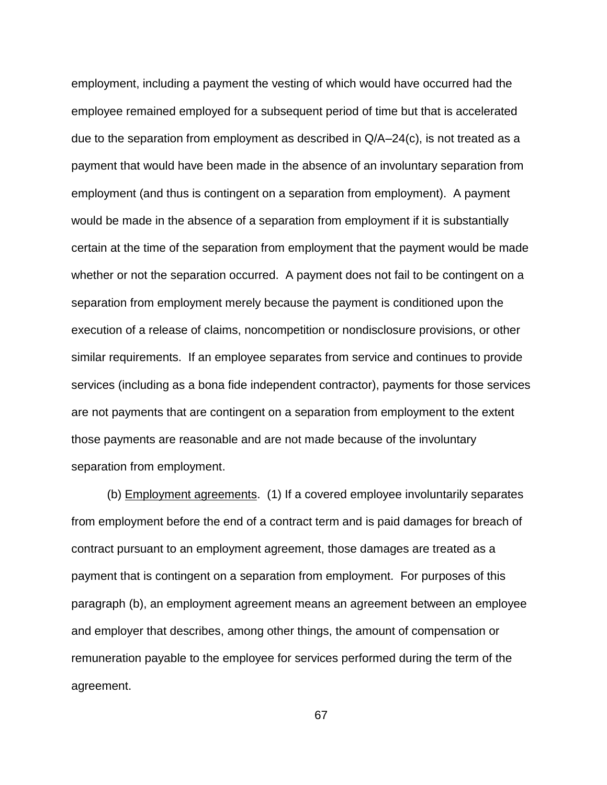employment, including a payment the vesting of which would have occurred had the employee remained employed for a subsequent period of time but that is accelerated due to the separation from employment as described in  $Q/A-24(c)$ , is not treated as a payment that would have been made in the absence of an involuntary separation from employment (and thus is contingent on a separation from employment). A payment would be made in the absence of a separation from employment if it is substantially certain at the time of the separation from employment that the payment would be made whether or not the separation occurred. A payment does not fail to be contingent on a separation from employment merely because the payment is conditioned upon the execution of a release of claims, noncompetition or nondisclosure provisions, or other similar requirements. If an employee separates from service and continues to provide services (including as a bona fide independent contractor), payments for those services are not payments that are contingent on a separation from employment to the extent those payments are reasonable and are not made because of the involuntary separation from employment.

(b) Employment agreements. (1) If a covered employee involuntarily separates from employment before the end of a contract term and is paid damages for breach of contract pursuant to an employment agreement, those damages are treated as a payment that is contingent on a separation from employment. For purposes of this paragraph (b), an employment agreement means an agreement between an employee and employer that describes, among other things, the amount of compensation or remuneration payable to the employee for services performed during the term of the agreement.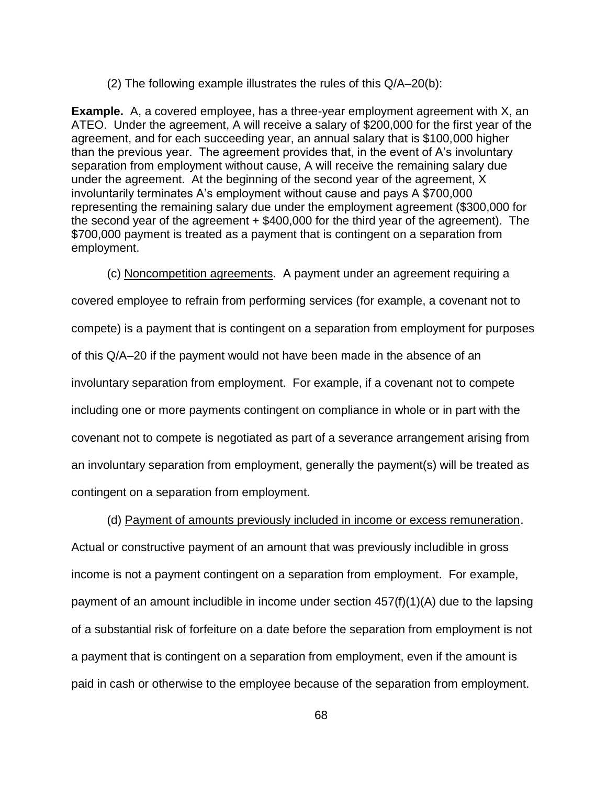(2) The following example illustrates the rules of this Q/A–20(b):

**Example.** A, a covered employee, has a three-year employment agreement with X, an ATEO. Under the agreement, A will receive a salary of \$200,000 for the first year of the agreement, and for each succeeding year, an annual salary that is \$100,000 higher than the previous year. The agreement provides that, in the event of A's involuntary separation from employment without cause, A will receive the remaining salary due under the agreement. At the beginning of the second year of the agreement, X involuntarily terminates A's employment without cause and pays A \$700,000 representing the remaining salary due under the employment agreement (\$300,000 for the second year of the agreement + \$400,000 for the third year of the agreement). The \$700,000 payment is treated as a payment that is contingent on a separation from employment.

(c) Noncompetition agreements. A payment under an agreement requiring a covered employee to refrain from performing services (for example, a covenant not to compete) is a payment that is contingent on a separation from employment for purposes of this Q/A–20 if the payment would not have been made in the absence of an involuntary separation from employment. For example, if a covenant not to compete including one or more payments contingent on compliance in whole or in part with the covenant not to compete is negotiated as part of a severance arrangement arising from an involuntary separation from employment, generally the payment(s) will be treated as contingent on a separation from employment.

(d) Payment of amounts previously included in income or excess remuneration.

Actual or constructive payment of an amount that was previously includible in gross income is not a payment contingent on a separation from employment. For example, payment of an amount includible in income under section  $457(f)(1)(A)$  due to the lapsing of a substantial risk of forfeiture on a date before the separation from employment is not a payment that is contingent on a separation from employment, even if the amount is paid in cash or otherwise to the employee because of the separation from employment.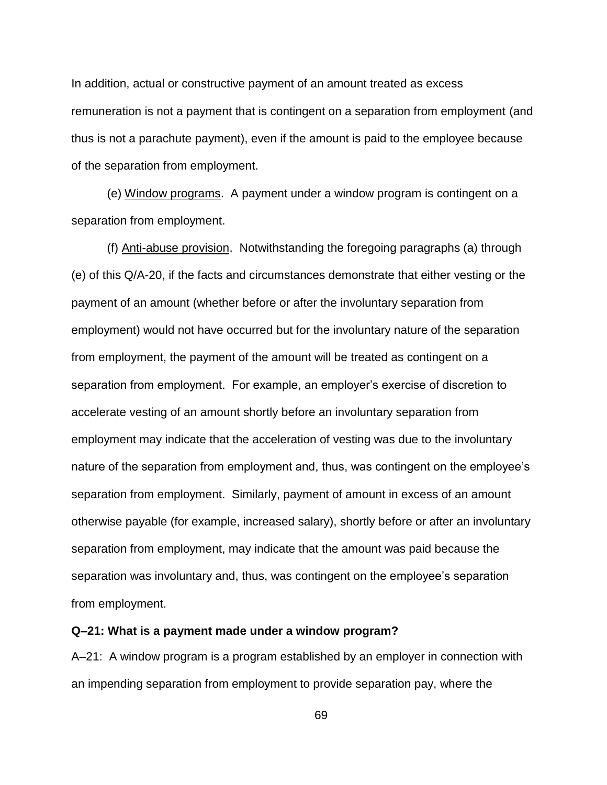In addition, actual or constructive payment of an amount treated as excess remuneration is not a payment that is contingent on a separation from employment (and thus is not a parachute payment), even if the amount is paid to the employee because of the separation from employment.

(e) Window programs. A payment under a window program is contingent on a separation from employment.

(f) Anti-abuse provision. Notwithstanding the foregoing paragraphs (a) through (e) of this Q/A-20, if the facts and circumstances demonstrate that either vesting or the payment of an amount (whether before or after the involuntary separation from employment) would not have occurred but for the involuntary nature of the separation from employment, the payment of the amount will be treated as contingent on a separation from employment. For example, an employer's exercise of discretion to accelerate vesting of an amount shortly before an involuntary separation from employment may indicate that the acceleration of vesting was due to the involuntary nature of the separation from employment and, thus, was contingent on the employee's separation from employment. Similarly, payment of amount in excess of an amount otherwise payable (for example, increased salary), shortly before or after an involuntary separation from employment, may indicate that the amount was paid because the separation was involuntary and, thus, was contingent on the employee's separation from employment.

#### **Q–21: What is a payment made under a window program?**

A–21: A window program is a program established by an employer in connection with an impending separation from employment to provide separation pay, where the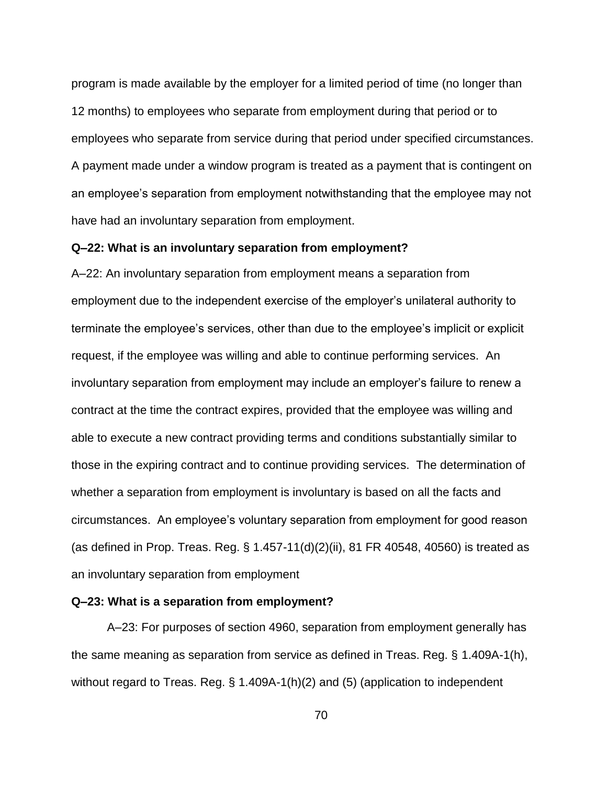program is made available by the employer for a limited period of time (no longer than 12 months) to employees who separate from employment during that period or to employees who separate from service during that period under specified circumstances. A payment made under a window program is treated as a payment that is contingent on an employee's separation from employment notwithstanding that the employee may not have had an involuntary separation from employment.

### **Q–22: What is an involuntary separation from employment?**

A–22: An involuntary separation from employment means a separation from employment due to the independent exercise of the employer's unilateral authority to terminate the employee's services, other than due to the employee's implicit or explicit request, if the employee was willing and able to continue performing services. An involuntary separation from employment may include an employer's failure to renew a contract at the time the contract expires, provided that the employee was willing and able to execute a new contract providing terms and conditions substantially similar to those in the expiring contract and to continue providing services. The determination of whether a separation from employment is involuntary is based on all the facts and circumstances. An employee's voluntary separation from employment for good reason (as defined in Prop. Treas. Reg. § 1.457-11(d)(2)(ii), 81 FR 40548, 40560) is treated as an involuntary separation from employment

### **Q–23: What is a separation from employment?**

A–23: For purposes of section 4960, separation from employment generally has the same meaning as separation from service as defined in Treas. Reg. § 1.409A-1(h), without regard to Treas. Reg. § 1.409A-1(h)(2) and (5) (application to independent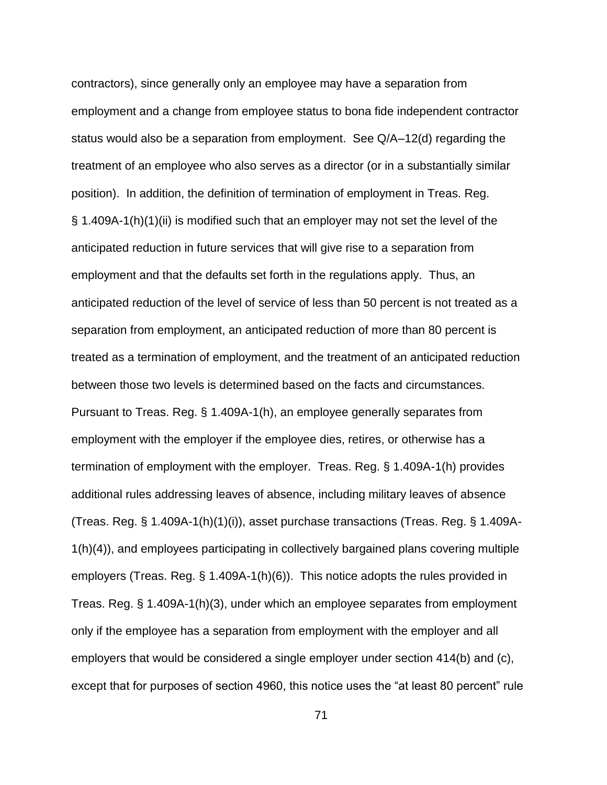contractors), since generally only an employee may have a separation from employment and a change from employee status to bona fide independent contractor status would also be a separation from employment. See Q/A–12(d) regarding the treatment of an employee who also serves as a director (or in a substantially similar position). In addition, the definition of termination of employment in Treas. Reg. § 1.409A-1(h)(1)(ii) is modified such that an employer may not set the level of the anticipated reduction in future services that will give rise to a separation from employment and that the defaults set forth in the regulations apply. Thus, an anticipated reduction of the level of service of less than 50 percent is not treated as a separation from employment, an anticipated reduction of more than 80 percent is treated as a termination of employment, and the treatment of an anticipated reduction between those two levels is determined based on the facts and circumstances. Pursuant to Treas. Reg. § 1.409A-1(h), an employee generally separates from employment with the employer if the employee dies, retires, or otherwise has a termination of employment with the employer. Treas. Reg. § 1.409A-1(h) provides additional rules addressing leaves of absence, including military leaves of absence (Treas. Reg. § 1.409A-1(h)(1)(i)), asset purchase transactions (Treas. Reg. § 1.409A-1(h)(4)), and employees participating in collectively bargained plans covering multiple employers (Treas. Reg. § 1.409A-1(h)(6)). This notice adopts the rules provided in Treas. Reg. § 1.409A-1(h)(3), under which an employee separates from employment only if the employee has a separation from employment with the employer and all employers that would be considered a single employer under section 414(b) and (c), except that for purposes of section 4960, this notice uses the "at least 80 percent" rule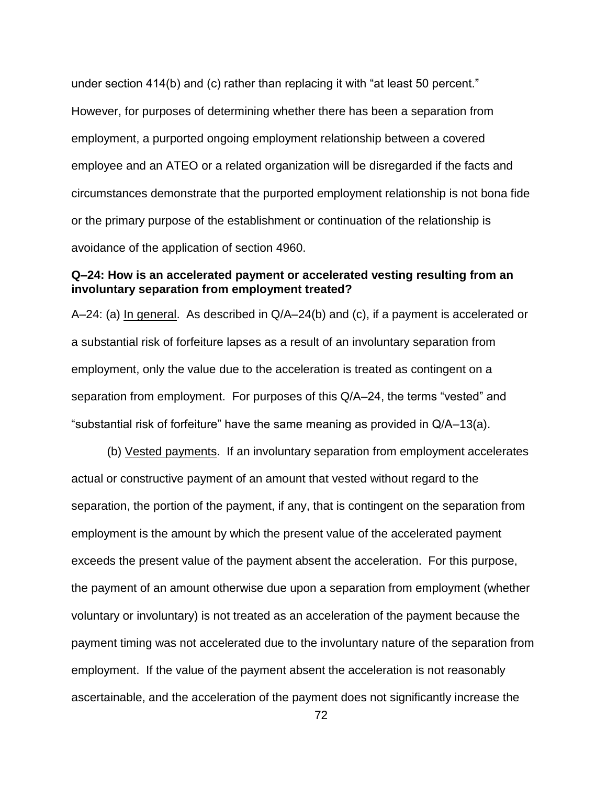under section 414(b) and (c) rather than replacing it with "at least 50 percent." However, for purposes of determining whether there has been a separation from employment, a purported ongoing employment relationship between a covered employee and an ATEO or a related organization will be disregarded if the facts and circumstances demonstrate that the purported employment relationship is not bona fide or the primary purpose of the establishment or continuation of the relationship is avoidance of the application of section 4960.

## **Q–24: How is an accelerated payment or accelerated vesting resulting from an involuntary separation from employment treated?**

A–24: (a) In general. As described in Q/A–24(b) and (c), if a payment is accelerated or a substantial risk of forfeiture lapses as a result of an involuntary separation from employment, only the value due to the acceleration is treated as contingent on a separation from employment. For purposes of this Q/A–24, the terms "vested" and "substantial risk of forfeiture" have the same meaning as provided in Q/A–13(a).

(b) Vested payments. If an involuntary separation from employment accelerates actual or constructive payment of an amount that vested without regard to the separation, the portion of the payment, if any, that is contingent on the separation from employment is the amount by which the present value of the accelerated payment exceeds the present value of the payment absent the acceleration. For this purpose, the payment of an amount otherwise due upon a separation from employment (whether voluntary or involuntary) is not treated as an acceleration of the payment because the payment timing was not accelerated due to the involuntary nature of the separation from employment. If the value of the payment absent the acceleration is not reasonably ascertainable, and the acceleration of the payment does not significantly increase the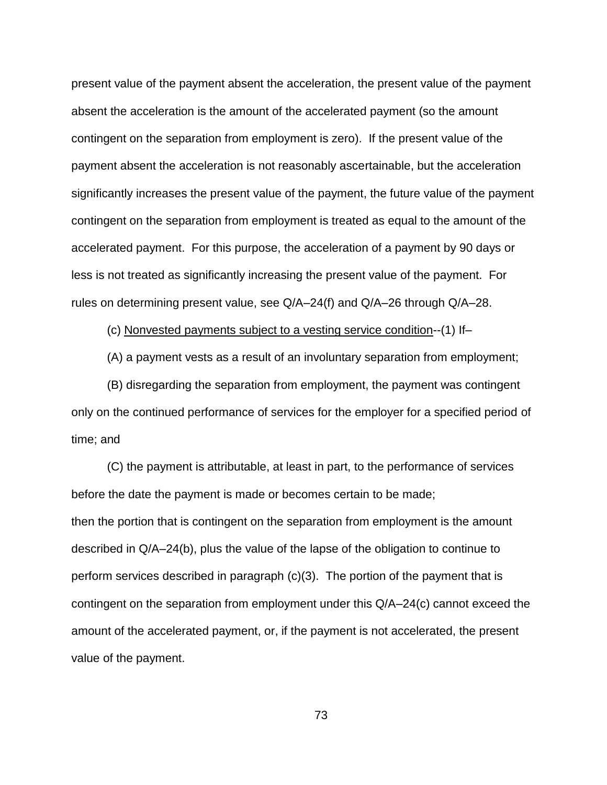present value of the payment absent the acceleration, the present value of the payment absent the acceleration is the amount of the accelerated payment (so the amount contingent on the separation from employment is zero). If the present value of the payment absent the acceleration is not reasonably ascertainable, but the acceleration significantly increases the present value of the payment, the future value of the payment contingent on the separation from employment is treated as equal to the amount of the accelerated payment. For this purpose, the acceleration of a payment by 90 days or less is not treated as significantly increasing the present value of the payment. For rules on determining present value, see Q/A–24(f) and Q/A–26 through Q/A–28.

(c) Nonvested payments subject to a vesting service condition--(1) If–

(A) a payment vests as a result of an involuntary separation from employment;

(B) disregarding the separation from employment, the payment was contingent only on the continued performance of services for the employer for a specified period of time; and

(C) the payment is attributable, at least in part, to the performance of services before the date the payment is made or becomes certain to be made; then the portion that is contingent on the separation from employment is the amount described in Q/A–24(b), plus the value of the lapse of the obligation to continue to perform services described in paragraph (c)(3). The portion of the payment that is contingent on the separation from employment under this Q/A–24(c) cannot exceed the amount of the accelerated payment, or, if the payment is not accelerated, the present value of the payment.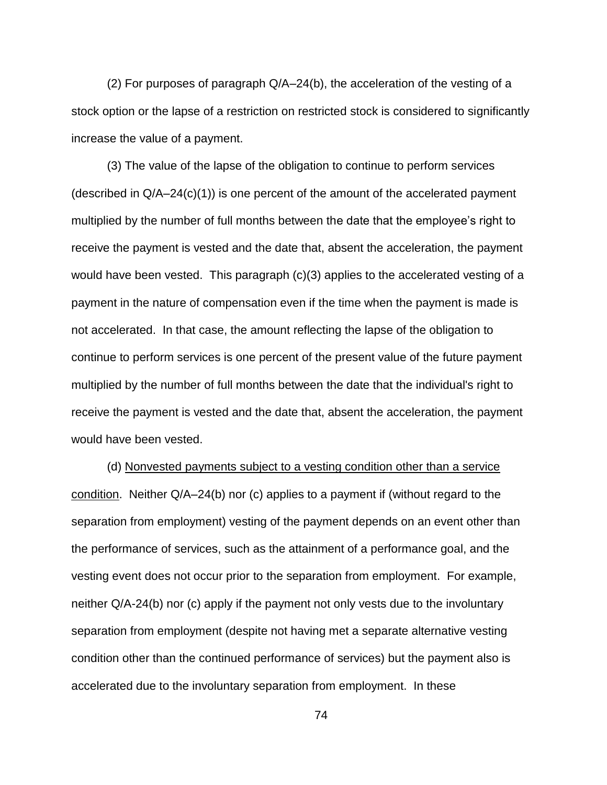(2) For purposes of paragraph Q/A–24(b), the acceleration of the vesting of a stock option or the lapse of a restriction on restricted stock is considered to significantly increase the value of a payment.

(3) The value of the lapse of the obligation to continue to perform services (described in Q/A–24(c)(1)) is one percent of the amount of the accelerated payment multiplied by the number of full months between the date that the employee's right to receive the payment is vested and the date that, absent the acceleration, the payment would have been vested. This paragraph (c)(3) applies to the accelerated vesting of a payment in the nature of compensation even if the time when the payment is made is not accelerated. In that case, the amount reflecting the lapse of the obligation to continue to perform services is one percent of the present value of the future payment multiplied by the number of full months between the date that the individual's right to receive the payment is vested and the date that, absent the acceleration, the payment would have been vested.

(d) Nonvested payments subject to a vesting condition other than a service condition. Neither Q/A–24(b) nor (c) applies to a payment if (without regard to the separation from employment) vesting of the payment depends on an event other than the performance of services, such as the attainment of a performance goal, and the vesting event does not occur prior to the separation from employment. For example, neither Q/A-24(b) nor (c) apply if the payment not only vests due to the involuntary separation from employment (despite not having met a separate alternative vesting condition other than the continued performance of services) but the payment also is accelerated due to the involuntary separation from employment. In these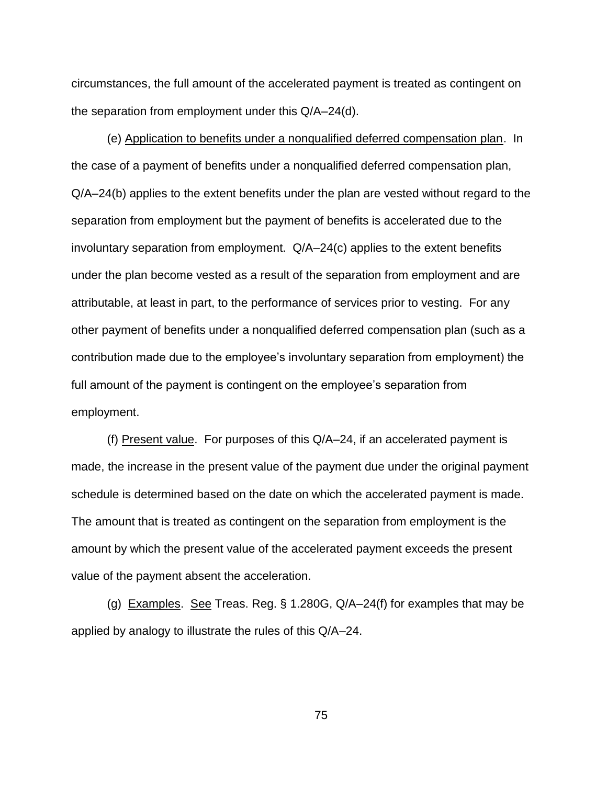circumstances, the full amount of the accelerated payment is treated as contingent on the separation from employment under this Q/A–24(d).

(e) Application to benefits under a nonqualified deferred compensation plan. In the case of a payment of benefits under a nonqualified deferred compensation plan, Q/A–24(b) applies to the extent benefits under the plan are vested without regard to the separation from employment but the payment of benefits is accelerated due to the involuntary separation from employment. Q/A–24(c) applies to the extent benefits under the plan become vested as a result of the separation from employment and are attributable, at least in part, to the performance of services prior to vesting. For any other payment of benefits under a nonqualified deferred compensation plan (such as a contribution made due to the employee's involuntary separation from employment) the full amount of the payment is contingent on the employee's separation from employment.

(f) Present value. For purposes of this Q/A–24, if an accelerated payment is made, the increase in the present value of the payment due under the original payment schedule is determined based on the date on which the accelerated payment is made. The amount that is treated as contingent on the separation from employment is the amount by which the present value of the accelerated payment exceeds the present value of the payment absent the acceleration.

(g) Examples. See Treas. Reg.  $\S$  1.280G, Q/A-24(f) for examples that may be applied by analogy to illustrate the rules of this Q/A–24.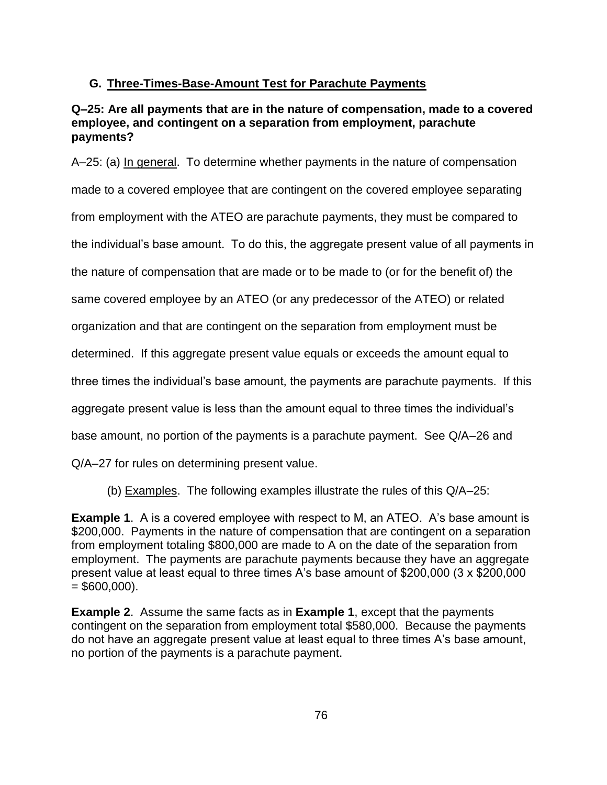# **G. Three-Times-Base-Amount Test for Parachute Payments**

#### **Q–25: Are all payments that are in the nature of compensation, made to a covered employee, and contingent on a separation from employment, parachute payments?**

A–25: (a) In general. To determine whether payments in the nature of compensation made to a covered employee that are contingent on the covered employee separating from employment with the ATEO are parachute payments, they must be compared to the individual's base amount. To do this, the aggregate present value of all payments in the nature of compensation that are made or to be made to (or for the benefit of) the same covered employee by an ATEO (or any predecessor of the ATEO) or related organization and that are contingent on the separation from employment must be determined. If this aggregate present value equals or exceeds the amount equal to three times the individual's base amount, the payments are parachute payments. If this aggregate present value is less than the amount equal to three times the individual's base amount, no portion of the payments is a parachute payment. See Q/A–26 and Q/A–27 for rules on determining present value.

(b) Examples. The following examples illustrate the rules of this Q/A–25:

**Example 1**. A is a covered employee with respect to M, an ATEO. A's base amount is \$200,000. Payments in the nature of compensation that are contingent on a separation from employment totaling \$800,000 are made to A on the date of the separation from employment. The payments are parachute payments because they have an aggregate present value at least equal to three times A's base amount of \$200,000 (3 x \$200,000  $= $600,000$ ).

**Example 2**. Assume the same facts as in **Example 1**, except that the payments contingent on the separation from employment total \$580,000. Because the payments do not have an aggregate present value at least equal to three times A's base amount, no portion of the payments is a parachute payment.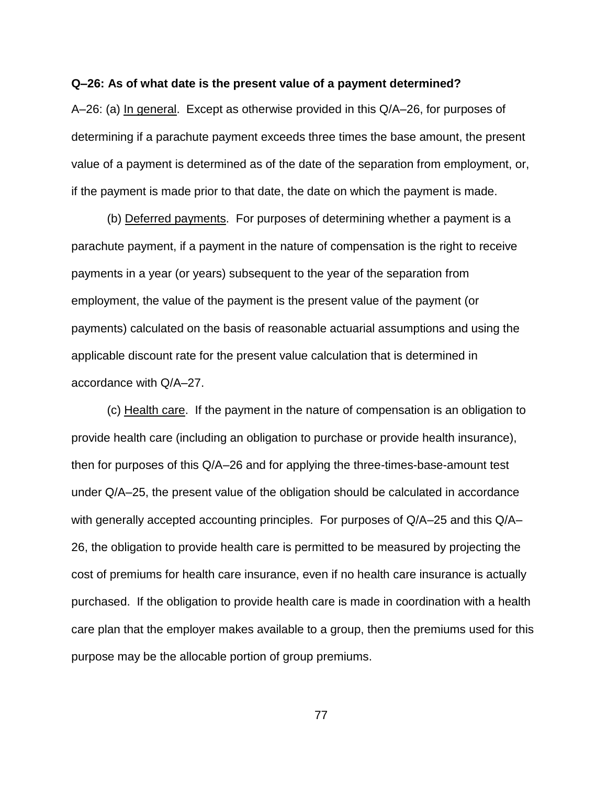#### **Q–26: As of what date is the present value of a payment determined?**

A–26: (a) In general. Except as otherwise provided in this Q/A–26, for purposes of determining if a parachute payment exceeds three times the base amount, the present value of a payment is determined as of the date of the separation from employment, or, if the payment is made prior to that date, the date on which the payment is made.

(b) Deferred payments. For purposes of determining whether a payment is a parachute payment, if a payment in the nature of compensation is the right to receive payments in a year (or years) subsequent to the year of the separation from employment, the value of the payment is the present value of the payment (or payments) calculated on the basis of reasonable actuarial assumptions and using the applicable discount rate for the present value calculation that is determined in accordance with Q/A–27.

(c) Health care. If the payment in the nature of compensation is an obligation to provide health care (including an obligation to purchase or provide health insurance), then for purposes of this Q/A–26 and for applying the three-times-base-amount test under Q/A–25, the present value of the obligation should be calculated in accordance with generally accepted accounting principles. For purposes of Q/A–25 and this Q/A– 26, the obligation to provide health care is permitted to be measured by projecting the cost of premiums for health care insurance, even if no health care insurance is actually purchased. If the obligation to provide health care is made in coordination with a health care plan that the employer makes available to a group, then the premiums used for this purpose may be the allocable portion of group premiums.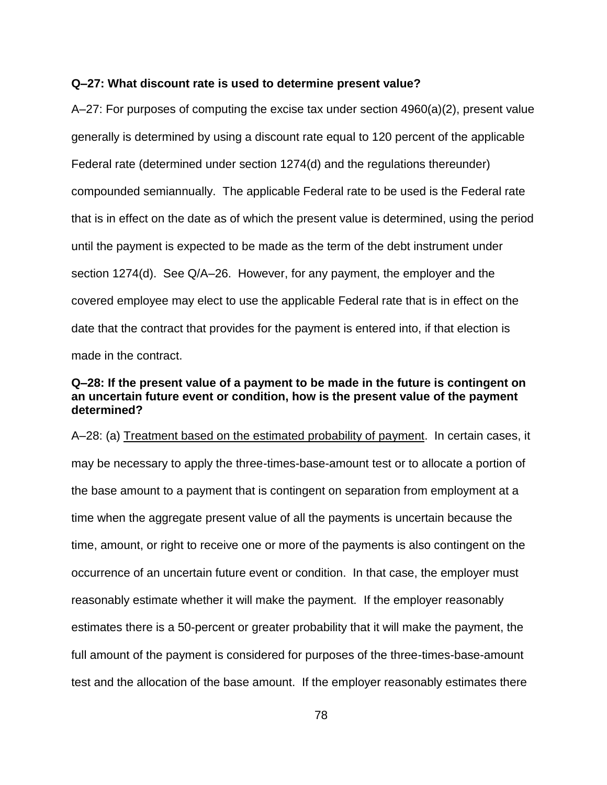#### **Q–27: What discount rate is used to determine present value?**

A–27: For purposes of computing the excise tax under section 4960(a)(2), present value generally is determined by using a discount rate equal to 120 percent of the applicable Federal rate (determined under section 1274(d) and the regulations thereunder) compounded semiannually. The applicable Federal rate to be used is the Federal rate that is in effect on the date as of which the present value is determined, using the period until the payment is expected to be made as the term of the debt instrument under section 1274(d). See Q/A–26. However, for any payment, the employer and the covered employee may elect to use the applicable Federal rate that is in effect on the date that the contract that provides for the payment is entered into, if that election is made in the contract.

## **Q–28: If the present value of a payment to be made in the future is contingent on an uncertain future event or condition, how is the present value of the payment determined?**

A–28: (a) Treatment based on the estimated probability of payment. In certain cases, it may be necessary to apply the three-times-base-amount test or to allocate a portion of the base amount to a payment that is contingent on separation from employment at a time when the aggregate present value of all the payments is uncertain because the time, amount, or right to receive one or more of the payments is also contingent on the occurrence of an uncertain future event or condition. In that case, the employer must reasonably estimate whether it will make the payment. If the employer reasonably estimates there is a 50-percent or greater probability that it will make the payment, the full amount of the payment is considered for purposes of the three-times-base-amount test and the allocation of the base amount. If the employer reasonably estimates there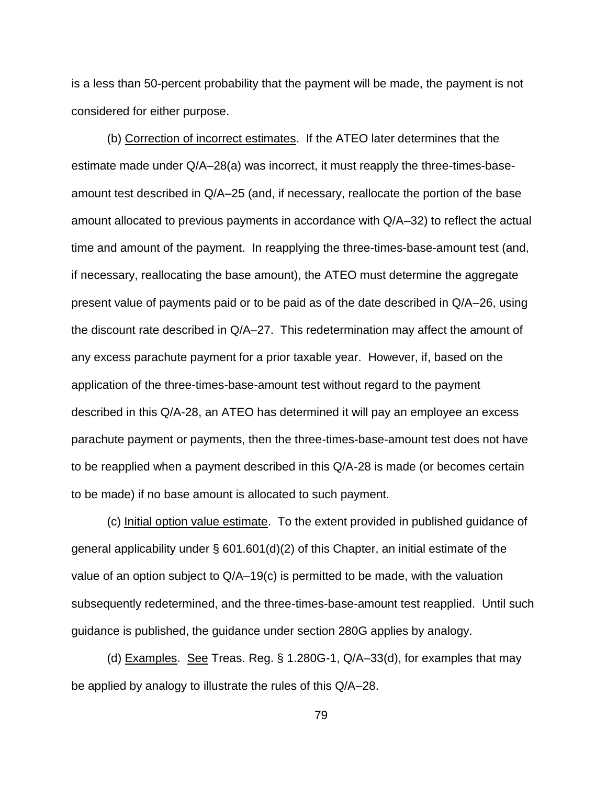is a less than 50-percent probability that the payment will be made, the payment is not considered for either purpose.

(b) Correction of incorrect estimates. If the ATEO later determines that the estimate made under Q/A–28(a) was incorrect, it must reapply the three-times-baseamount test described in Q/A–25 (and, if necessary, reallocate the portion of the base amount allocated to previous payments in accordance with Q/A–32) to reflect the actual time and amount of the payment. In reapplying the three-times-base-amount test (and, if necessary, reallocating the base amount), the ATEO must determine the aggregate present value of payments paid or to be paid as of the date described in Q/A–26, using the discount rate described in Q/A–27. This redetermination may affect the amount of any excess parachute payment for a prior taxable year. However, if, based on the application of the three-times-base-amount test without regard to the payment described in this Q/A-28, an ATEO has determined it will pay an employee an excess parachute payment or payments, then the three-times-base-amount test does not have to be reapplied when a payment described in this Q/A-28 is made (or becomes certain to be made) if no base amount is allocated to such payment.

(c) Initial option value estimate. To the extent provided in published guidance of general applicability under  $\S$  601.601(d)(2) of this Chapter, an initial estimate of the value of an option subject to Q/A–19(c) is permitted to be made, with the valuation subsequently redetermined, and the three-times-base-amount test reapplied. Until such guidance is published, the guidance under section 280G applies by analogy.

(d) **Examples.** See Treas. Reg.  $\S$  1.280G-1,  $Q/A-33(d)$ , for examples that may be applied by analogy to illustrate the rules of this Q/A–28.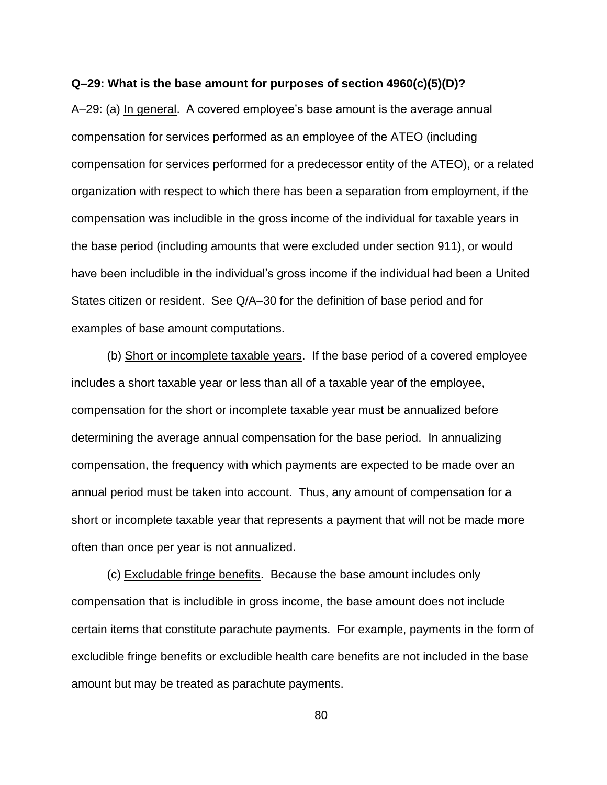#### **Q–29: What is the base amount for purposes of section 4960(c)(5)(D)?**

A–29: (a) In general. A covered employee's base amount is the average annual compensation for services performed as an employee of the ATEO (including compensation for services performed for a predecessor entity of the ATEO), or a related organization with respect to which there has been a separation from employment, if the compensation was includible in the gross income of the individual for taxable years in the base period (including amounts that were excluded under section 911), or would have been includible in the individual's gross income if the individual had been a United States citizen or resident. See Q/A–30 for the definition of base period and for examples of base amount computations.

(b) Short or incomplete taxable years. If the base period of a covered employee includes a short taxable year or less than all of a taxable year of the employee, compensation for the short or incomplete taxable year must be annualized before determining the average annual compensation for the base period. In annualizing compensation, the frequency with which payments are expected to be made over an annual period must be taken into account. Thus, any amount of compensation for a short or incomplete taxable year that represents a payment that will not be made more often than once per year is not annualized.

(c) Excludable fringe benefits. Because the base amount includes only compensation that is includible in gross income, the base amount does not include certain items that constitute parachute payments. For example, payments in the form of excludible fringe benefits or excludible health care benefits are not included in the base amount but may be treated as parachute payments.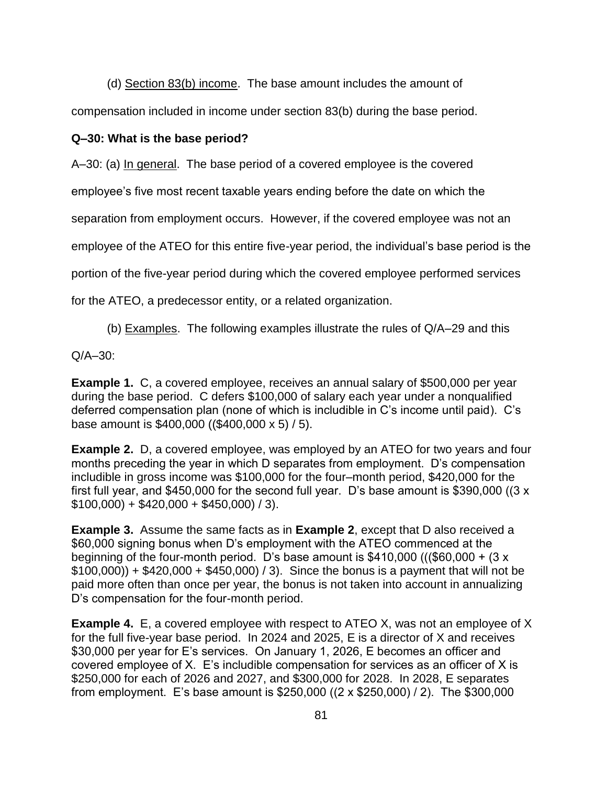(d) Section 83(b) income. The base amount includes the amount of

compensation included in income under section 83(b) during the base period.

## **Q–30: What is the base period?**

A–30: (a) In general. The base period of a covered employee is the covered

employee's five most recent taxable years ending before the date on which the

separation from employment occurs. However, if the covered employee was not an

employee of the ATEO for this entire five-year period, the individual's base period is the

portion of the five-year period during which the covered employee performed services

for the ATEO, a predecessor entity, or a related organization.

(b) Examples. The following examples illustrate the rules of Q/A–29 and this

Q/A–30:

**Example 1.** C, a covered employee, receives an annual salary of \$500,000 per year during the base period. C defers \$100,000 of salary each year under a nonqualified deferred compensation plan (none of which is includible in C's income until paid). C's base amount is \$400,000 ((\$400,000 x 5) / 5).

**Example 2.** D, a covered employee, was employed by an ATEO for two years and four months preceding the year in which D separates from employment. D's compensation includible in gross income was \$100,000 for the four–month period, \$420,000 for the first full year, and \$450,000 for the second full year. D's base amount is \$390,000 ((3 x  $$100,000$  + \$420,000 + \$450,000) / 3).

**Example 3.** Assume the same facts as in **Example 2**, except that D also received a \$60,000 signing bonus when D's employment with the ATEO commenced at the beginning of the four-month period. D's base amount is \$410,000 (((\$60,000 +  $(3 \times 10^{-10})$ )  $$100,000)$  +  $$420,000 + $450,000$  / 3). Since the bonus is a payment that will not be paid more often than once per year, the bonus is not taken into account in annualizing D's compensation for the four-month period.

**Example 4.** E, a covered employee with respect to ATEO X, was not an employee of X for the full five-year base period. In 2024 and 2025, E is a director of X and receives \$30,000 per year for E's services. On January 1, 2026, E becomes an officer and covered employee of X. E's includible compensation for services as an officer of X is \$250,000 for each of 2026 and 2027, and \$300,000 for 2028. In 2028, E separates from employment. E's base amount is \$250,000 ((2 x \$250,000) / 2). The \$300,000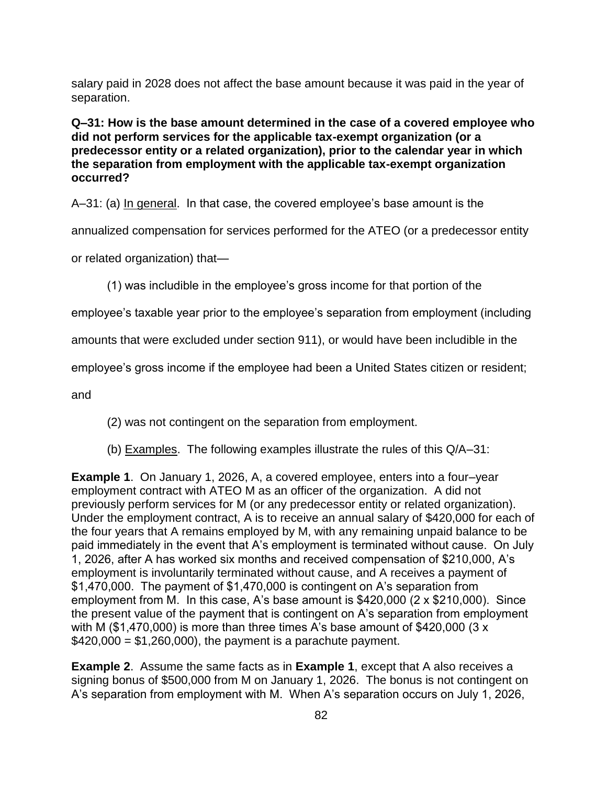salary paid in 2028 does not affect the base amount because it was paid in the year of separation.

**Q–31: How is the base amount determined in the case of a covered employee who did not perform services for the applicable tax-exempt organization (or a predecessor entity or a related organization), prior to the calendar year in which the separation from employment with the applicable tax-exempt organization occurred?**

A–31: (a) In general. In that case, the covered employee's base amount is the

annualized compensation for services performed for the ATEO (or a predecessor entity

or related organization) that—

(1) was includible in the employee's gross income for that portion of the

employee's taxable year prior to the employee's separation from employment (including

amounts that were excluded under section 911), or would have been includible in the

employee's gross income if the employee had been a United States citizen or resident;

and

(2) was not contingent on the separation from employment.

(b) Examples. The following examples illustrate the rules of this Q/A–31:

**Example 1**. On January 1, 2026, A, a covered employee, enters into a four–year employment contract with ATEO M as an officer of the organization. A did not previously perform services for M (or any predecessor entity or related organization). Under the employment contract, A is to receive an annual salary of \$420,000 for each of the four years that A remains employed by M, with any remaining unpaid balance to be paid immediately in the event that A's employment is terminated without cause. On July 1, 2026, after A has worked six months and received compensation of \$210,000, A's employment is involuntarily terminated without cause, and A receives a payment of \$1,470,000. The payment of \$1,470,000 is contingent on A's separation from employment from M. In this case, A's base amount is \$420,000 (2 x \$210,000). Since the present value of the payment that is contingent on A's separation from employment with M (\$1,470,000) is more than three times A's base amount of \$420,000 (3 x  $$420,000 = $1,260,000$ , the payment is a parachute payment.

**Example 2**. Assume the same facts as in **Example 1**, except that A also receives a signing bonus of \$500,000 from M on January 1, 2026. The bonus is not contingent on A's separation from employment with M. When A's separation occurs on July 1, 2026,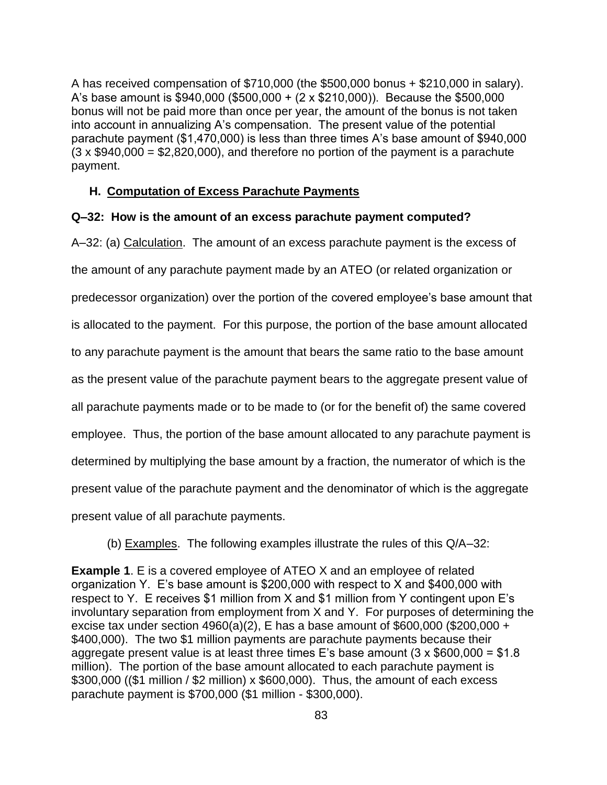A has received compensation of \$710,000 (the \$500,000 bonus + \$210,000 in salary). A's base amount is \$940,000 (\$500,000 + (2 x \$210,000)). Because the \$500,000 bonus will not be paid more than once per year, the amount of the bonus is not taken into account in annualizing A's compensation. The present value of the potential parachute payment (\$1,470,000) is less than three times A's base amount of \$940,000  $(3 \times $940,000 = $2,820,000)$ , and therefore no portion of the payment is a parachute payment.

#### **H. Computation of Excess Parachute Payments**

#### **Q–32: How is the amount of an excess parachute payment computed?**

A–32: (a) Calculation. The amount of an excess parachute payment is the excess of

the amount of any parachute payment made by an ATEO (or related organization or

predecessor organization) over the portion of the covered employee's base amount that

is allocated to the payment. For this purpose, the portion of the base amount allocated

to any parachute payment is the amount that bears the same ratio to the base amount

as the present value of the parachute payment bears to the aggregate present value of

all parachute payments made or to be made to (or for the benefit of) the same covered

employee. Thus, the portion of the base amount allocated to any parachute payment is

determined by multiplying the base amount by a fraction, the numerator of which is the

present value of the parachute payment and the denominator of which is the aggregate

present value of all parachute payments.

(b) Examples. The following examples illustrate the rules of this Q/A–32:

**Example 1**. E is a covered employee of ATEO X and an employee of related organization Y. E's base amount is \$200,000 with respect to X and \$400,000 with respect to Y. E receives \$1 million from X and \$1 million from Y contingent upon E's involuntary separation from employment from X and Y. For purposes of determining the excise tax under section 4960(a)(2), E has a base amount of \$600,000 (\$200,000 + \$400,000). The two \$1 million payments are parachute payments because their aggregate present value is at least three times E's base amount  $(3 \times $600,000 = $1.8$ million). The portion of the base amount allocated to each parachute payment is \$300,000 ((\$1 million / \$2 million) x \$600,000). Thus, the amount of each excess parachute payment is \$700,000 (\$1 million - \$300,000).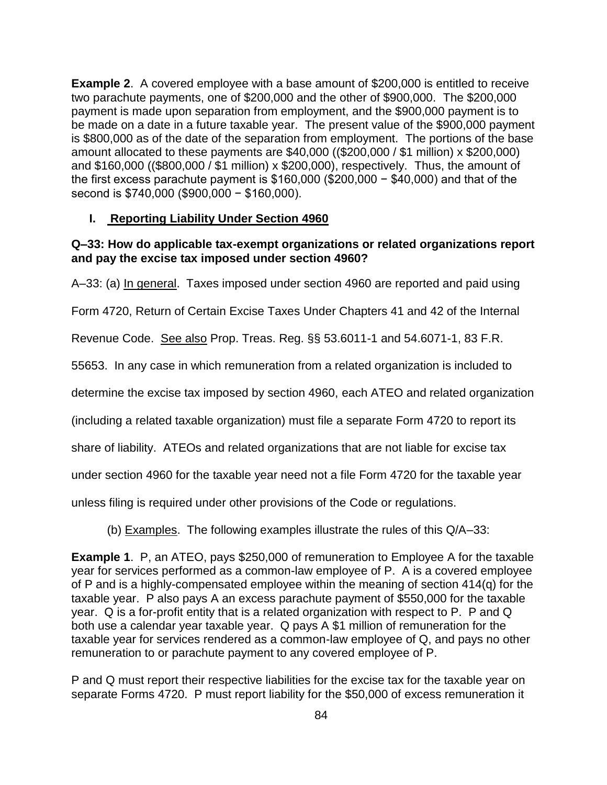**Example 2**. A covered employee with a base amount of \$200,000 is entitled to receive two parachute payments, one of \$200,000 and the other of \$900,000. The \$200,000 payment is made upon separation from employment, and the \$900,000 payment is to be made on a date in a future taxable year. The present value of the \$900,000 payment is \$800,000 as of the date of the separation from employment. The portions of the base amount allocated to these payments are \$40,000 ((\$200,000 / \$1 million) x \$200,000) and \$160,000 ((\$800,000 / \$1 million) x \$200,000), respectively. Thus, the amount of the first excess parachute payment is \$160,000 (\$200,000 − \$40,000) and that of the second is \$740,000 (\$900,000 − \$160,000).

## **I. Reporting Liability Under Section 4960**

## **Q–33: How do applicable tax-exempt organizations or related organizations report and pay the excise tax imposed under section 4960?**

A–33: (a) In general. Taxes imposed under section 4960 are reported and paid using

Form 4720, Return of Certain Excise Taxes Under Chapters 41 and 42 of the Internal

Revenue Code. See also Prop. Treas. Reg. §§ 53.6011-1 and 54.6071-1, 83 F.R.

55653. In any case in which remuneration from a related organization is included to

determine the excise tax imposed by section 4960, each ATEO and related organization

(including a related taxable organization) must file a separate Form 4720 to report its

share of liability. ATEOs and related organizations that are not liable for excise tax

under section 4960 for the taxable year need not a file Form 4720 for the taxable year

unless filing is required under other provisions of the Code or regulations.

(b) Examples. The following examples illustrate the rules of this Q/A–33:

**Example 1**. P, an ATEO, pays \$250,000 of remuneration to Employee A for the taxable year for services performed as a common-law employee of P. A is a covered employee of P and is a highly-compensated employee within the meaning of section 414(q) for the taxable year. P also pays A an excess parachute payment of \$550,000 for the taxable year. Q is a for-profit entity that is a related organization with respect to P. P and Q both use a calendar year taxable year. Q pays A \$1 million of remuneration for the taxable year for services rendered as a common-law employee of Q, and pays no other remuneration to or parachute payment to any covered employee of P.

P and Q must report their respective liabilities for the excise tax for the taxable year on separate Forms 4720. P must report liability for the \$50,000 of excess remuneration it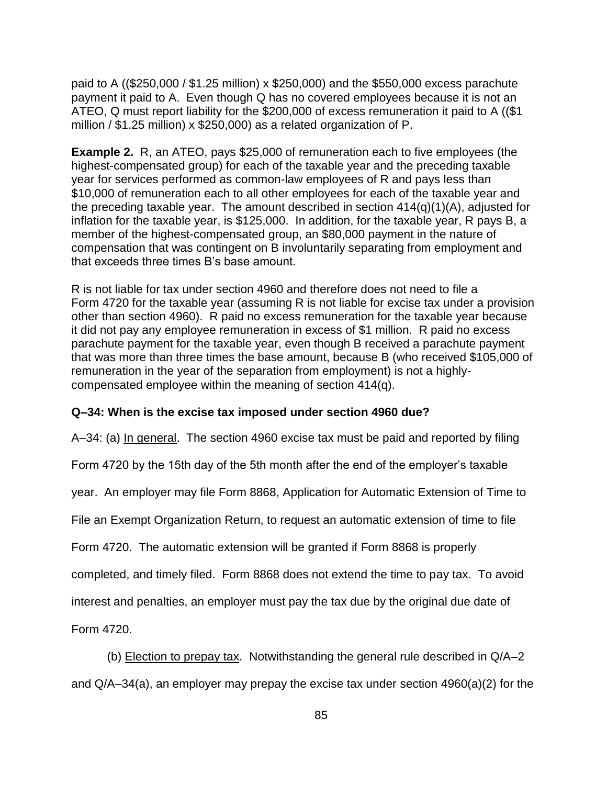paid to A ((\$250,000 / \$1.25 million) x \$250,000) and the \$550,000 excess parachute payment it paid to A. Even though Q has no covered employees because it is not an ATEO, Q must report liability for the \$200,000 of excess remuneration it paid to A ((\$1 million / \$1.25 million) x \$250,000) as a related organization of P.

**Example 2.** R, an ATEO, pays \$25,000 of remuneration each to five employees (the highest-compensated group) for each of the taxable year and the preceding taxable year for services performed as common-law employees of R and pays less than \$10,000 of remuneration each to all other employees for each of the taxable year and the preceding taxable year. The amount described in section 414(q)(1)(A), adjusted for inflation for the taxable year, is \$125,000. In addition, for the taxable year, R pays B, a member of the highest-compensated group, an \$80,000 payment in the nature of compensation that was contingent on B involuntarily separating from employment and that exceeds three times B's base amount.

R is not liable for tax under section 4960 and therefore does not need to file a Form 4720 for the taxable year (assuming R is not liable for excise tax under a provision other than section 4960). R paid no excess remuneration for the taxable year because it did not pay any employee remuneration in excess of \$1 million. R paid no excess parachute payment for the taxable year, even though B received a parachute payment that was more than three times the base amount, because B (who received \$105,000 of remuneration in the year of the separation from employment) is not a highlycompensated employee within the meaning of section 414(q).

## **Q–34: When is the excise tax imposed under section 4960 due?**

A–34: (a) In general. The section 4960 excise tax must be paid and reported by filing

Form 4720 by the 15th day of the 5th month after the end of the employer's taxable

year. An employer may file Form 8868, Application for Automatic Extension of Time to

File an Exempt Organization Return, to request an automatic extension of time to file

Form 4720. The automatic extension will be granted if Form 8868 is properly

completed, and timely filed. Form 8868 does not extend the time to pay tax. To avoid

interest and penalties, an employer must pay the tax due by the original due date of

Form 4720.

(b) Election to prepay tax. Notwithstanding the general rule described in Q/A–2 and Q/A–34(a), an employer may prepay the excise tax under section 4960(a)(2) for the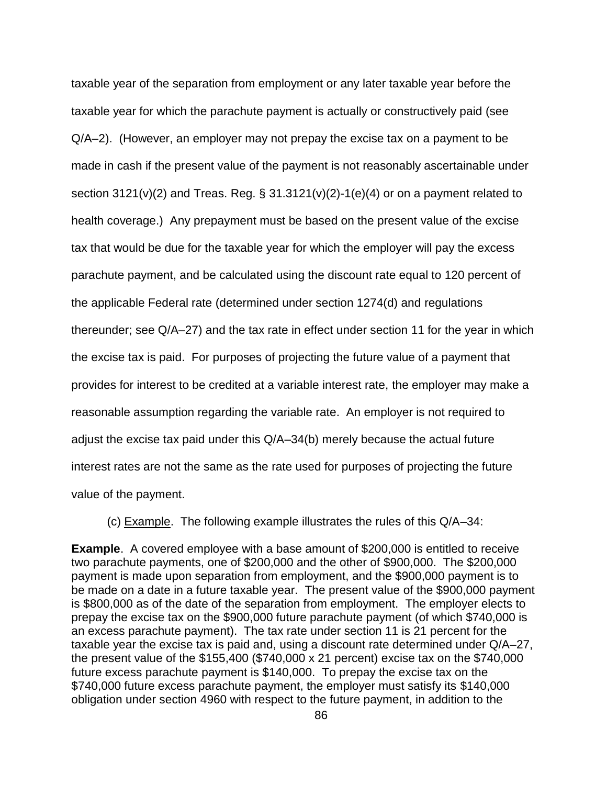taxable year of the separation from employment or any later taxable year before the taxable year for which the parachute payment is actually or constructively paid (see Q/A–2). (However, an employer may not prepay the excise tax on a payment to be made in cash if the present value of the payment is not reasonably ascertainable under section  $3121(v)(2)$  and Treas. Reg. §  $31.3121(v)(2)-1(e)(4)$  or on a payment related to health coverage.) Any prepayment must be based on the present value of the excise tax that would be due for the taxable year for which the employer will pay the excess parachute payment, and be calculated using the discount rate equal to 120 percent of the applicable Federal rate (determined under section 1274(d) and regulations thereunder; see Q/A–27) and the tax rate in effect under section 11 for the year in which the excise tax is paid. For purposes of projecting the future value of a payment that provides for interest to be credited at a variable interest rate, the employer may make a reasonable assumption regarding the variable rate. An employer is not required to adjust the excise tax paid under this Q/A–34(b) merely because the actual future interest rates are not the same as the rate used for purposes of projecting the future value of the payment.

(c) Example. The following example illustrates the rules of this Q/A–34:

**Example.** A covered employee with a base amount of \$200,000 is entitled to receive two parachute payments, one of \$200,000 and the other of \$900,000. The \$200,000 payment is made upon separation from employment, and the \$900,000 payment is to be made on a date in a future taxable year. The present value of the \$900,000 payment is \$800,000 as of the date of the separation from employment. The employer elects to prepay the excise tax on the \$900,000 future parachute payment (of which \$740,000 is an excess parachute payment). The tax rate under section 11 is 21 percent for the taxable year the excise tax is paid and, using a discount rate determined under Q/A–27, the present value of the \$155,400 (\$740,000 x 21 percent) excise tax on the \$740,000 future excess parachute payment is \$140,000. To prepay the excise tax on the \$740,000 future excess parachute payment, the employer must satisfy its \$140,000 obligation under section 4960 with respect to the future payment, in addition to the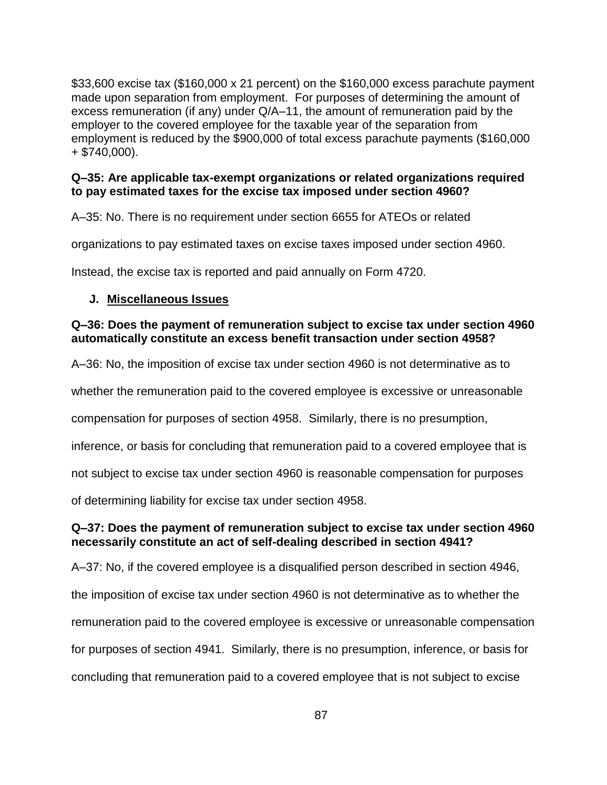\$33,600 excise tax (\$160,000 x 21 percent) on the \$160,000 excess parachute payment made upon separation from employment. For purposes of determining the amount of excess remuneration (if any) under Q/A–11, the amount of remuneration paid by the employer to the covered employee for the taxable year of the separation from employment is reduced by the \$900,000 of total excess parachute payments (\$160,000  $+$  \$740,000).

## **Q–35: Are applicable tax-exempt organizations or related organizations required to pay estimated taxes for the excise tax imposed under section 4960?**

A–35: No. There is no requirement under section 6655 for ATEOs or related

organizations to pay estimated taxes on excise taxes imposed under section 4960.

Instead, the excise tax is reported and paid annually on Form 4720.

## **J. Miscellaneous Issues**

#### **Q–36: Does the payment of remuneration subject to excise tax under section 4960 automatically constitute an excess benefit transaction under section 4958?**

A–36: No, the imposition of excise tax under section 4960 is not determinative as to

whether the remuneration paid to the covered employee is excessive or unreasonable

compensation for purposes of section 4958. Similarly, there is no presumption,

inference, or basis for concluding that remuneration paid to a covered employee that is

not subject to excise tax under section 4960 is reasonable compensation for purposes

of determining liability for excise tax under section 4958.

## **Q–37: Does the payment of remuneration subject to excise tax under section 4960 necessarily constitute an act of self-dealing described in section 4941?**

A–37: No, if the covered employee is a disqualified person described in section 4946, the imposition of excise tax under section 4960 is not determinative as to whether the remuneration paid to the covered employee is excessive or unreasonable compensation for purposes of section 4941. Similarly, there is no presumption, inference, or basis for concluding that remuneration paid to a covered employee that is not subject to excise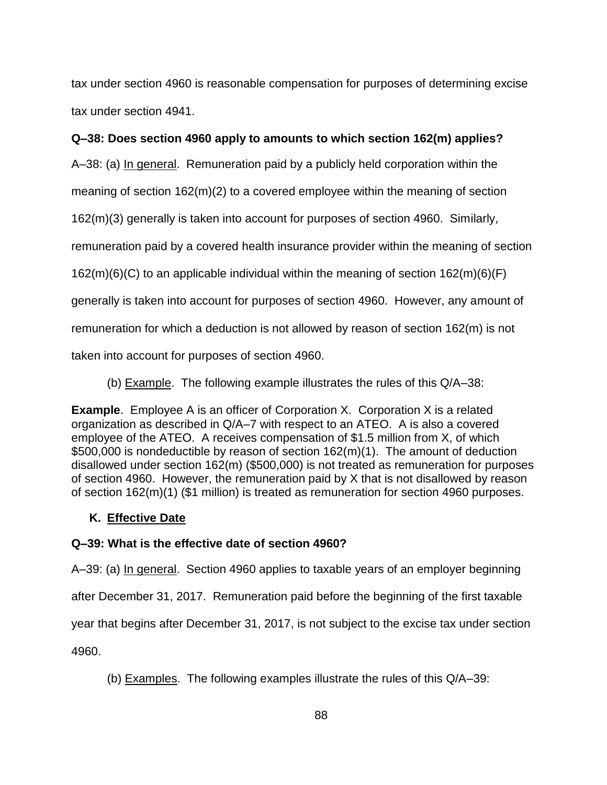tax under section 4960 is reasonable compensation for purposes of determining excise tax under section 4941.

## **Q–38: Does section 4960 apply to amounts to which section 162(m) applies?**

A–38: (a) In general. Remuneration paid by a publicly held corporation within the

meaning of section 162(m)(2) to a covered employee within the meaning of section

162(m)(3) generally is taken into account for purposes of section 4960. Similarly,

remuneration paid by a covered health insurance provider within the meaning of section

162(m)(6)(C) to an applicable individual within the meaning of section 162(m)(6)(F)

generally is taken into account for purposes of section 4960. However, any amount of

remuneration for which a deduction is not allowed by reason of section 162(m) is not

taken into account for purposes of section 4960.

(b) Example. The following example illustrates the rules of this Q/A–38:

**Example**.Employee A is an officer of Corporation X. Corporation X is a related organization as described in Q/A–7 with respect to an ATEO. A is also a covered employee of the ATEO. A receives compensation of \$1.5 million from X, of which \$500,000 is nondeductible by reason of section 162(m)(1). The amount of deduction disallowed under section 162(m) (\$500,000) is not treated as remuneration for purposes of section 4960. However, the remuneration paid by X that is not disallowed by reason of section 162(m)(1) (\$1 million) is treated as remuneration for section 4960 purposes.

# **K. Effective Date**

# **Q–39: What is the effective date of section 4960?**

A–39: (a) In general. Section 4960 applies to taxable years of an employer beginning

after December 31, 2017. Remuneration paid before the beginning of the first taxable

year that begins after December 31, 2017, is not subject to the excise tax under section

4960.

(b) Examples. The following examples illustrate the rules of this Q/A–39: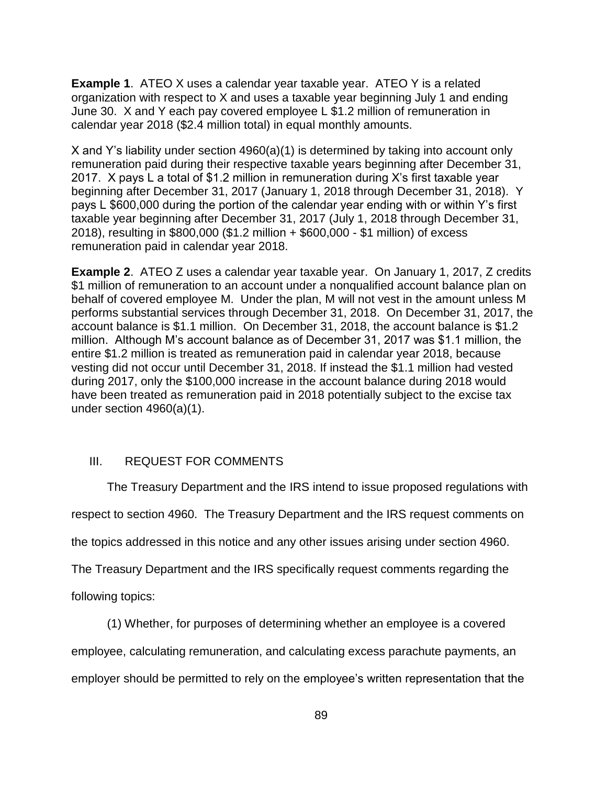**Example 1**. ATEO X uses a calendar year taxable year. ATEO Y is a related organization with respect to X and uses a taxable year beginning July 1 and ending June 30. X and Y each pay covered employee L \$1.2 million of remuneration in calendar year 2018 (\$2.4 million total) in equal monthly amounts.

X and Y's liability under section 4960(a)(1) is determined by taking into account only remuneration paid during their respective taxable years beginning after December 31, 2017. X pays L a total of \$1.2 million in remuneration during X's first taxable year beginning after December 31, 2017 (January 1, 2018 through December 31, 2018). Y pays L \$600,000 during the portion of the calendar year ending with or within Y's first taxable year beginning after December 31, 2017 (July 1, 2018 through December 31, 2018), resulting in \$800,000 (\$1.2 million + \$600,000 - \$1 million) of excess remuneration paid in calendar year 2018.

**Example 2**. ATEO Z uses a calendar year taxable year. On January 1, 2017, Z credits \$1 million of remuneration to an account under a nonqualified account balance plan on behalf of covered employee M. Under the plan, M will not vest in the amount unless M performs substantial services through December 31, 2018. On December 31, 2017, the account balance is \$1.1 million. On December 31, 2018, the account balance is \$1.2 million. Although M's account balance as of December 31, 2017 was \$1.1 million, the entire \$1.2 million is treated as remuneration paid in calendar year 2018, because vesting did not occur until December 31, 2018. If instead the \$1.1 million had vested during 2017, only the \$100,000 increase in the account balance during 2018 would have been treated as remuneration paid in 2018 potentially subject to the excise tax under section 4960(a)(1).

## III. REQUEST FOR COMMENTS

The Treasury Department and the IRS intend to issue proposed regulations with

respect to section 4960. The Treasury Department and the IRS request comments on

the topics addressed in this notice and any other issues arising under section 4960.

The Treasury Department and the IRS specifically request comments regarding the

following topics:

(1) Whether, for purposes of determining whether an employee is a covered

employee, calculating remuneration, and calculating excess parachute payments, an employer should be permitted to rely on the employee's written representation that the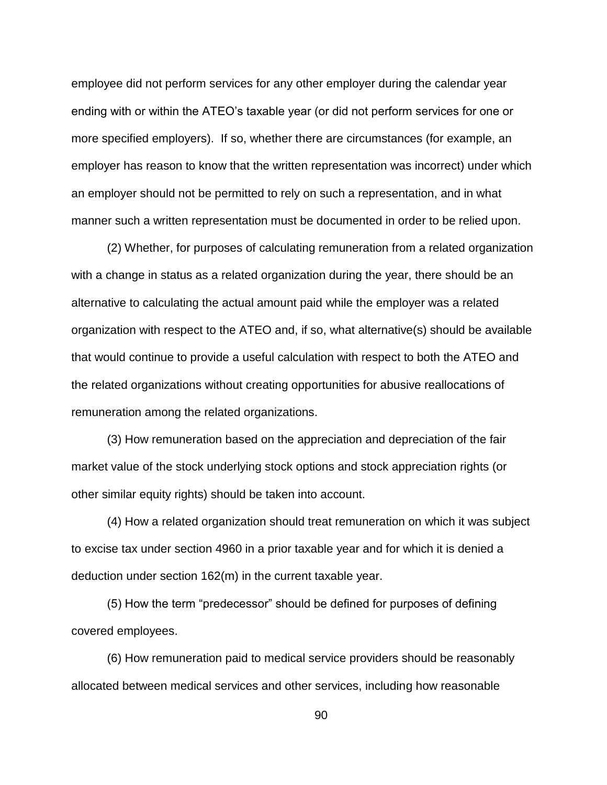employee did not perform services for any other employer during the calendar year ending with or within the ATEO's taxable year (or did not perform services for one or more specified employers). If so, whether there are circumstances (for example, an employer has reason to know that the written representation was incorrect) under which an employer should not be permitted to rely on such a representation, and in what manner such a written representation must be documented in order to be relied upon.

(2) Whether, for purposes of calculating remuneration from a related organization with a change in status as a related organization during the year, there should be an alternative to calculating the actual amount paid while the employer was a related organization with respect to the ATEO and, if so, what alternative(s) should be available that would continue to provide a useful calculation with respect to both the ATEO and the related organizations without creating opportunities for abusive reallocations of remuneration among the related organizations.

(3) How remuneration based on the appreciation and depreciation of the fair market value of the stock underlying stock options and stock appreciation rights (or other similar equity rights) should be taken into account.

(4) How a related organization should treat remuneration on which it was subject to excise tax under section 4960 in a prior taxable year and for which it is denied a deduction under section 162(m) in the current taxable year.

(5) How the term "predecessor" should be defined for purposes of defining covered employees.

(6) How remuneration paid to medical service providers should be reasonably allocated between medical services and other services, including how reasonable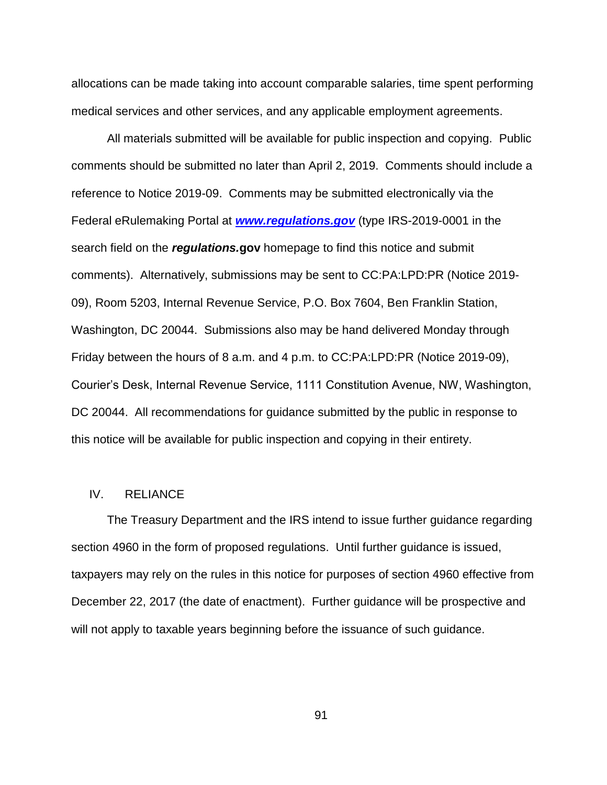allocations can be made taking into account comparable salaries, time spent performing medical services and other services, and any applicable employment agreements.

All materials submitted will be available for public inspection and copying. Public comments should be submitted no later than April 2, 2019. Comments should include a reference to Notice 2019-09. Comments may be submitted electronically via the Federal eRulemaking Portal at *[www.regulations.gov](http://www.regulations.gov/)* (type IRS-2019-0001 in the search field on the *regulations.***gov** homepage to find this notice and submit comments). Alternatively, submissions may be sent to CC:PA:LPD:PR (Notice 2019- 09), Room 5203, Internal Revenue Service, P.O. Box 7604, Ben Franklin Station, Washington, DC 20044. Submissions also may be hand delivered Monday through Friday between the hours of 8 a.m. and 4 p.m. to CC:PA:LPD:PR (Notice 2019-09), Courier's Desk, Internal Revenue Service, 1111 Constitution Avenue, NW, Washington, DC 20044. All recommendations for guidance submitted by the public in response to this notice will be available for public inspection and copying in their entirety.

#### IV. RELIANCE

The Treasury Department and the IRS intend to issue further guidance regarding section 4960 in the form of proposed regulations. Until further guidance is issued, taxpayers may rely on the rules in this notice for purposes of section 4960 effective from December 22, 2017 (the date of enactment). Further guidance will be prospective and will not apply to taxable years beginning before the issuance of such guidance.